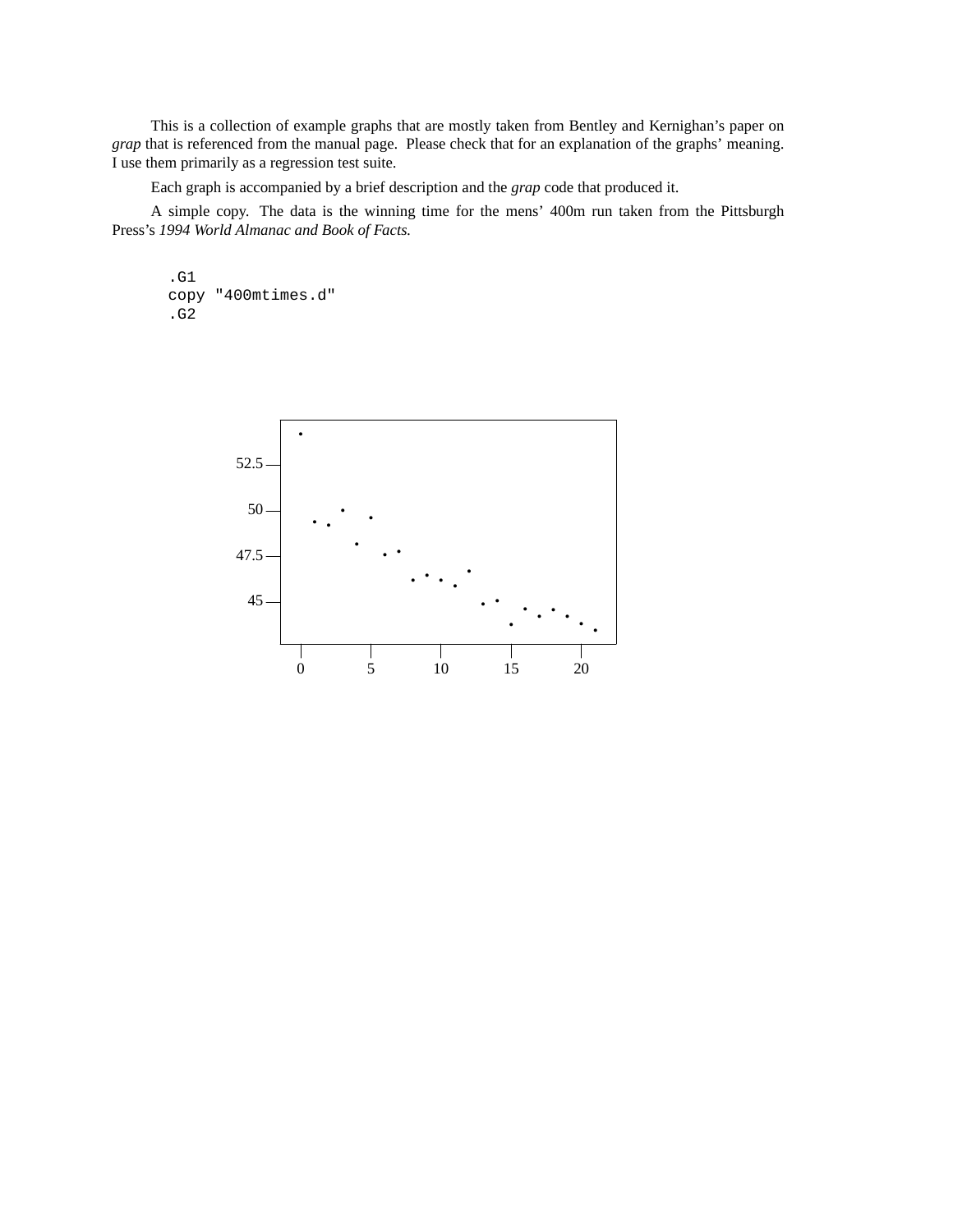This is a collection of example graphs that are mostly taken from Bentley and Kernighan's paper on *grap* that is referenced from the manual page. Please check that for an explanation of the graphs' meaning. I use them primarily as a regression test suite.

Each graph is accompanied by a brief description and the *grap* code that produced it.

A simple copy. The data is the winning time for the mens' 400m run taken from the Pittsburgh Press's *1994 World Almanac and Book of Facts.*

.G1 copy "400mtimes.d" .G2

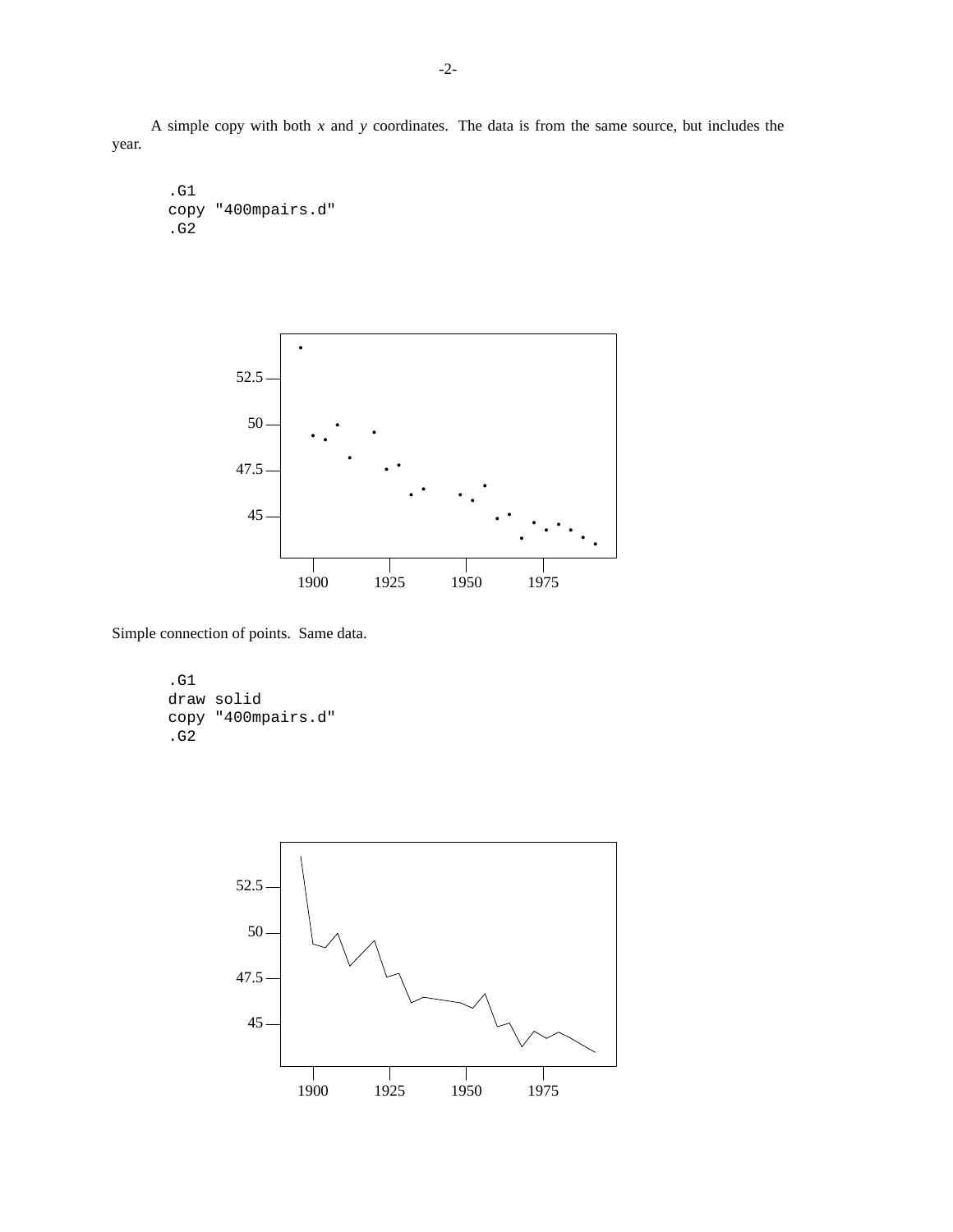A simple copy with both *x* and *y* coordinates. The data is from the same source, but includes the year.

.G1 copy "400mpairs.d" .G2



Simple connection of points. Same data.

.G1 draw solid copy "400mpairs.d" .G2

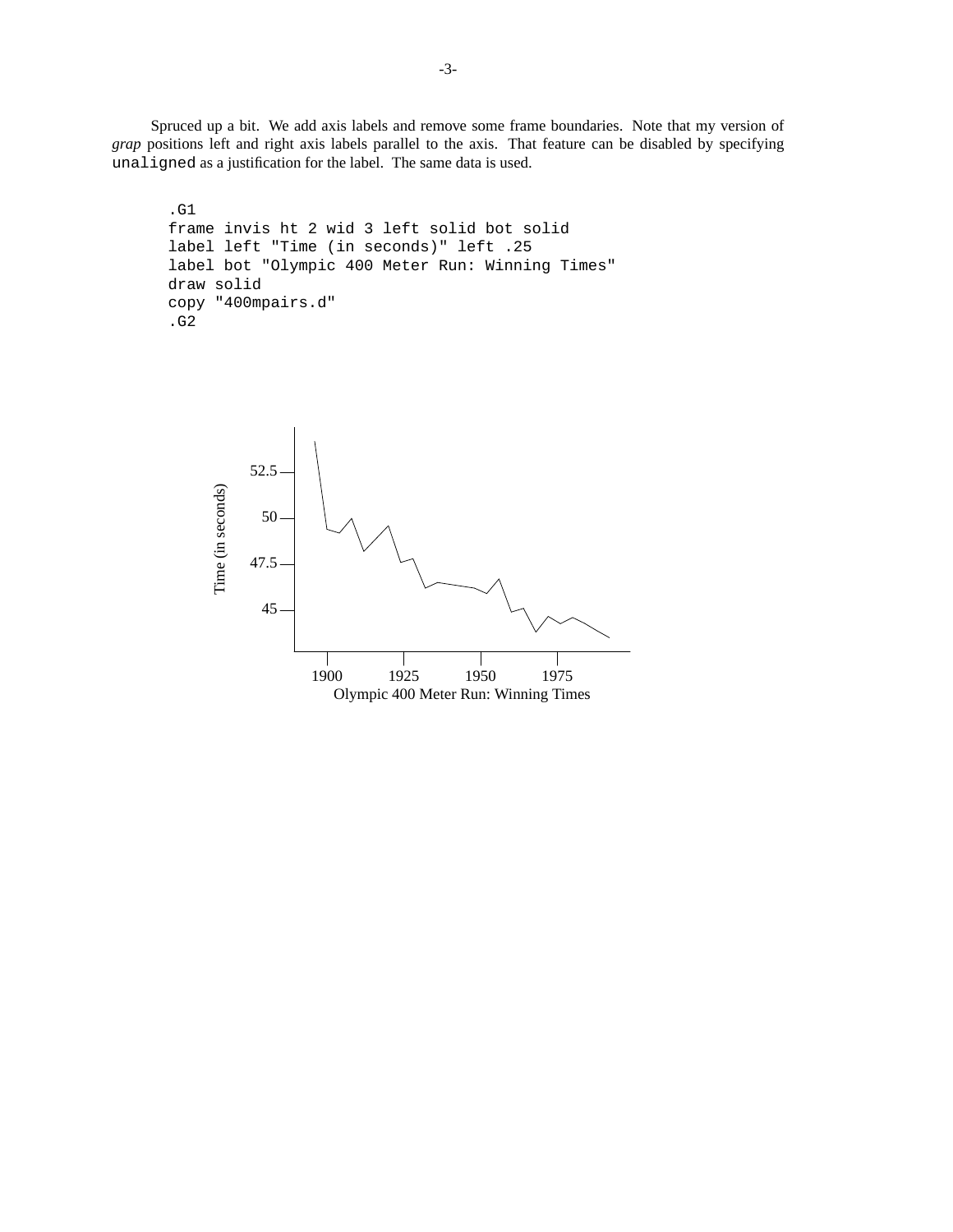Spruced up a bit. We add axis labels and remove some frame boundaries. Note that my version of *grap* positions left and right axis labels parallel to the axis. That feature can be disabled by specifying unaligned as a justification for the label. The same data is used.

```
.G1
frame invis ht 2 wid 3 left solid bot solid
label left "Time (in seconds)" left .25
label bot "Olympic 400 Meter Run: Winning Times"
draw solid
copy "400mpairs.d"
.G2
```
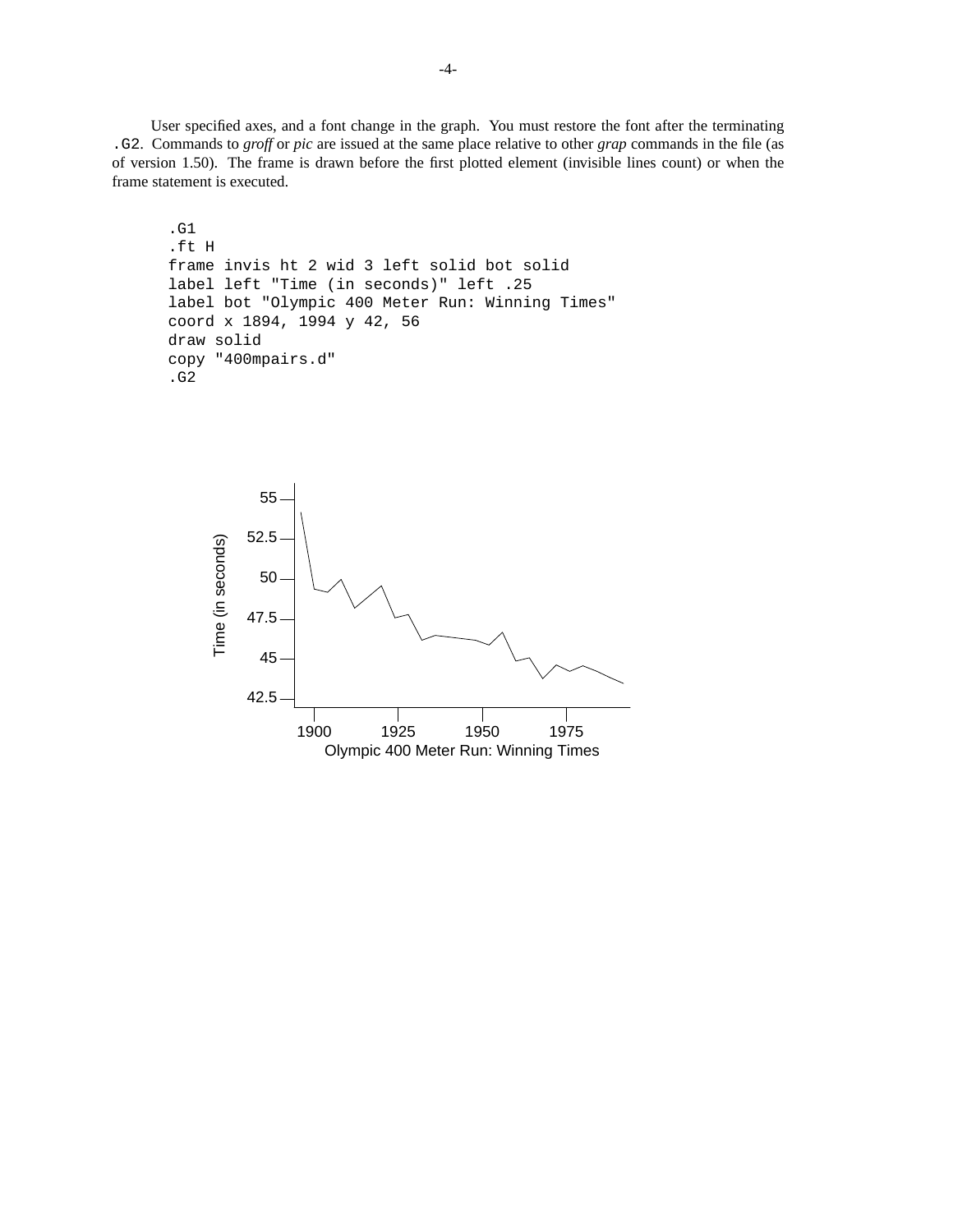User specified axes, and a font change in the graph. You must restore the font after the terminating .G2. Commands to *groff* or *pic* are issued at the same place relative to other *grap* commands in the file (as of version 1.50). The frame is drawn before the first plotted element (invisible lines count) or when the frame statement is executed.

```
.G1
.ft H
frame invis ht 2 wid 3 left solid bot solid
label left "Time (in seconds)" left .25
label bot "Olympic 400 Meter Run: Winning Times"
coord x 1894, 1994 y 42, 56
draw solid
copy "400mpairs.d"
.G2
```
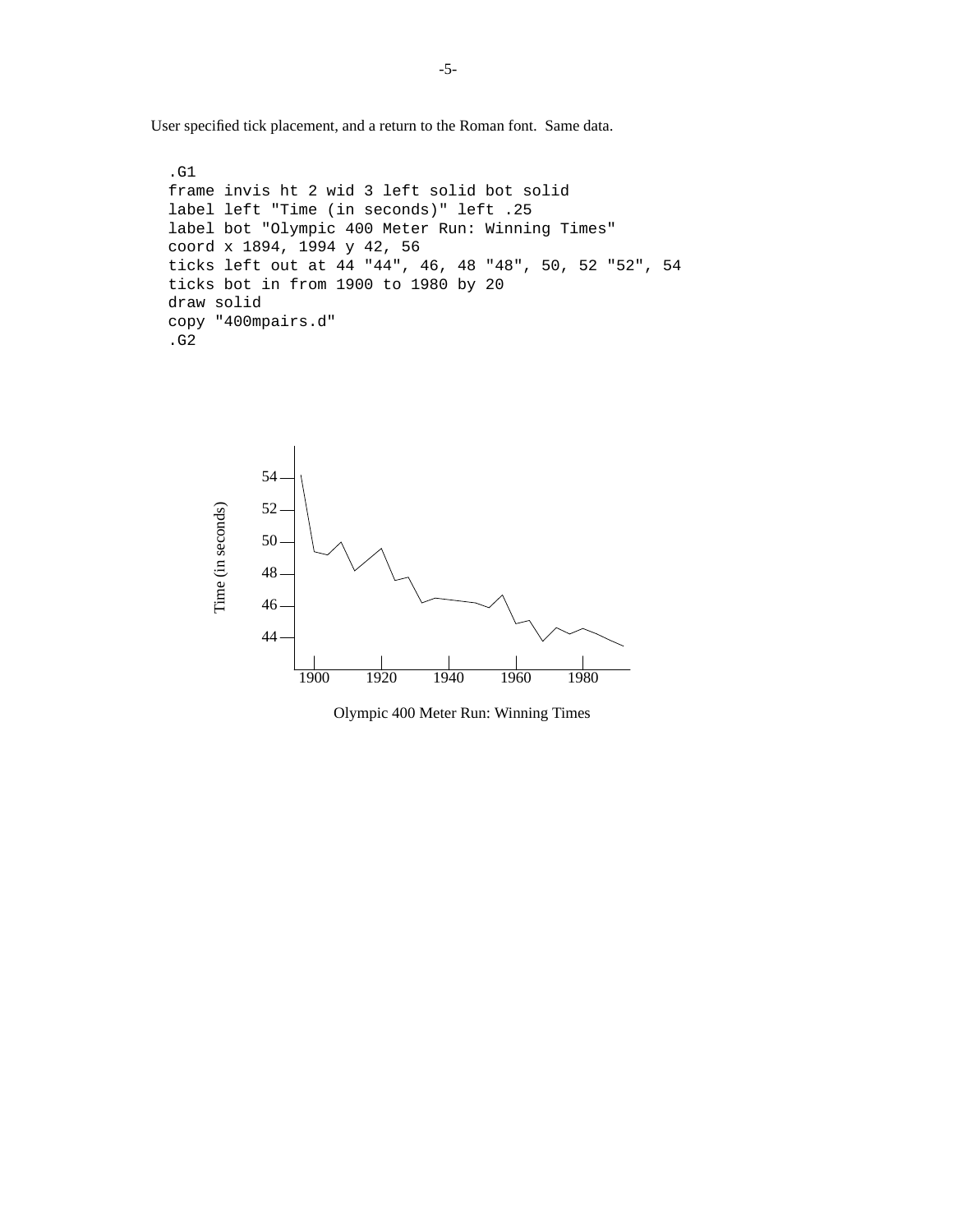User specified tick placement, and a return to the Roman font. Same data.

```
.G1
frame invis ht 2 wid 3 left solid bot solid
label left "Time (in seconds)" left .25
label bot "Olympic 400 Meter Run: Winning Times"
coord x 1894, 1994 y 42, 56
ticks left out at 44 "44", 46, 48 "48", 50, 52 "52", 54
ticks bot in from 1900 to 1980 by 20
draw solid
copy "400mpairs.d"
.G2
```


Olympic 400 Meter Run: Winning Times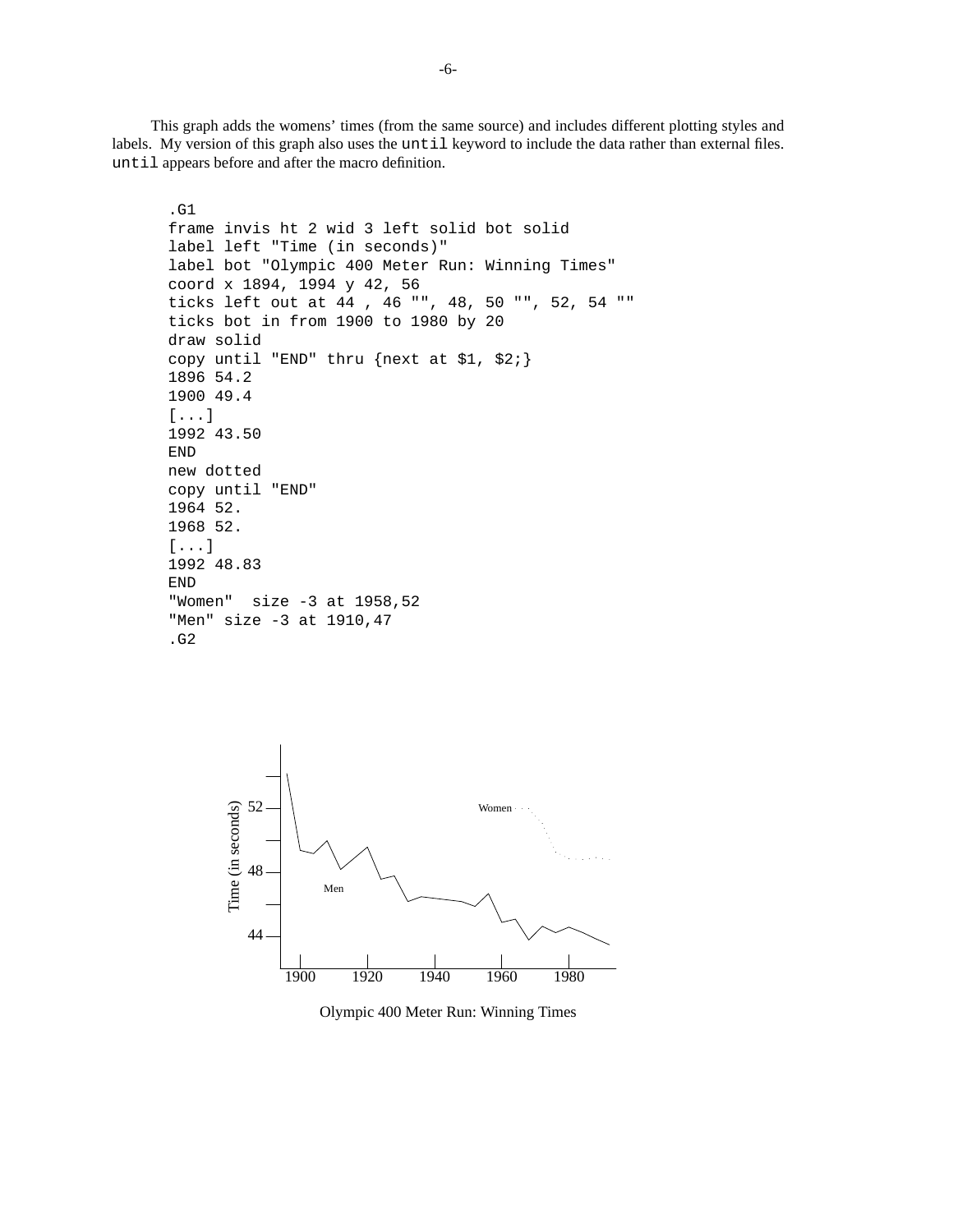This graph adds the womens' times (from the same source) and includes different plotting styles and labels. My version of this graph also uses the until keyword to include the data rather than external files. until appears before and after the macro definition.

```
.G1
frame invis ht 2 wid 3 left solid bot solid
label left "Time (in seconds)"
label bot "Olympic 400 Meter Run: Winning Times"
coord x 1894, 1994 y 42, 56
ticks left out at 44 , 46 "", 48, 50 "", 52, 54 ""
ticks bot in from 1900 to 1980 by 20
draw solid
copy until "END" thru {next at $1, $2;}
1896 54.2
1900 49.4
[...]
1992 43.50
END
new dotted
copy until "END"
1964 52.
1968 52.
[...]
1992 48.83
END
"Women" size -3 at 1958,52
"Men" size -3 at 1910,47
.G2
```


Olympic 400 Meter Run: Winning Times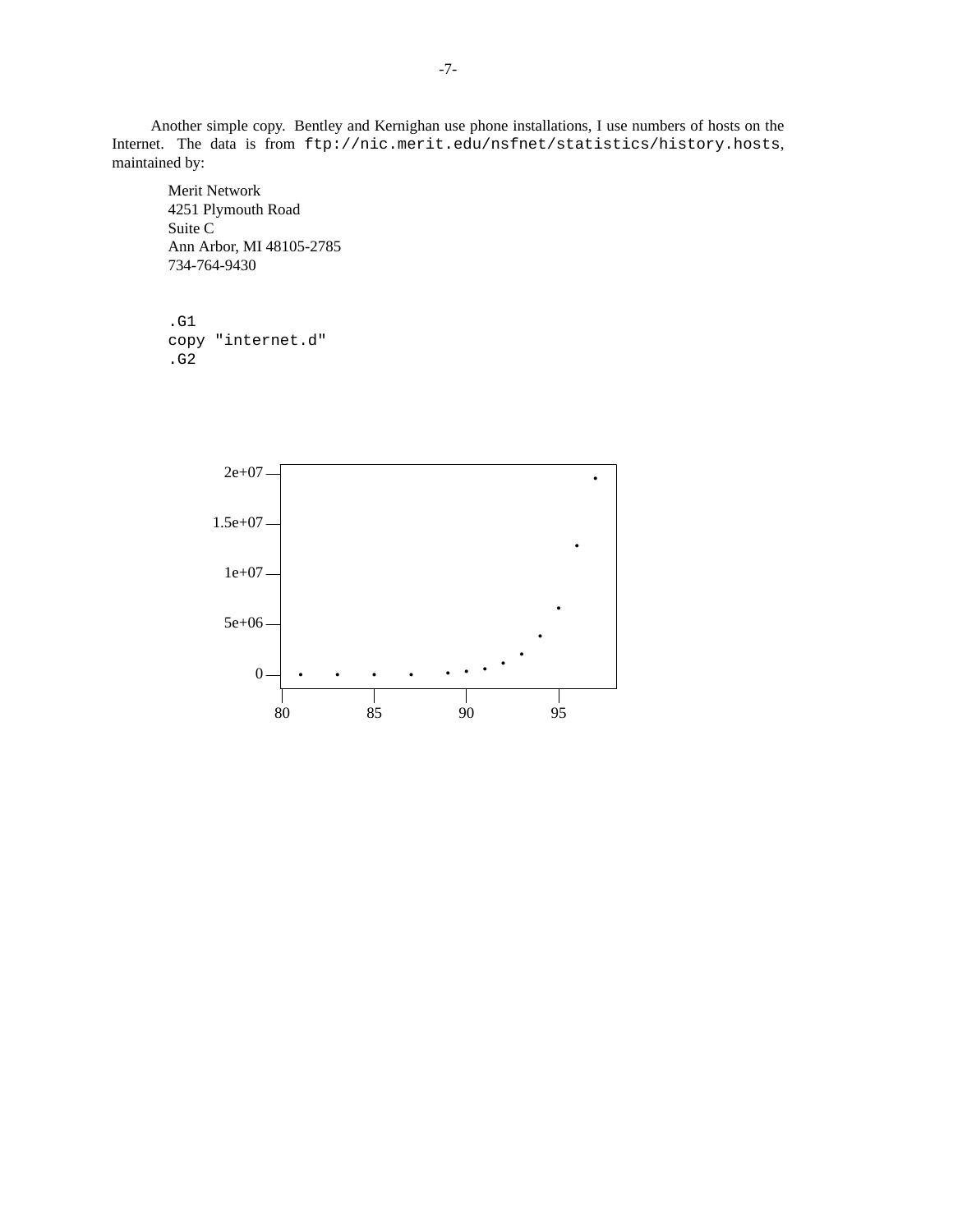Another simple copy. Bentley and Kernighan use phone installations, I use numbers of hosts on the Internet. The data is from ftp://nic.merit.edu/nsfnet/statistics/history.hosts, maintained by:

Merit Network 4251 Plymouth Road Suite C Ann Arbor, MI 48105-2785 734-764-9430

```
.G1
copy "internet.d"
.G2
```
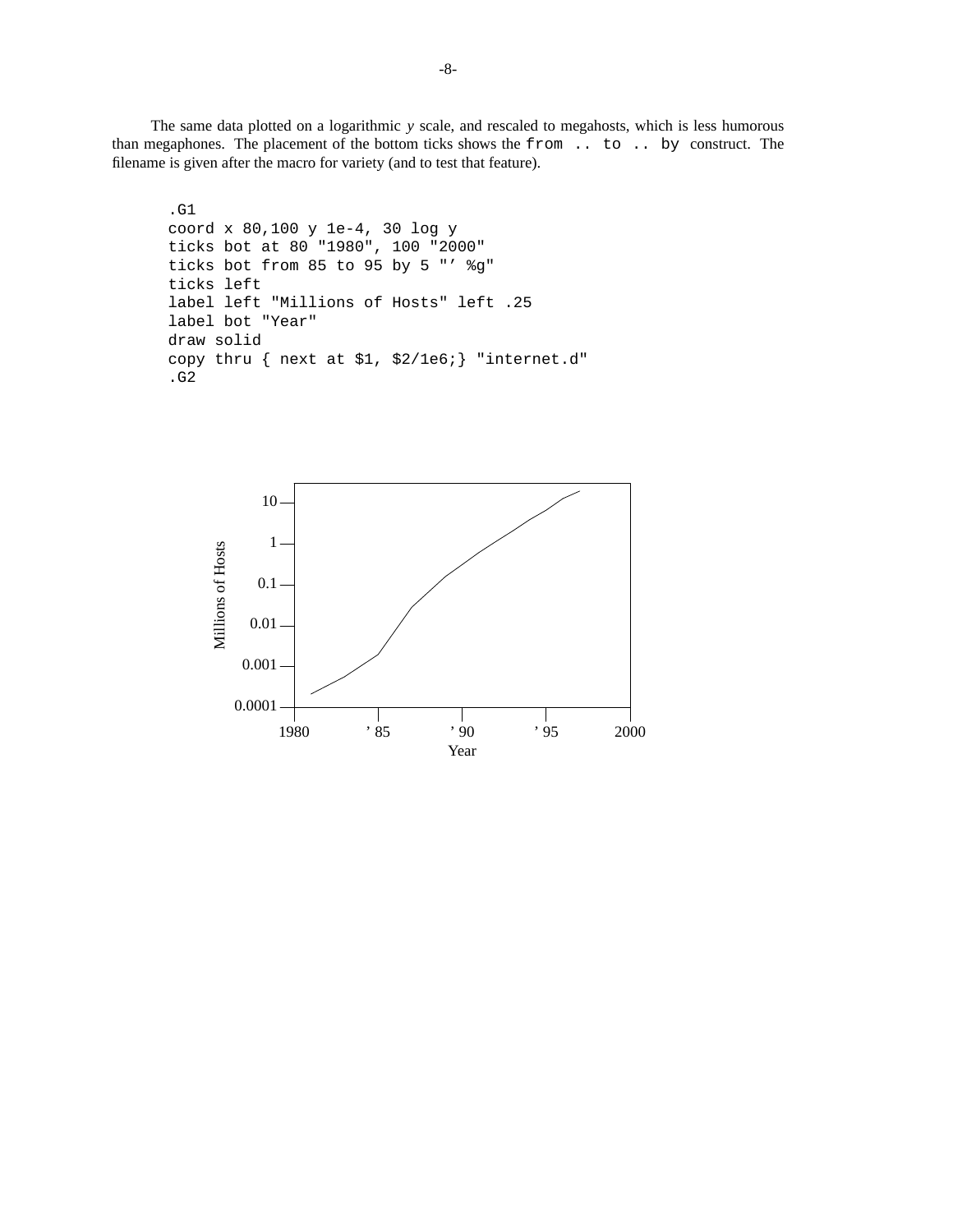The same data plotted on a logarithmic *y* scale, and rescaled to megahosts, which is less humorous than megaphones. The placement of the bottom ticks shows the from .. to .. by construct. The filename is given after the macro for variety (and to test that feature).

```
.G1
coord x 80,100 y 1e-4, 30 log y
ticks bot at 80 "1980", 100 "2000"
ticks bot from 85 to 95 by 5 "' %g"
ticks left
label left "Millions of Hosts" left .25
label bot "Year"
draw solid
copy thru { next at $1, $2/1e6;} "internet.d"
.G2
```
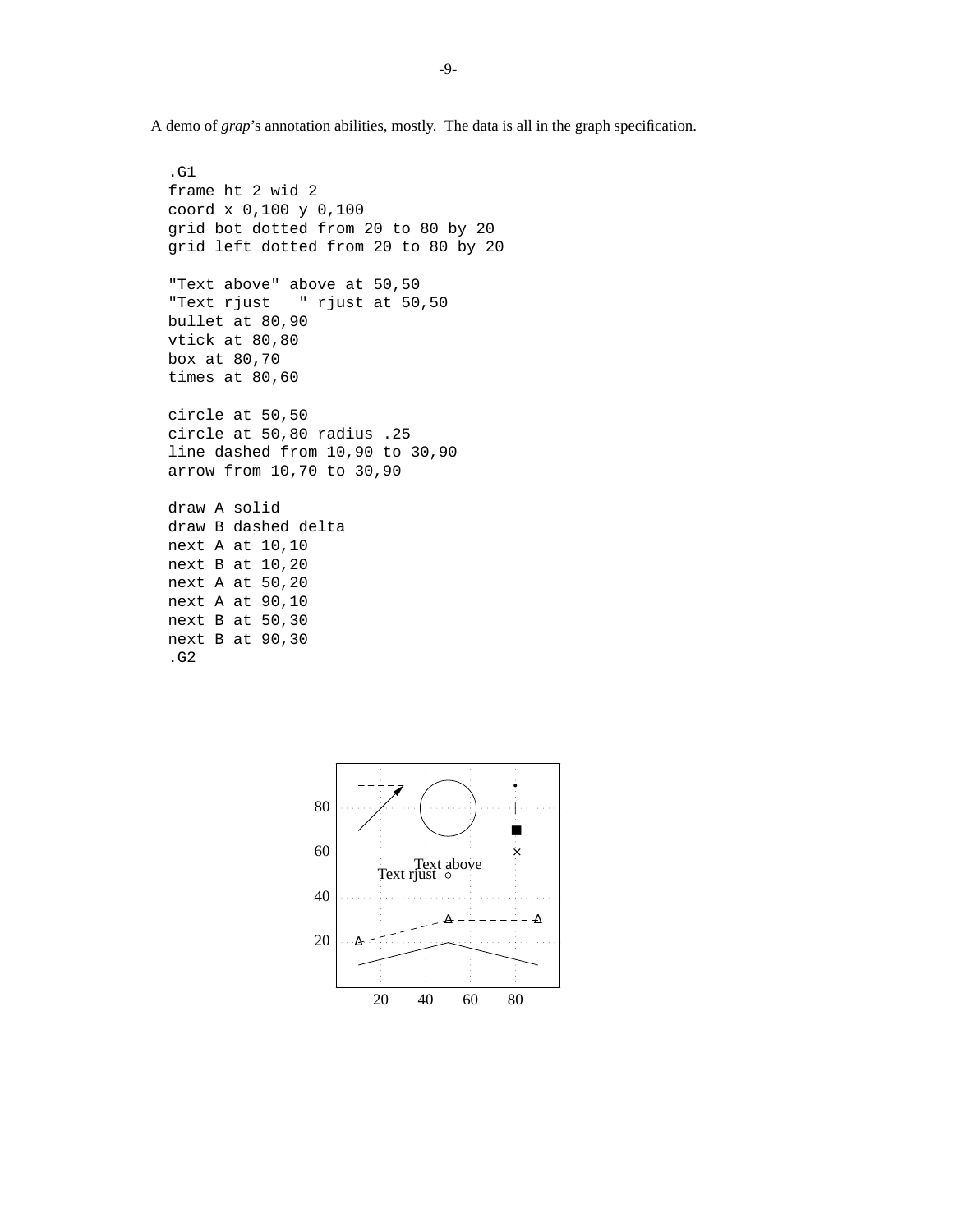A demo of *grap*'s annotation abilities, mostly. The data is all in the graph specification.

```
.G1
frame ht 2 wid 2
coord x 0,100 y 0,100
grid bot dotted from 20 to 80 by 20
grid left dotted from 20 to 80 by 20
"Text above" above at 50,50
"Text rjust " rjust at 50,50
bullet at 80,90
vtick at 80,80
box at 80,70
times at 80,60
circle at 50,50
circle at 50,80 radius .25
line dashed from 10,90 to 30,90
arrow from 10,70 to 30,90
draw A solid
draw B dashed delta
next A at 10,10
next B at 10,20
next A at 50,20
next A at 90,10
next B at 50,30
next B at 90,30
.G2
```
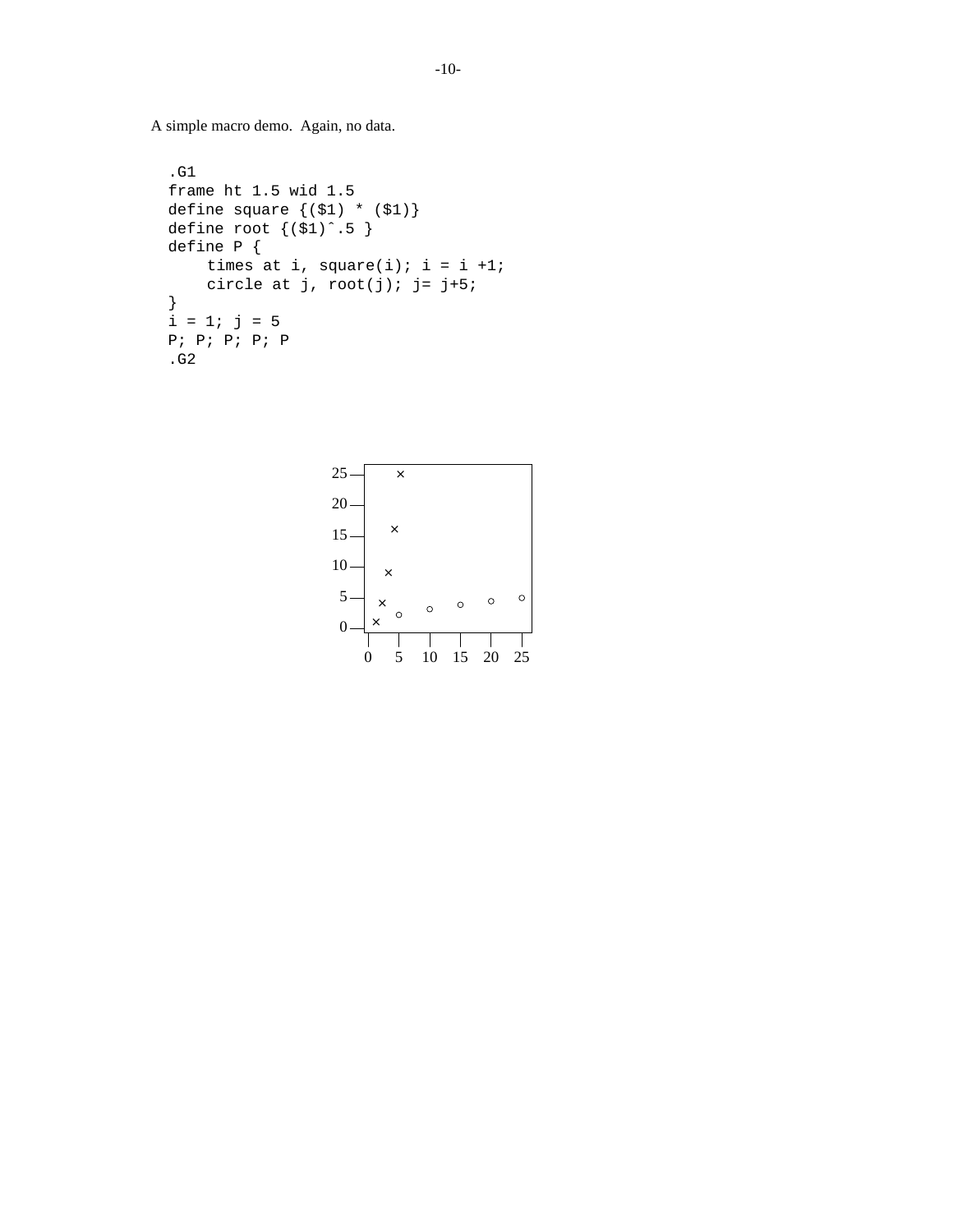A simple macro demo. Again, no data.

```
.G1
frame ht 1.5 wid 1.5
define square {($1) * ($1)}
define root \{(s_1)^{\hat{}}\cdot 5\}define P {
    times at i, square(i); i = i +1;
    circle at j, root(j); j= j+5;
}
i = 1; j = 5P; P; P; P; P
.G2
```
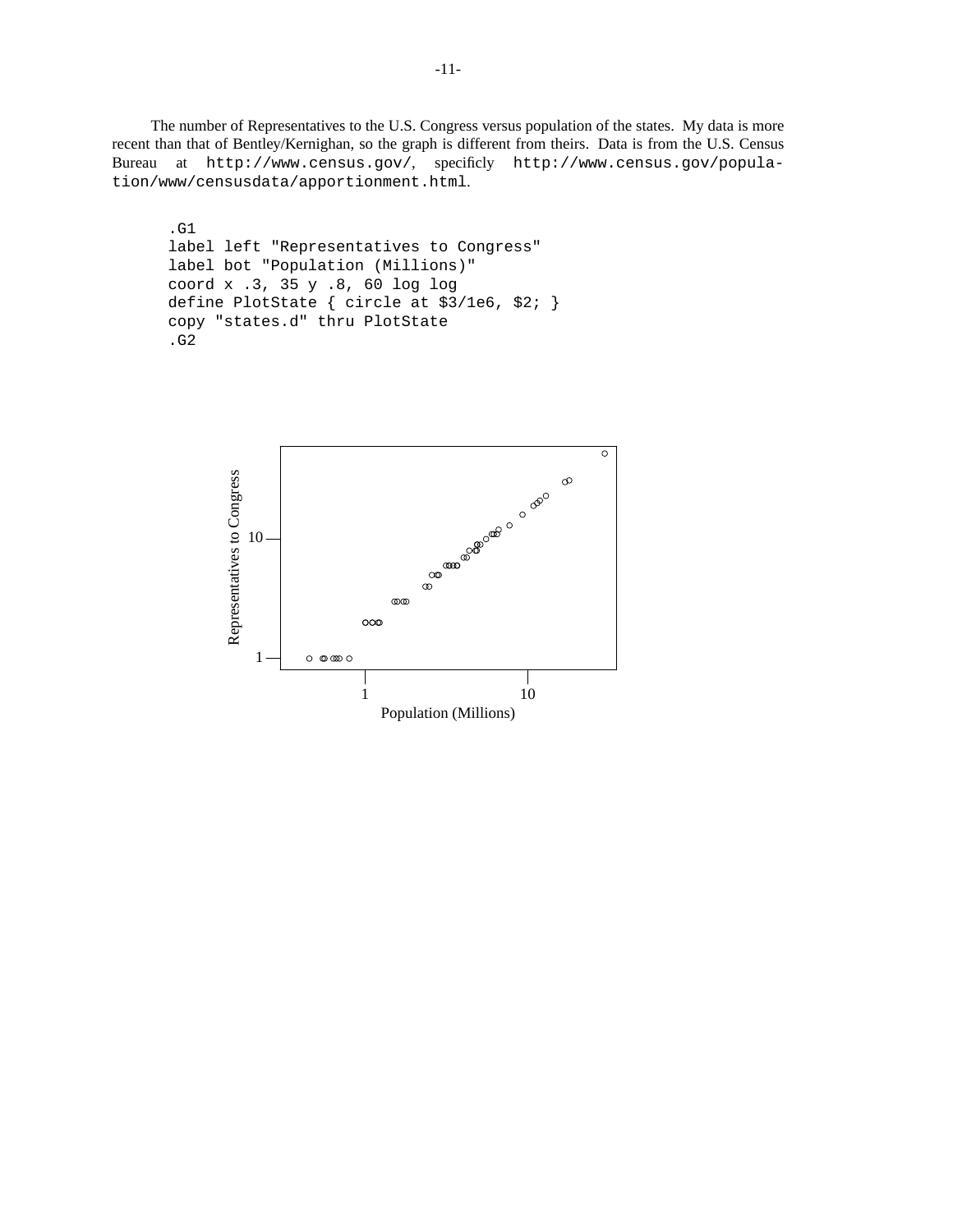The number of Representatives to the U.S. Congress versus population of the states. My data is more recent than that of Bentley/Kernighan, so the graph is different from theirs. Data is from the U.S. Census Bureau at http://www.census.gov/, specificly http://www.census.gov/population/www/censusdata/apportionment.html.

```
.G1
label left "Representatives to Congress"
label bot "Population (Millions)"
coord x .3, 35 y .8, 60 log log
define PlotState { circle at $3/1e6, $2; }
copy "states.d" thru PlotState
.G2
```
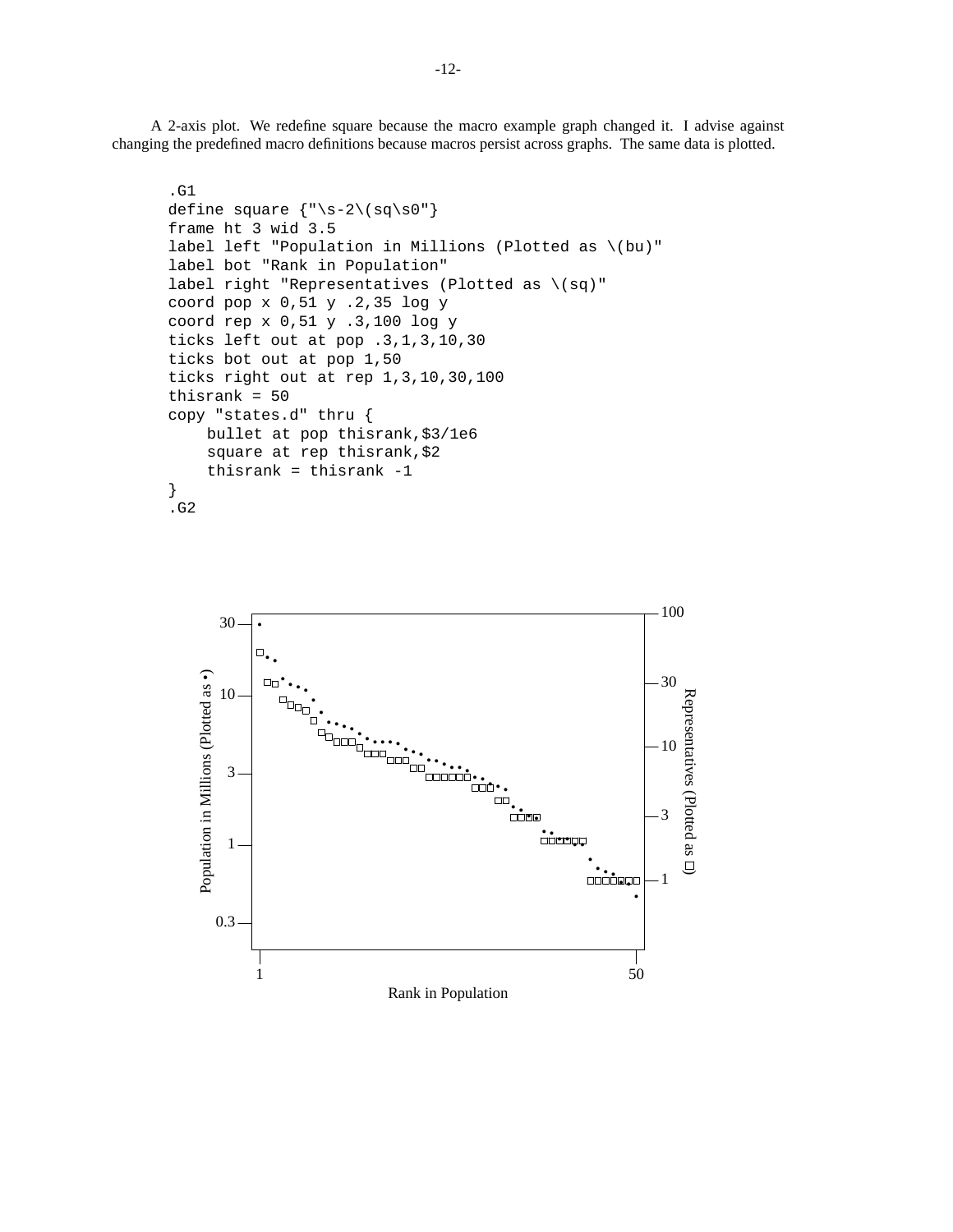A 2-axis plot. We redefine square because the macro example graph changed it. I advise against changing the predefined macro definitions because macros persist across graphs. The same data is plotted.

```
.G1
define square {\n \times 5-2 \ (sq\sqcup s0"\n \}frame ht 3 wid 3.5
label left "Population in Millions (Plotted as \(bu)"
label bot "Rank in Population"
label right "Representatives (Plotted as \(sq)"
coord pop x 0,51 y .2,35 log y
coord rep x 0,51 y .3,100 log y
ticks left out at pop .3,1,3,10,30
ticks bot out at pop 1,50
ticks right out at rep 1,3,10,30,100
thisrank = 50
copy "states.d" thru {
    bullet at pop thisrank,$3/1e6
    square at rep thisrank,$2
    thisrank = thisrank -1
}
.G2
```
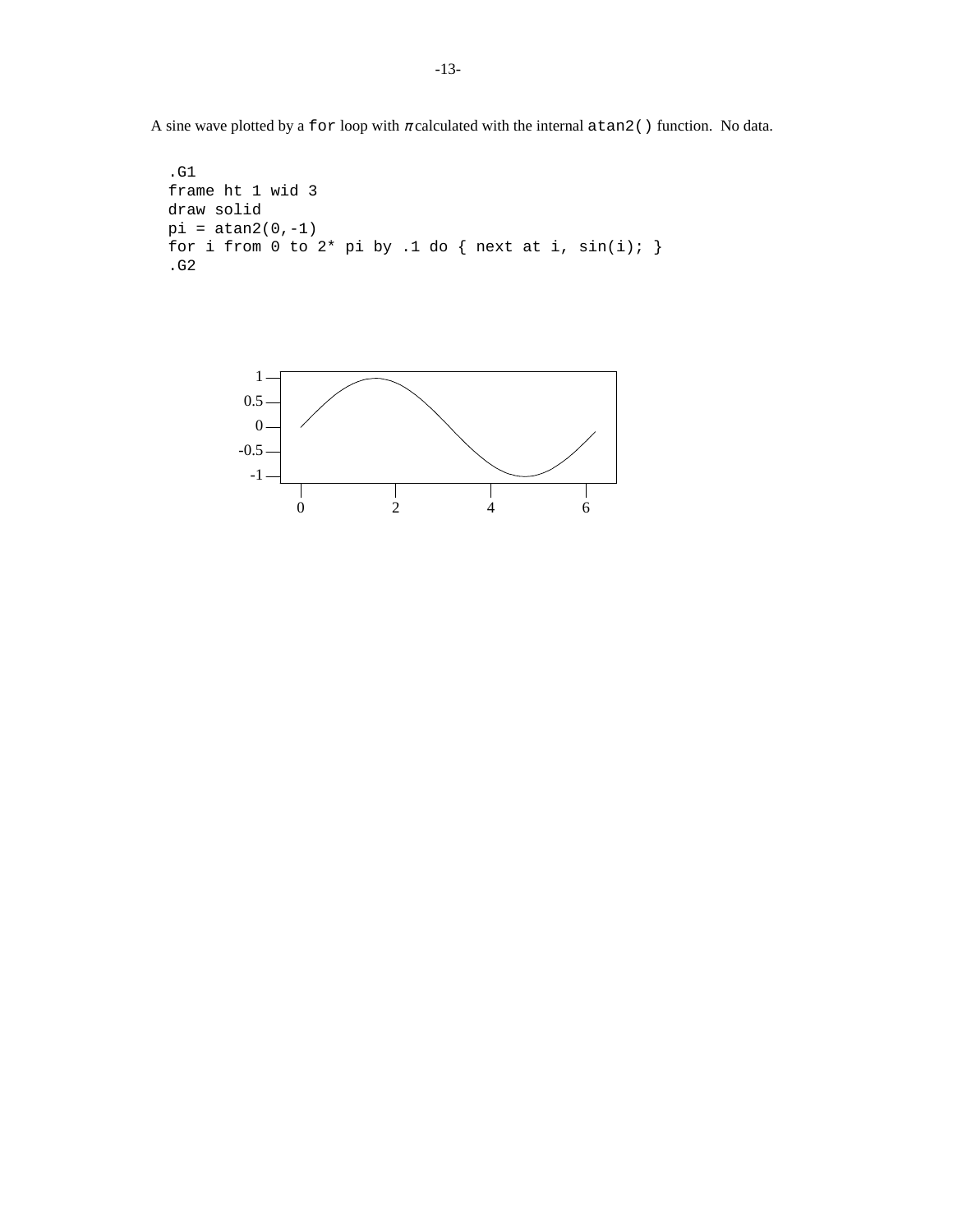A sine wave plotted by a for loop with  $\pi$  calculated with the internal atan2() function. No data.

```
.G1
frame ht 1 wid 3
draw solid
pi = \tan 2(0, -1)for i from 0 to 2* pi by .1 do { next at i, sin(i); }
.G2
```
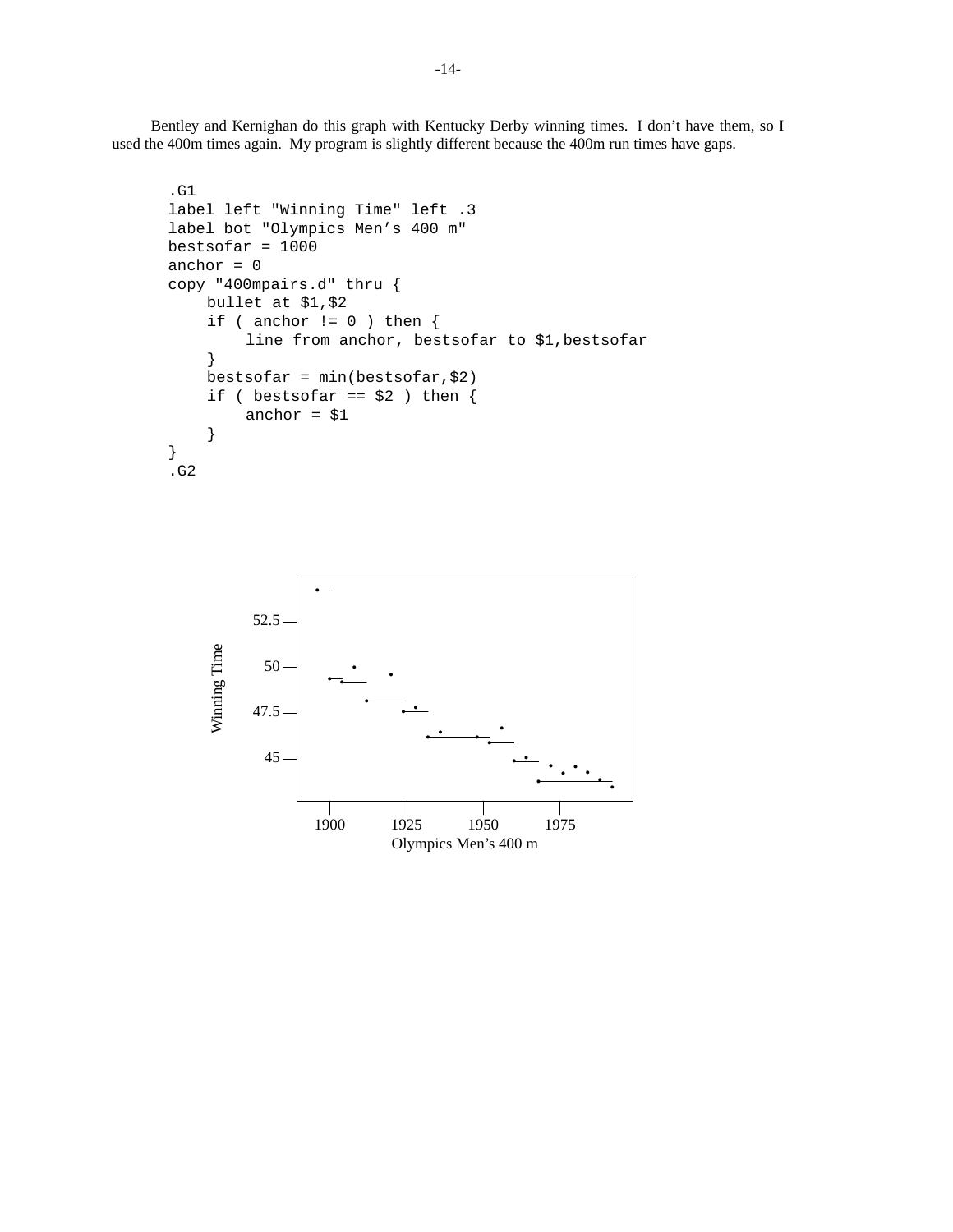Bentley and Kernighan do this graph with Kentucky Derby winning times. I don't have them, so I used the 400m times again. My program is slightly different because the 400m run times have gaps.

```
.G1
label left "Winning Time" left .3
label bot "Olympics Men's 400 m"
bestsofar = 1000
anchor = 0copy "400mpairs.d" thru {
    bullet at $1,$2
    if ( anchor != 0 ) then \{line from anchor, bestsofar to $1,bestsofar
    }
    bestsofar = min(bestsofar,$2)
    if ( bestsofar == $2 ) then {
        anchor = $1}
}
.G2
```
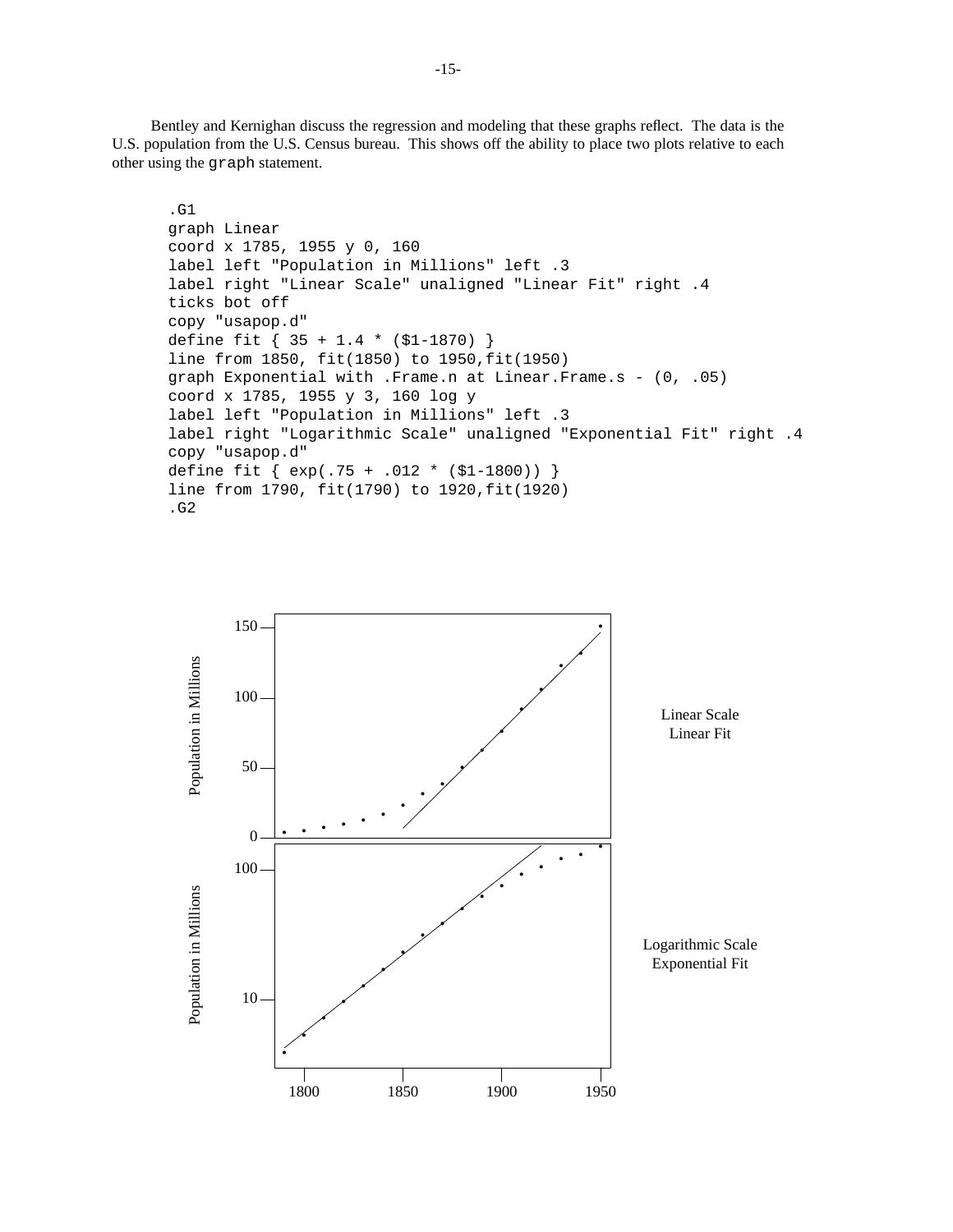Bentley and Kernighan discuss the regression and modeling that these graphs reflect. The data is the U.S. population from the U.S. Census bureau. This shows off the ability to place two plots relative to each other using the graph statement.

```
.G1
graph Linear
coord x 1785, 1955 y 0, 160
label left "Population in Millions" left .3
label right "Linear Scale" unaligned "Linear Fit" right .4
ticks bot off
copy "usapop.d"
define fit { 35 + 1.4 * ($1-1870) }
line from 1850, fit(1850) to 1950,fit(1950)
graph Exponential with .Frame.n at Linear.Frame.s - (0, .05)
coord x 1785, 1955 y 3, 160 log y
label left "Population in Millions" left .3
label right "Logarithmic Scale" unaligned "Exponential Fit" right .4
copy "usapop.d"
define fit { exp(.75 + .012 * ($1-1800)) }
line from 1790, fit(1790) to 1920,fit(1920)
.G2
```
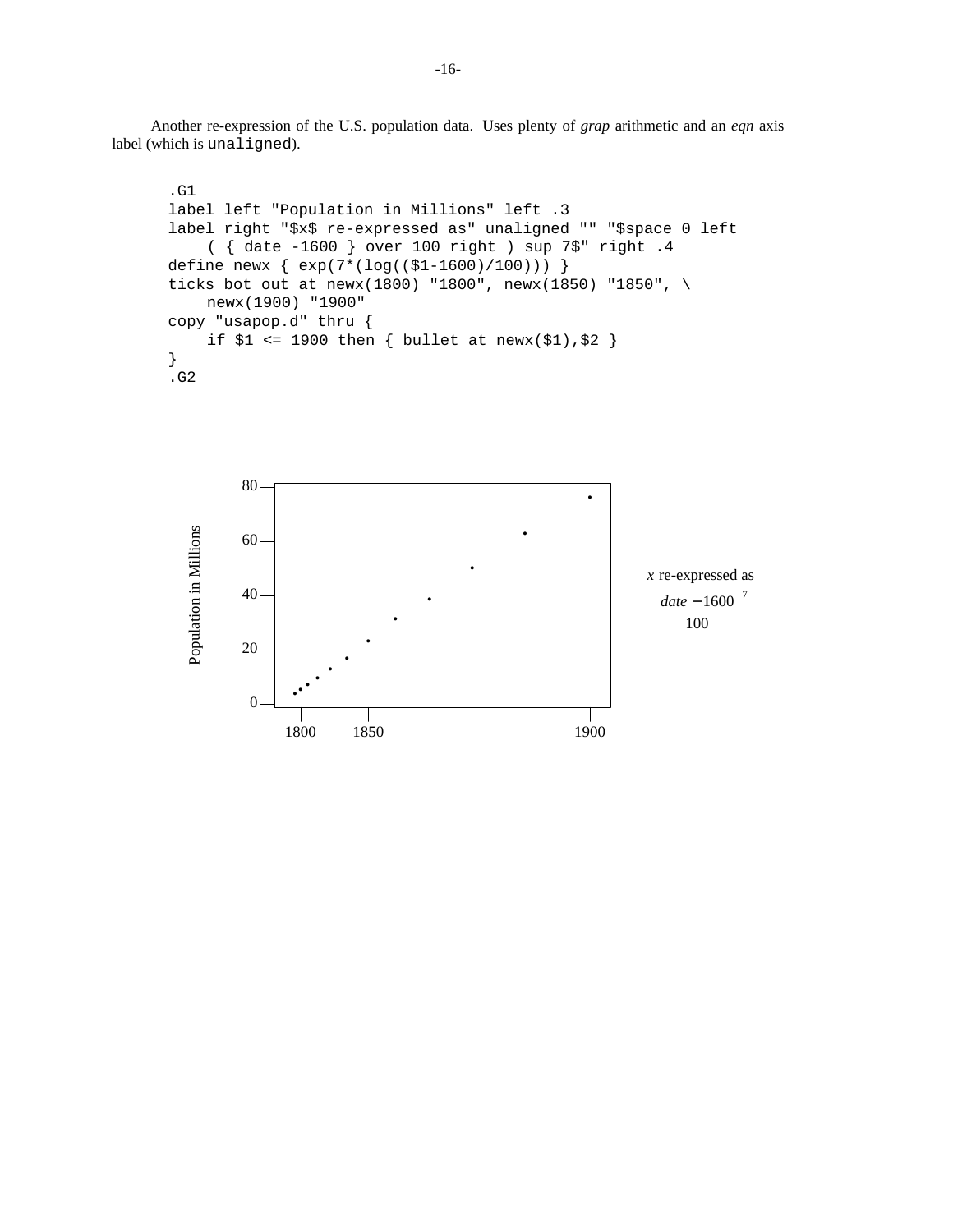Another re-expression of the U.S. population data. Uses plenty of *grap* arithmetic and an *eqn* axis label (which is unaligned).

```
.G1
label left "Population in Millions" left .3
label right "$x$ re-expressed as" unaligned "" "$space 0 left
    ({date -1600 } over 100 right ) sup 7$" right .4
define newx { exp(7*(log(($1-1600)/100))) }
ticks bot out at newx(1800) "1800", newx(1850) "1850", \
    newx(1900) "1900"
copy "usapop.d" thru {
    if $1 <= 1900 then { bullet at newx($1), $2 }
}
.G2
```
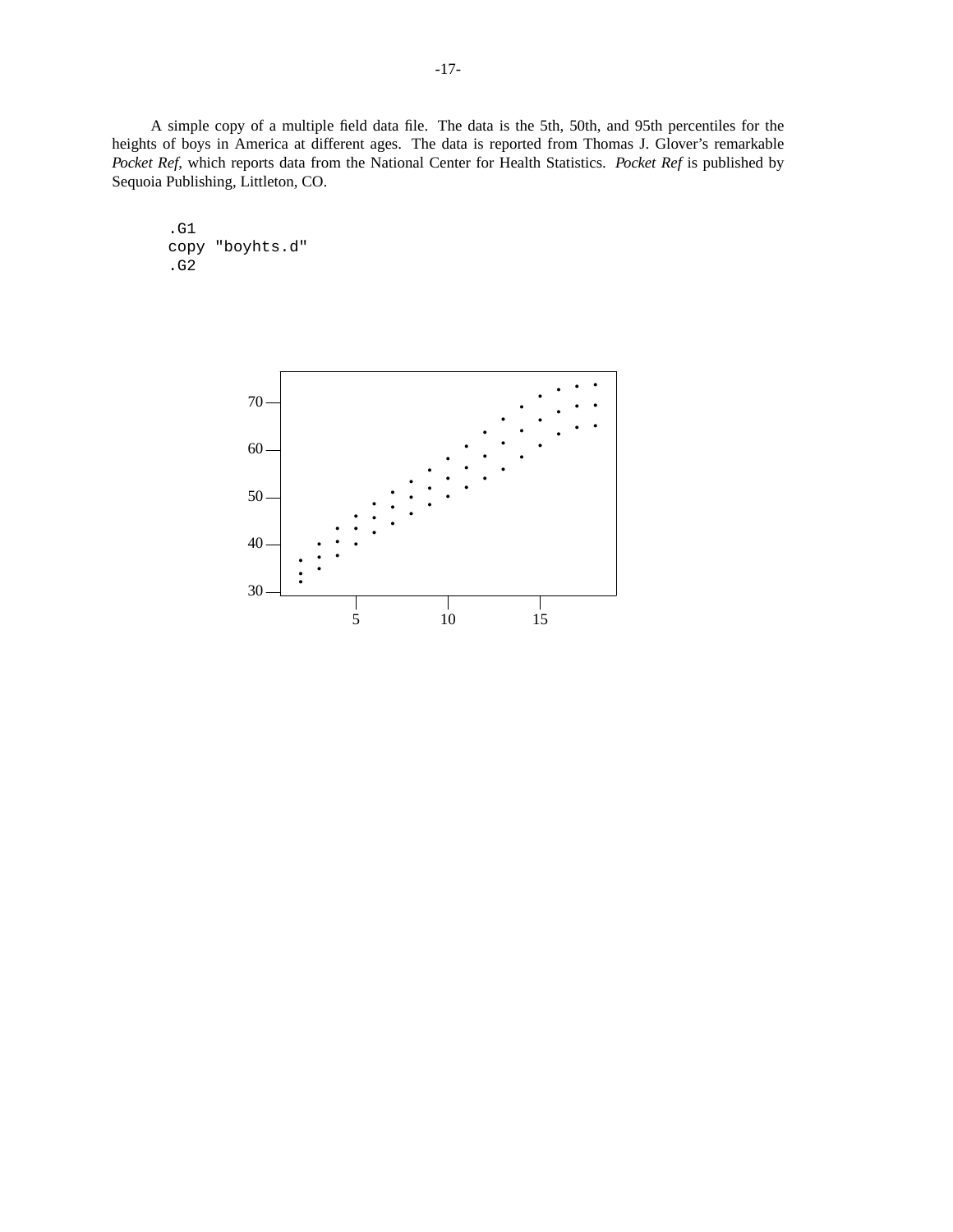A simple copy of a multiple field data file. The data is the 5th, 50th, and 95th percentiles for the heights of boys in America at different ages. The data is reported from Thomas J. Glover's remarkable *Pocket Ref*, which reports data from the National Center for Health Statistics. Pocket Ref is published by Sequoia Publishing, Littleton, CO.

.G1 copy "boyhts.d" .G2

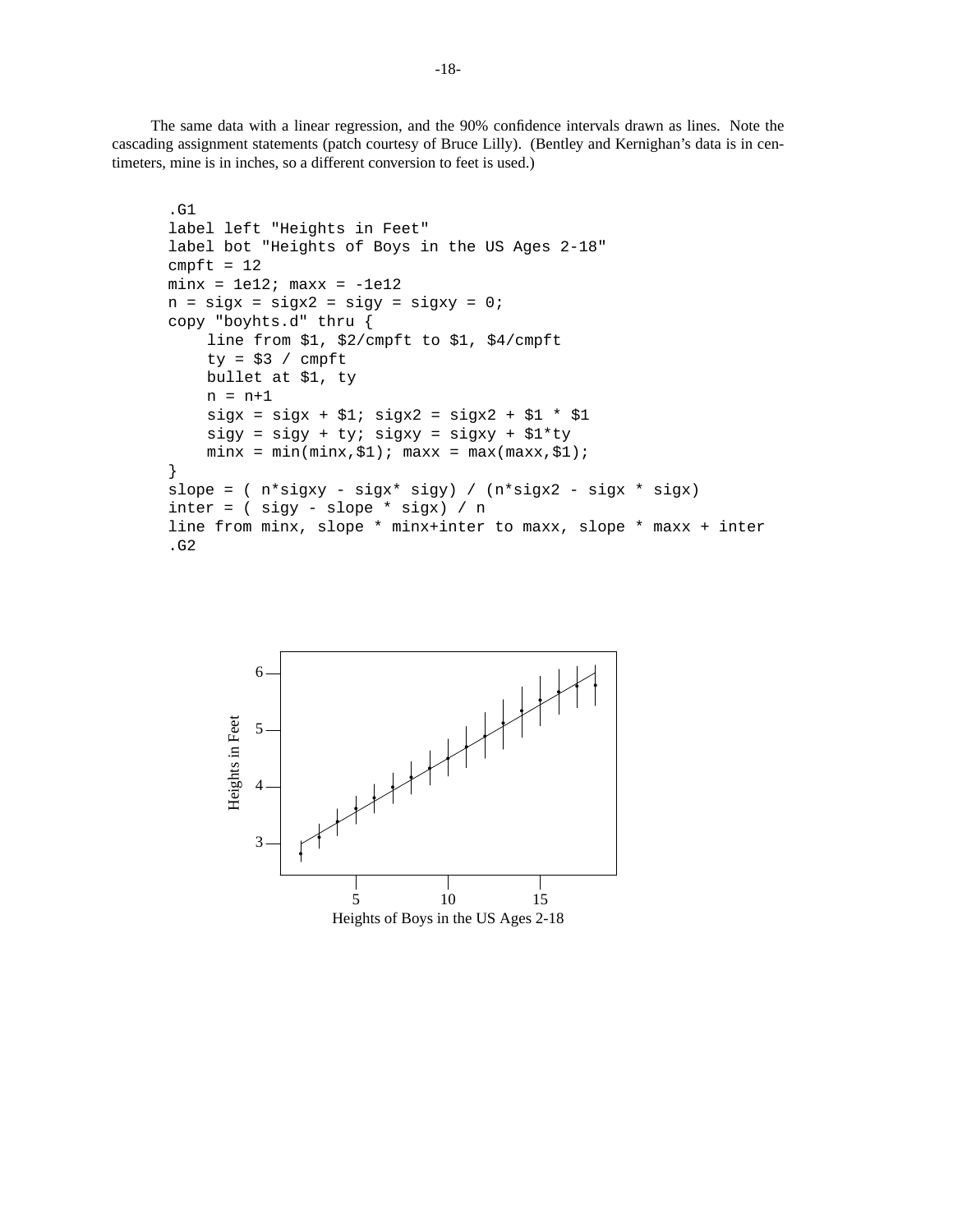The same data with a linear regression, and the 90% confidence intervals drawn as lines. Note the cascading assignment statements (patch courtesy of Bruce Lilly). (Bentley and Kernighan's data is in centimeters, mine is in inches, so a different conversion to feet is used.)

```
.G1
label left "Heights in Feet"
label bot "Heights of Boys in the US Ages 2-18"
cmpft = 12minx = 1e12; maxx = -1e12n = sigx = sigx2 = sigy = sigxy = 0;copy "boyhts.d" thru {
    line from $1, $2/cmpft to $1, $4/cmpft
    ty = $3 / cmpft
    bullet at $1, ty
    n = n+1sigx = sigx + $1; sigx2 = sigx2 + $1 * $1sigy = sigy + ty: sigxy = sigxy + $1*tyminx = min(minx, $1); maxx = max(maxx, $1);}
slope = ( n*sigxy - sigx* sigy) / (n*sigx2 - sigx * sigx)
inter = ( sigy - slope * sigx) / nline from minx, slope * minx+inter to maxx, slope * maxx + inter
.G2
```
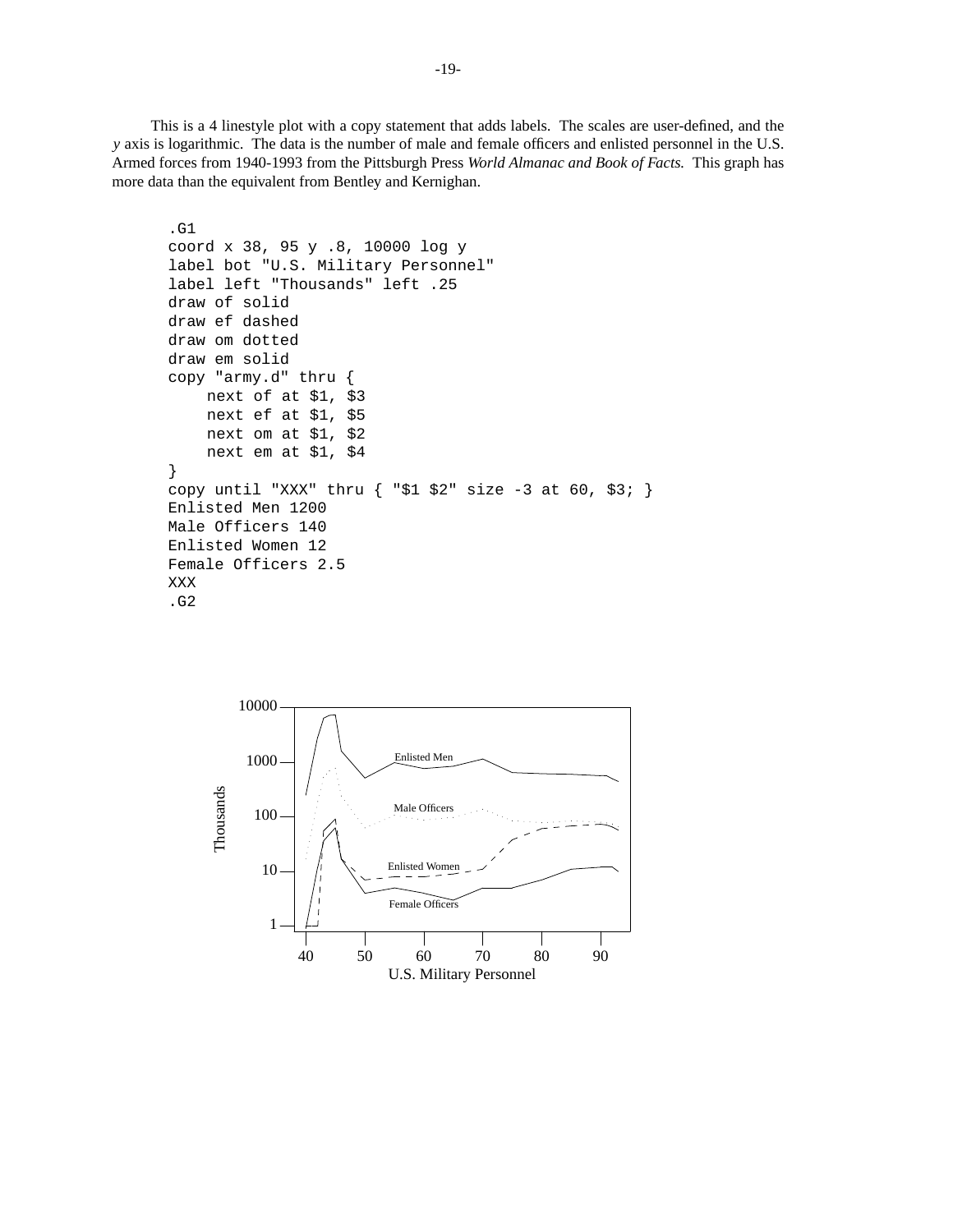This is a 4 linestyle plot with a copy statement that adds labels. The scales are user-defined, and the *y* axis is logarithmic. The data is the number of male and female officers and enlisted personnel in the U.S. Armed forces from 1940-1993 from the Pittsburgh Press *World Almanac and Book of Facts.* This graph has more data than the equivalent from Bentley and Kernighan.

```
.G1
coord x 38, 95 y .8, 10000 log y
label bot "U.S. Military Personnel"
label left "Thousands" left .25
draw of solid
draw ef dashed
draw om dotted
draw em solid
copy "army.d" thru {
    next of at $1, $3
    next ef at $1, $5
    next om at $1, $2
    next em at $1, $4
}
copy until "XXX" thru \{ "$1 $2" size -3 at 60, $3; \}Enlisted Men 1200
Male Officers 140
Enlisted Women 12
Female Officers 2.5
XXX
.G2
```
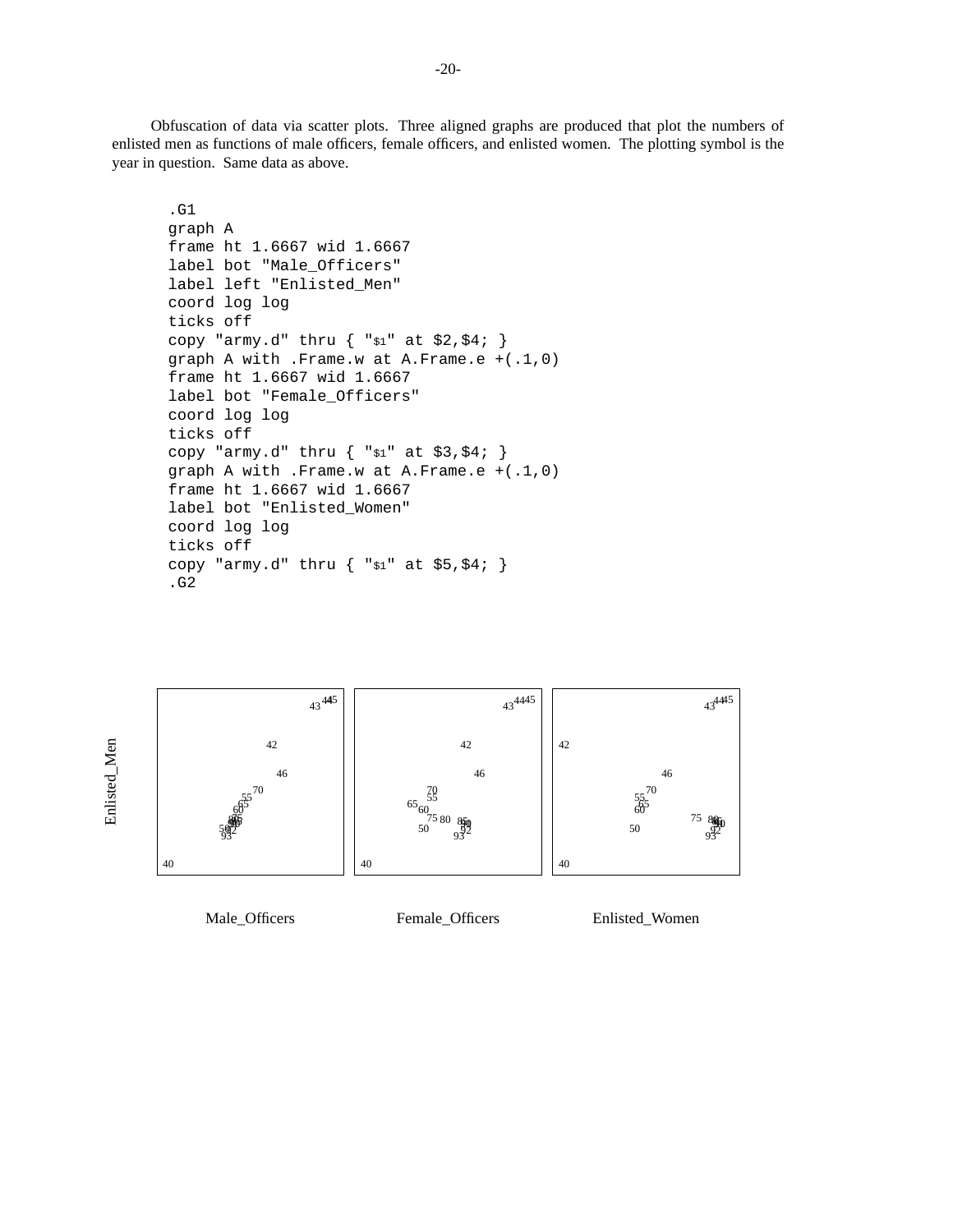Obfuscation of data via scatter plots. Three aligned graphs are produced that plot the numbers of enlisted men as functions of male officers, female officers, and enlisted women. The plotting symbol is the year in question. Same data as above.

```
.G1
graph A
frame ht 1.6667 wid 1.6667
label bot "Male_Officers"
label left "Enlisted_Men"
coord log log
ticks off
copy "army.d" thru \{ "$1" at $2,$4; \}graph A with .Frame.w at A.Frame.e +(.1,0)
frame ht 1.6667 wid 1.6667
label bot "Female_Officers"
coord log log
ticks off
copy "army.d" thru { "$1" at $3,$4; }
graph A with .Frame.w at A.Frame.e +(.1,0)
frame ht 1.6667 wid 1.6667
label bot "Enlisted_Women"
coord log log
ticks off
copy "army.d" thru { "$1" at $5,$4; }
.G2
```


Male\_Officers

Female\_Officers

Enlisted\_Women

Enlisted\_Men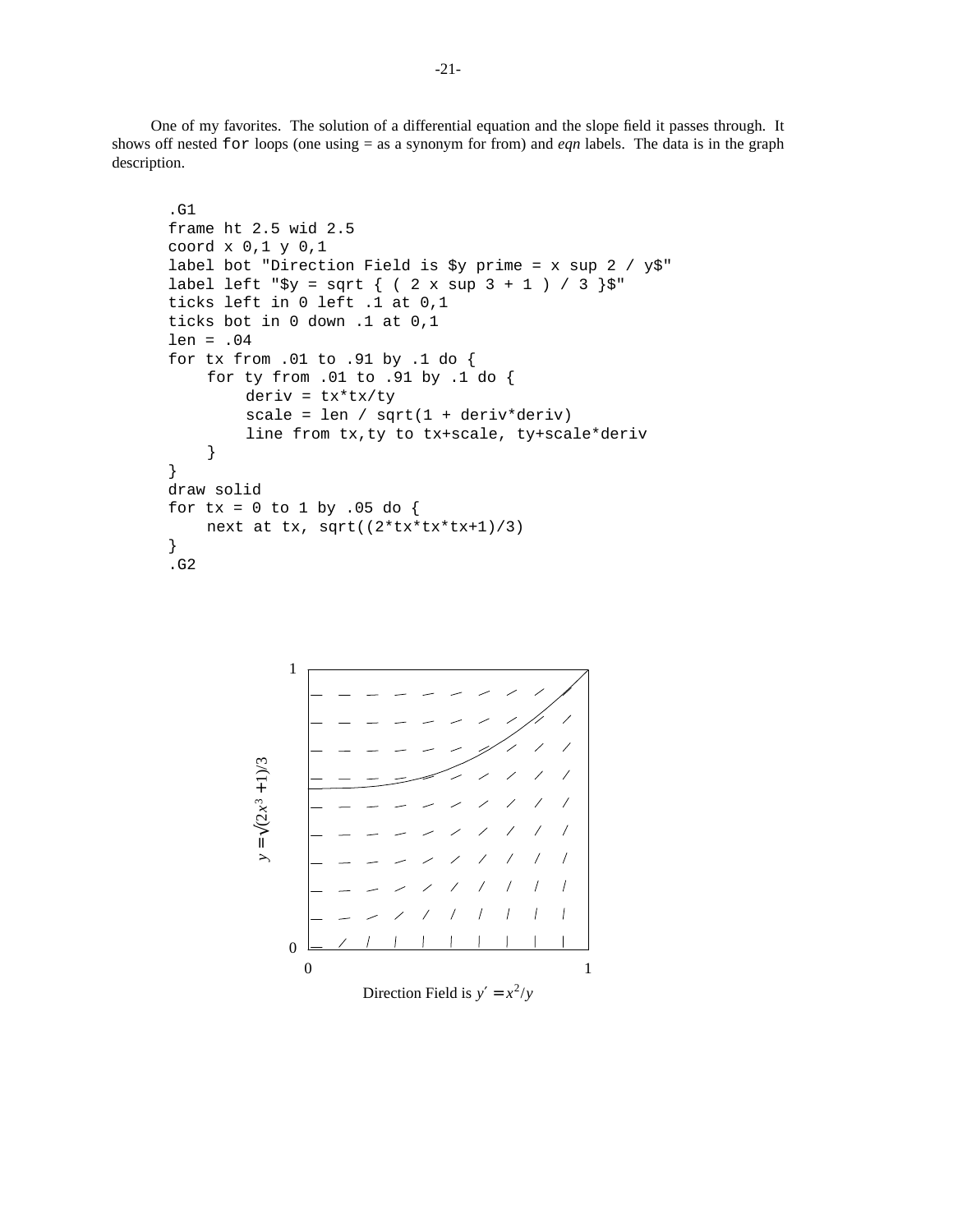One of my favorites. The solution of a differential equation and the slope field it passes through. It shows off nested for loops (one using = as a synonym for from) and *eqn* labels. The data is in the graph description.

```
.G1
frame ht 2.5 wid 2.5
coord x 0,1 y 0,1
label bot "Direction Field is $y prime = x sup 2 / y$"
label left "$y = sqrt { ( 2 x sup 3 + 1 ) / 3 }"
ticks left in 0 left .1 at 0,1
ticks bot in 0 down .1 at 0,1
len = .04
for tx from .01 to .91 by .1 do {
    for ty from .01 to .91 by .1 do {
        deriv = tx*tx/ty
        scale = len / sqrt(1 + deriv*deriv)
        line from tx,ty to tx+scale, ty+scale*deriv
    }
}
draw solid
for tx = 0 to 1 by .05 do {
    next at tx, sqrt((2*tx*tx*tx+1)/3)
}
.G2
```
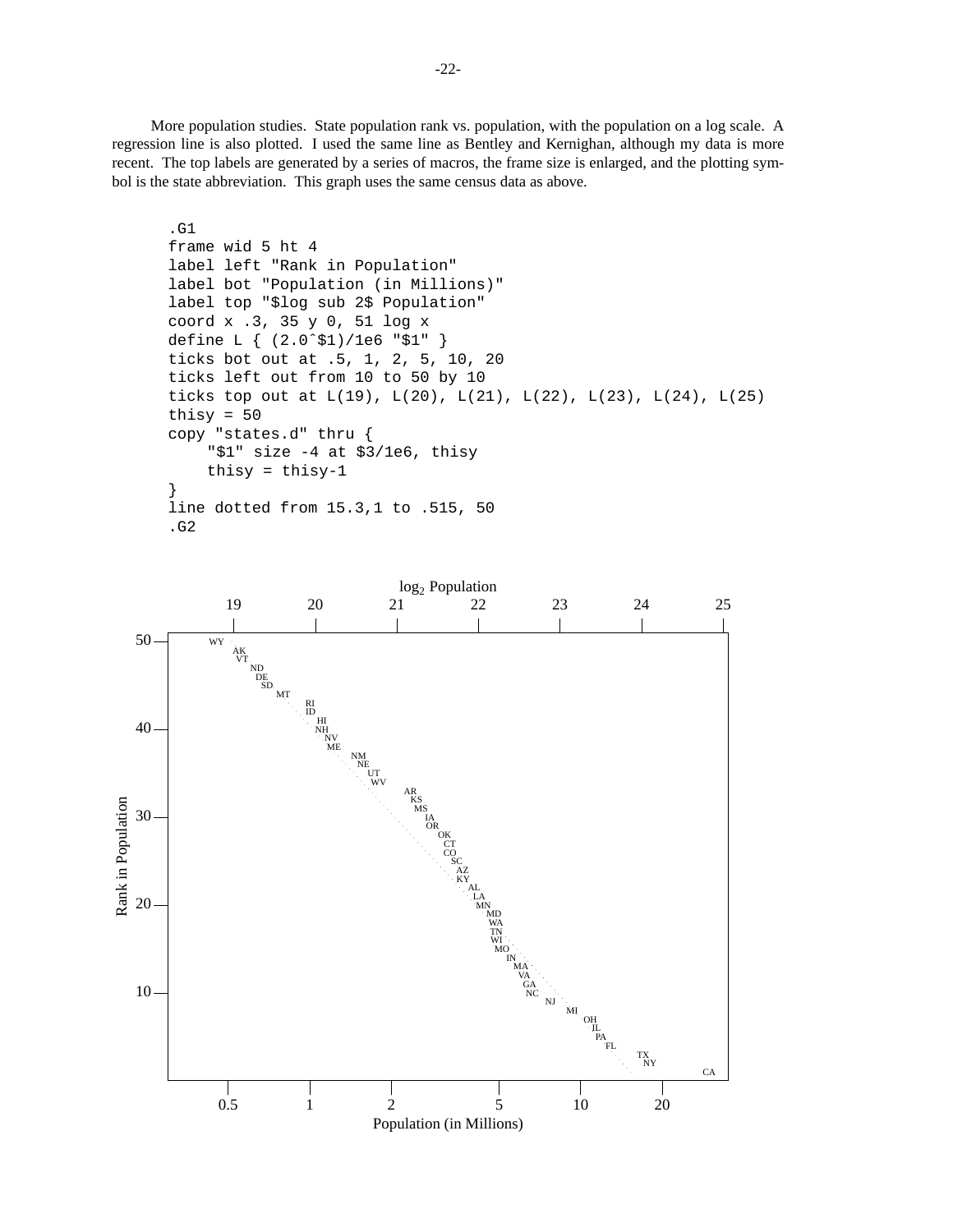More population studies. State population rank vs. population, with the population on a log scale. A regression line is also plotted. I used the same line as Bentley and Kernighan, although my data is more recent. The top labels are generated by a series of macros, the frame size is enlarged, and the plotting symbol is the state abbreviation. This graph uses the same census data as above.

```
.G1
frame wid 5 ht 4
label left "Rank in Population"
label bot "Population (in Millions)"
label top "$log sub 2$ Population"
coord x .3, 35 y 0, 51 log x
define L { (2.0ˆ$1)/1e6 "$1" }
ticks bot out at .5, 1, 2, 5, 10, 20
ticks left out from 10 to 50 by 10
ticks top out at L(19), L(20), L(21), L(22), L(23), L(24), L(25)thisy = 50copy "states.d" thru {
    "$1" size -4 at $3/1e6, thisy
    thisy = thisy-1}
line dotted from 15.3,1 to .515, 50
.G2
```
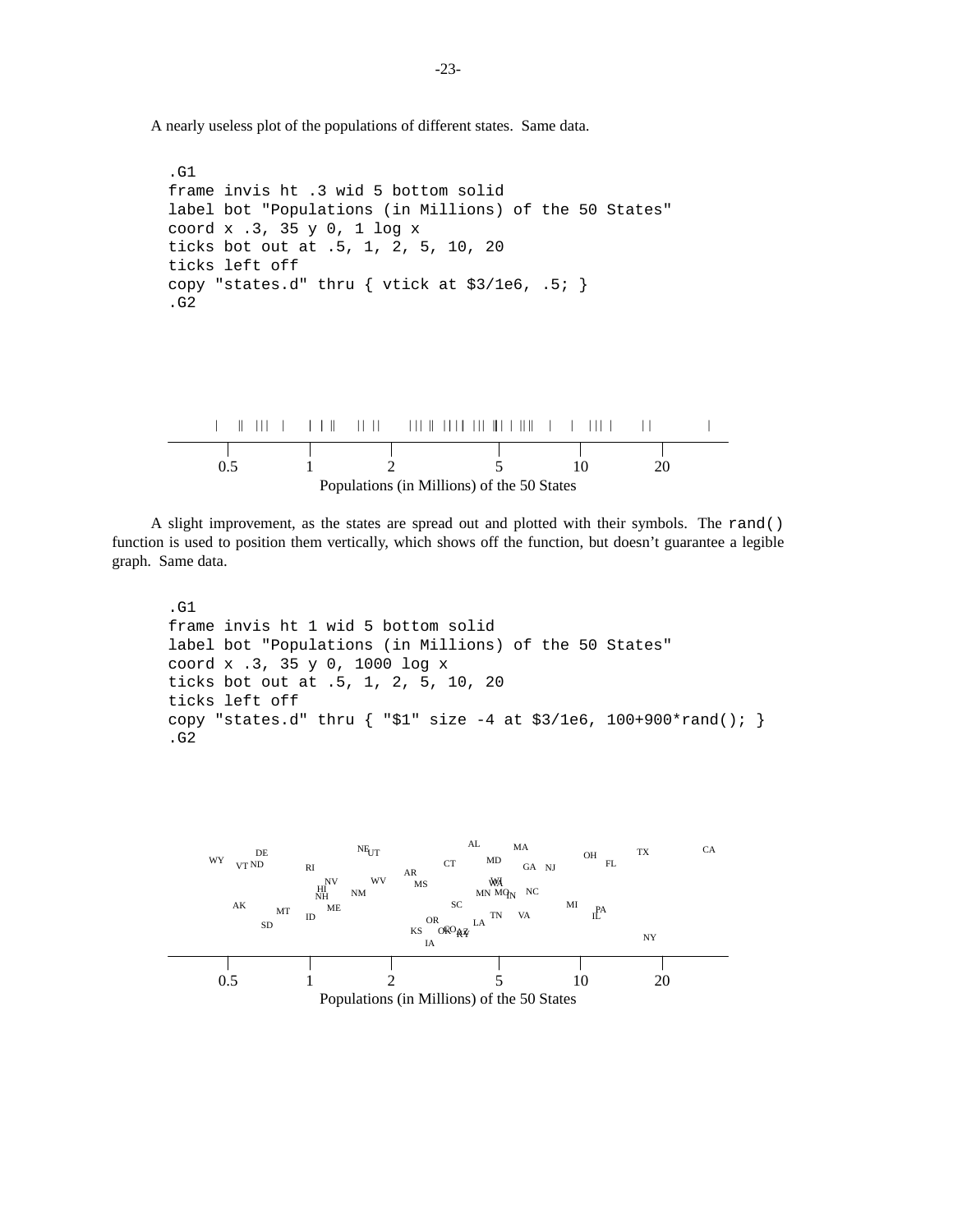A nearly useless plot of the populations of different states. Same data.

```
.G1
frame invis ht .3 wid 5 bottom solid
label bot "Populations (in Millions) of the 50 States"
coord x .3, 35 y 0, 1 log x
ticks bot out at .5, 1, 2, 5, 10, 20
ticks left off
copy "states.d" thru { vtick at $3/1e6, .5; }
.G2
```


A slight improvement, as the states are spread out and plotted with their symbols. The rand() function is used to position them vertically, which shows off the function, but doesn't guarantee a legible graph. Same data.

```
.G1
frame invis ht 1 wid 5 bottom solid
label bot "Populations (in Millions) of the 50 States"
coord x .3, 35 y 0, 1000 log x
ticks bot out at .5, 1, 2, 5, 10, 20
ticks left off
copy "states.d" thru \{ "$1" size -4 at $3/1e6, 100+900*rand(); \}.G2
```
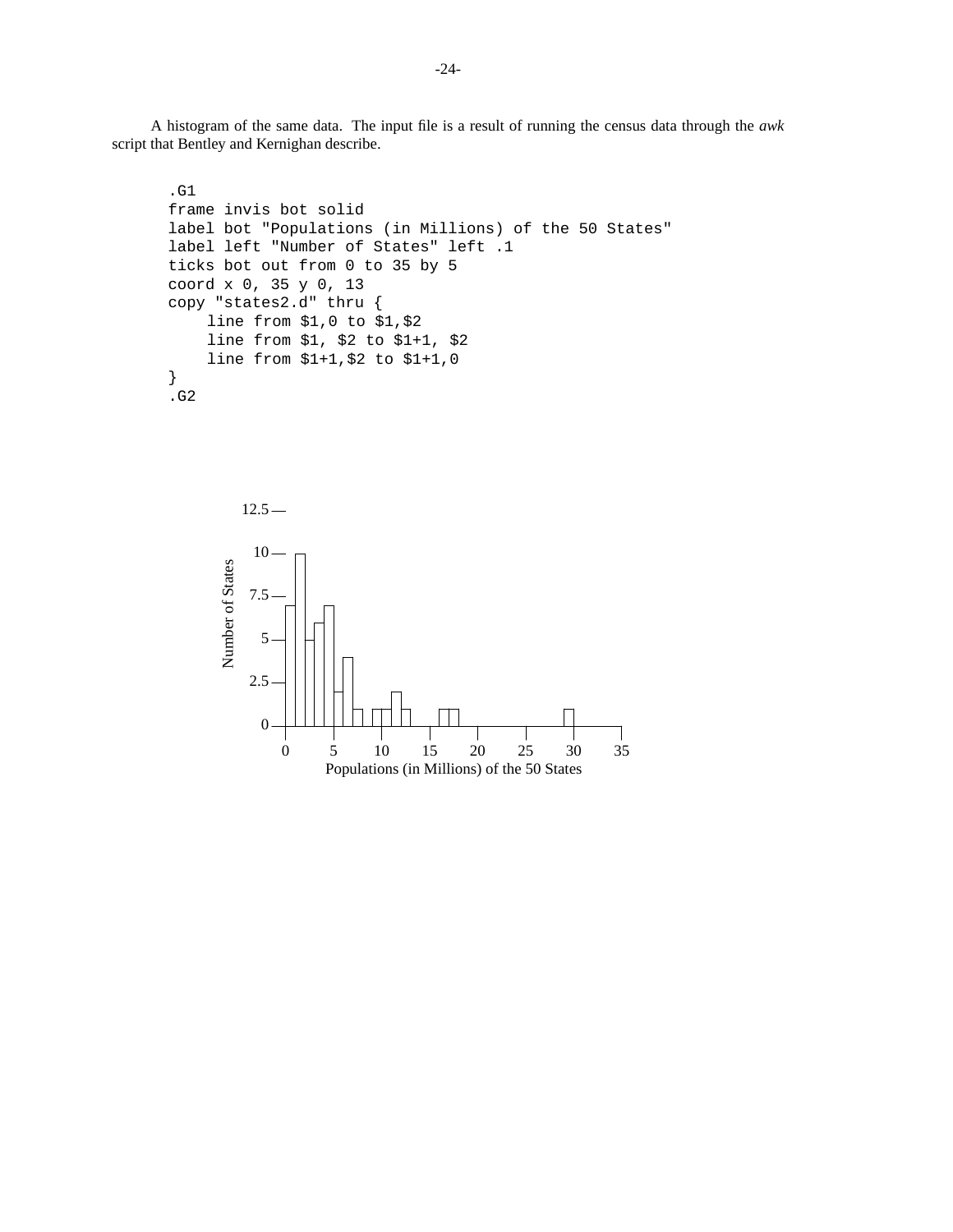A histogram of the same data. The input file is a result of running the census data through the *awk* script that Bentley and Kernighan describe.

```
.G1
frame invis bot solid
label bot "Populations (in Millions) of the 50 States"
label left "Number of States" left .1
ticks bot out from 0 to 35 by 5
coord x 0, 35 y 0, 13
copy "states2.d" thru {
    line from $1,0 to $1,$2
    line from $1, $2 to $1+1, $2
    line from $1+1,$2 to $1+1,0
}
.G2
```
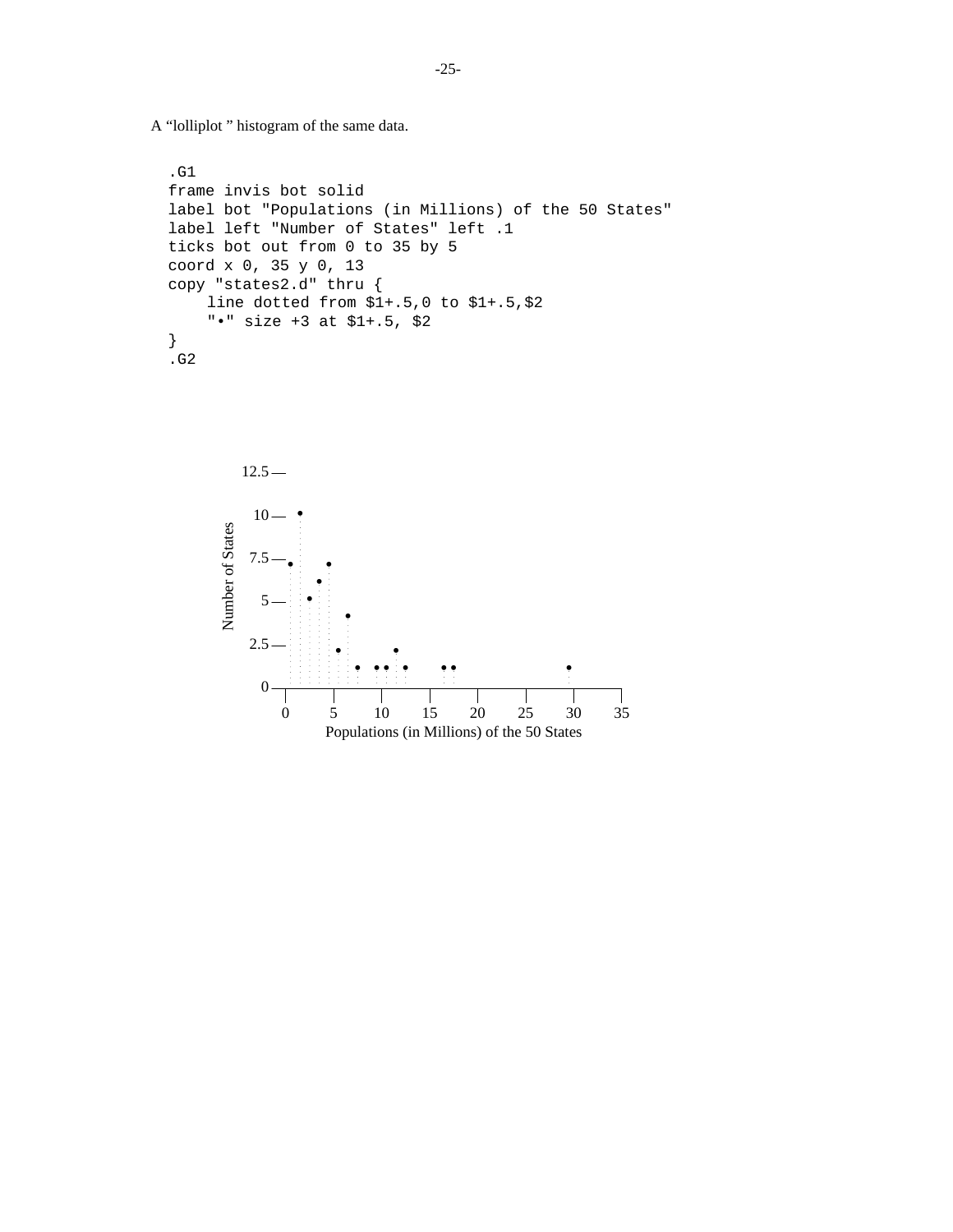A "lolliplot " histogram of the same data.

```
.G1
frame invis bot solid
label bot "Populations (in Millions) of the 50 States"
label left "Number of States" left .1
ticks bot out from 0 to 35 by 5
coord x 0, 35 y 0, 13
copy "states2.d" thru {
    line dotted from $1+.5,0 to $1+.5,$2
    "•" size +3 at $1+.5, $2
}
.G2
```
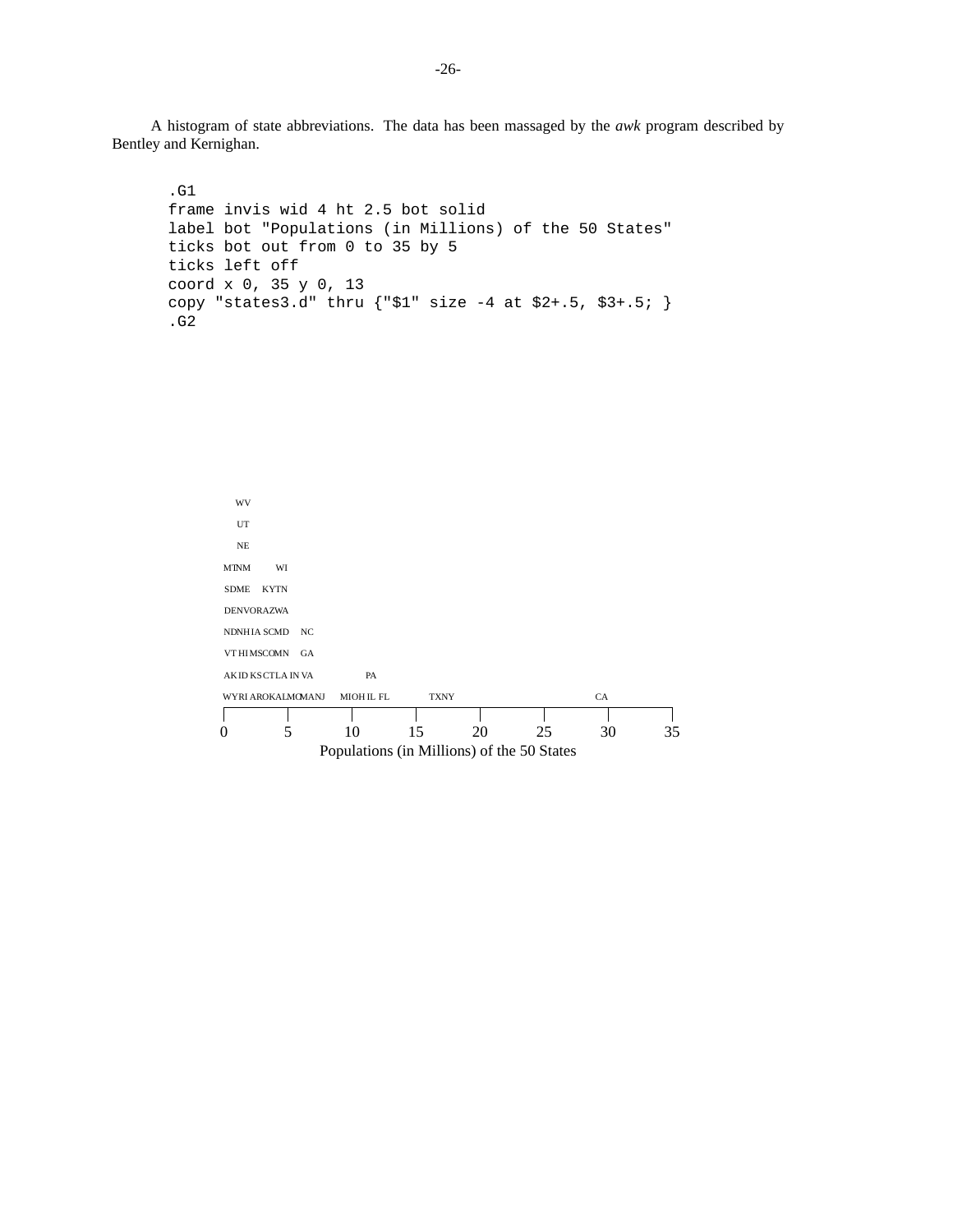A histogram of state abbreviations. The data has been massaged by the *awk* program described by Bentley and Kernighan.

```
.G1
frame invis wid 4 ht 2.5 bot solid
label bot "Populations (in Millions) of the 50 States"
ticks bot out from 0 to 35 by 5
ticks left off
coord x 0, 35 y 0, 13
copy "states3.d" thru {"$1" size -4 at $2+.5, $3+.5; }
.G2
```

```
Populations (in Millions) of the 50 States
0 5 10 15 20 25 30 35
WYRI AROKALMOMA
AK
ID
KS
CT
LA
IN
VA
VT HI MSCOMN GA
NDNHIA SCMD NC
DE
NV
OR
AZ
WA
SD
ME
KY
TN
MT
NM
 NE
 UT
 WV
      WI
              MIOH IL FL
                  PA
                          TXNY CA
```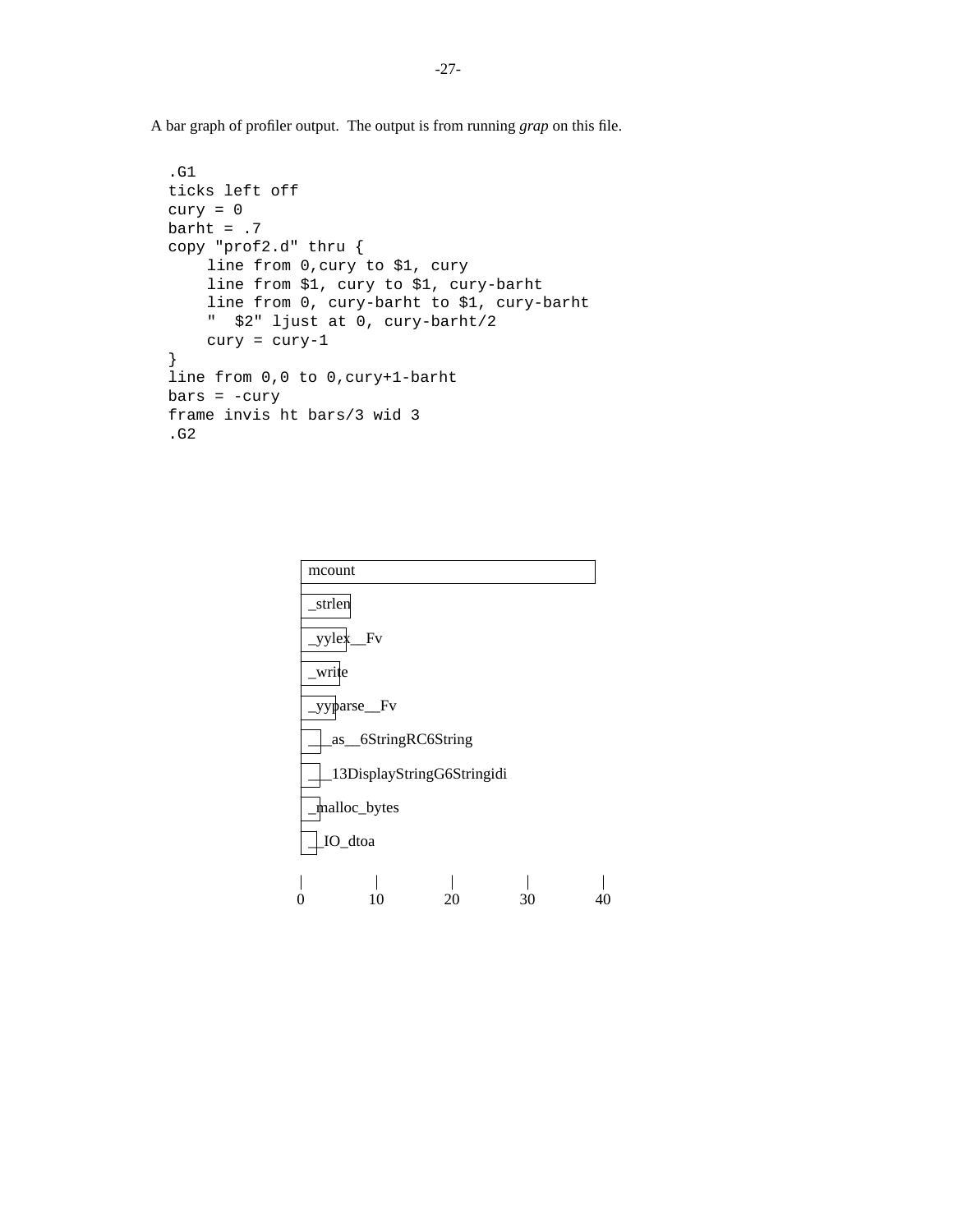A bar graph of profiler output. The output is from running *grap* on this file.

```
.G1
ticks left off
cury = 0barht = .7copy "prof2.d" thru {
    line from 0,cury to $1, cury
    line from $1, cury to $1, cury-barht
    line from 0, cury-barht to $1, cury-barht
    " $2" ljust at 0, cury-barht/2
    cury = cury-1
}
line from 0,0 to 0,cury+1-barht
bars = -curyframe invis ht bars/3 wid 3
.G2
```
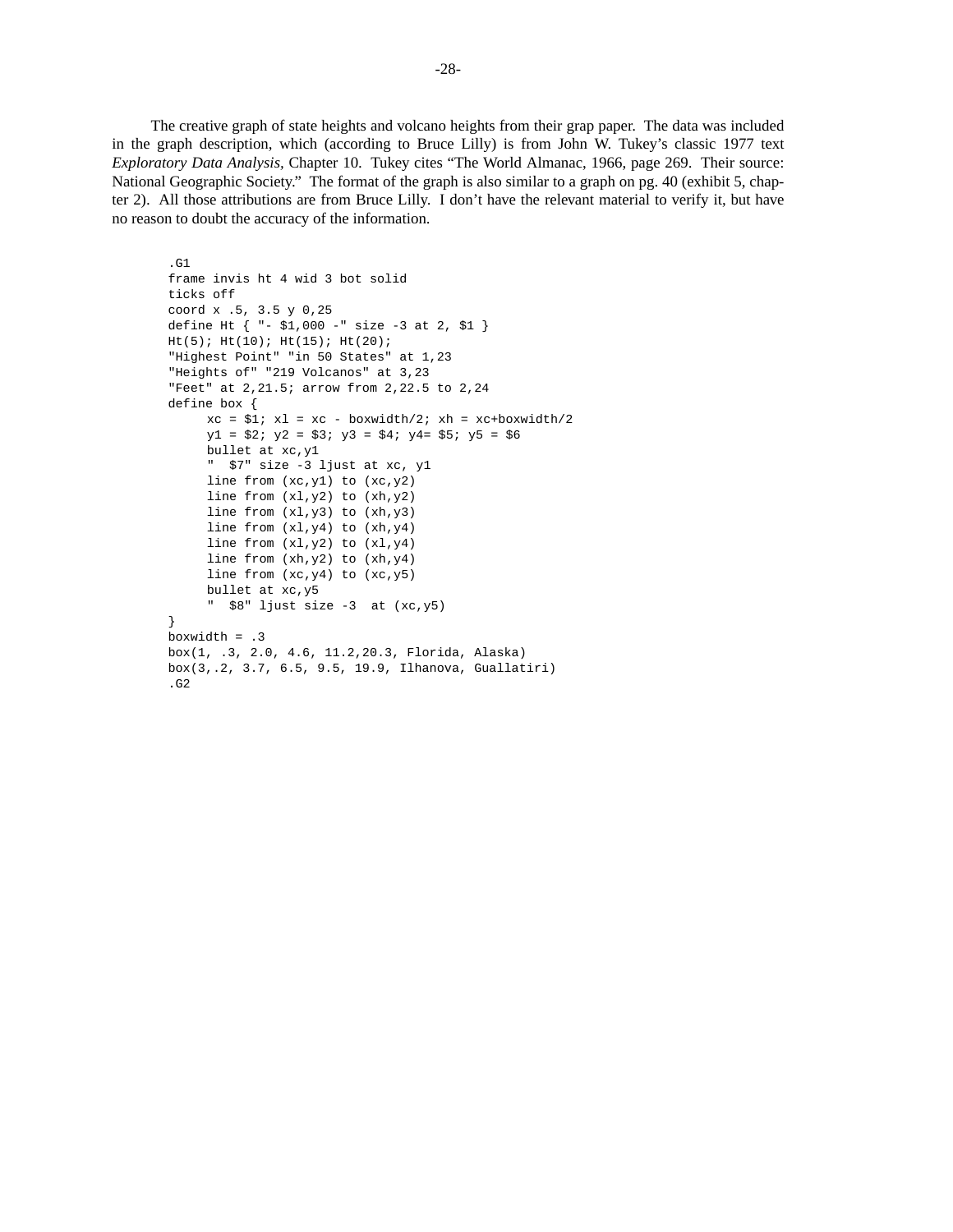The creative graph of state heights and volcano heights from their grap paper. The data was included in the graph description, which (according to Bruce Lilly) is from John W. Tukey's classic 1977 text *Exploratory Data Analysis,* Chapter 10. Tukey cites "The World Almanac, 1966, page 269. Their source: National Geographic Society." The format of the graph is also similar to a graph on pg. 40 (exhibit 5, chapter 2). All those attributions are from Bruce Lilly. I don't have the relevant material to verify it, but have no reason to doubt the accuracy of the information.

```
.G1
frame invis ht 4 wid 3 bot solid
ticks off
coord x .5, 3.5 y 0,25
define Ht { "- $1,000 -" size -3 at 2, $1 }
Ht(5); Ht(10); Ht(15); Ht(20);
"Highest Point" "in 50 States" at 1,23
"Heights of" "219 Volcanos" at 3,23
"Feet" at 2,21.5; arrow from 2,22.5 to 2,24
define box {
     xc = $1; x1 = xc - boxwidth/2; xh = xc+boxwidth/2y1 = $2; y2 = $3; y3 = $4; y4 = $5; y5 = $6bullet at xc,y1
     " $7" size -3 ljust at xc, y1
     line from (xc,y1) to (xc,y2)
     line from (xl,y2) to (xh,y2)
     line from (xl,y3) to (xh,y3)
     line from (xl,y4) to (xh,y4)
     line from (xl,y2) to (xl,y4)
     line from (xh,y2) to (xh,y4)
     line from (xc,y4) to (xc,y5)
     bullet at xc,y5
     " $8" ljust size -3 at (xc,y5)
}
boxwidth = .3
box(1, .3, 2.0, 4.6, 11.2,20.3, Florida, Alaska)
box(3,.2, 3.7, 6.5, 9.5, 19.9, Ilhanova, Guallatiri)
.G2
```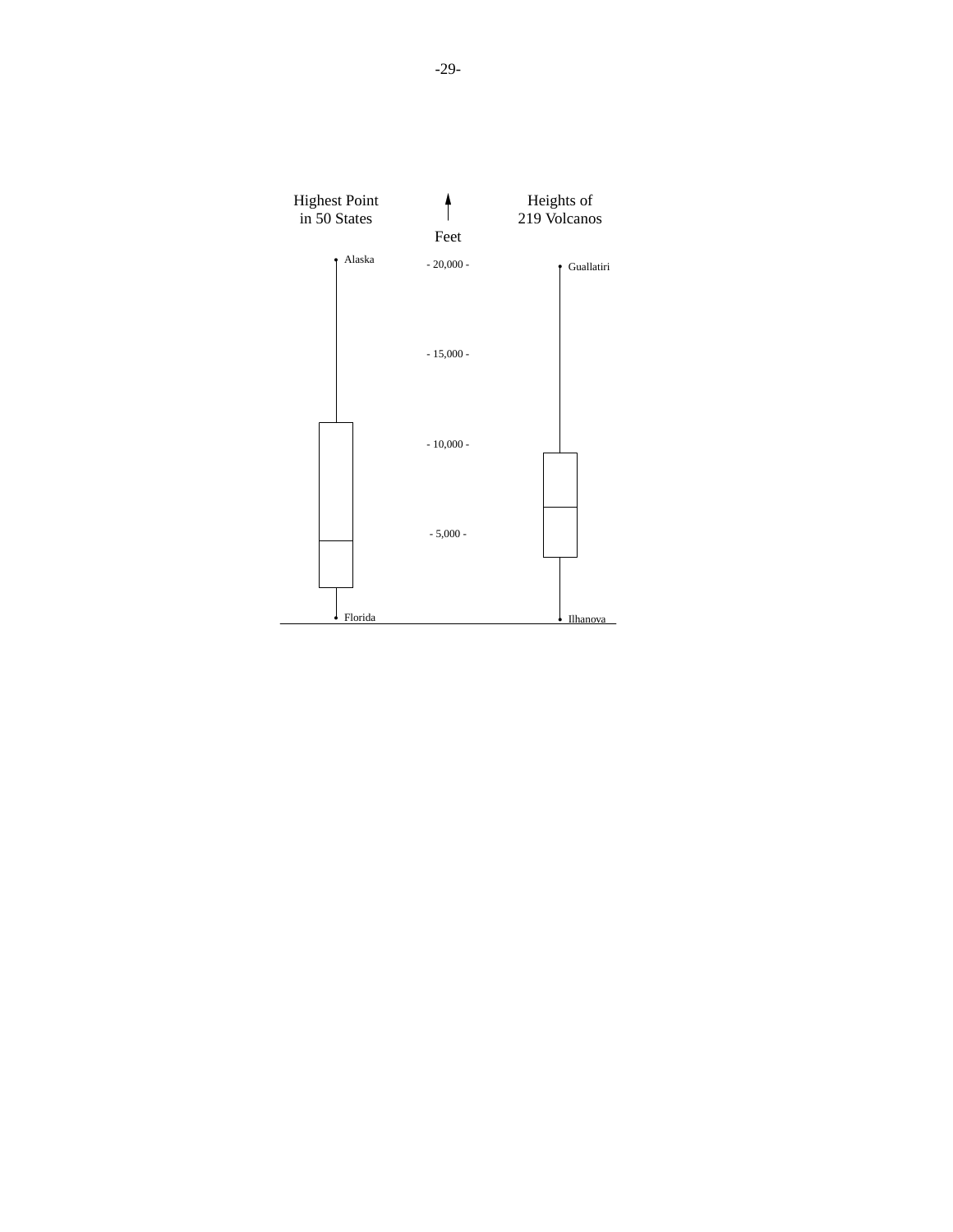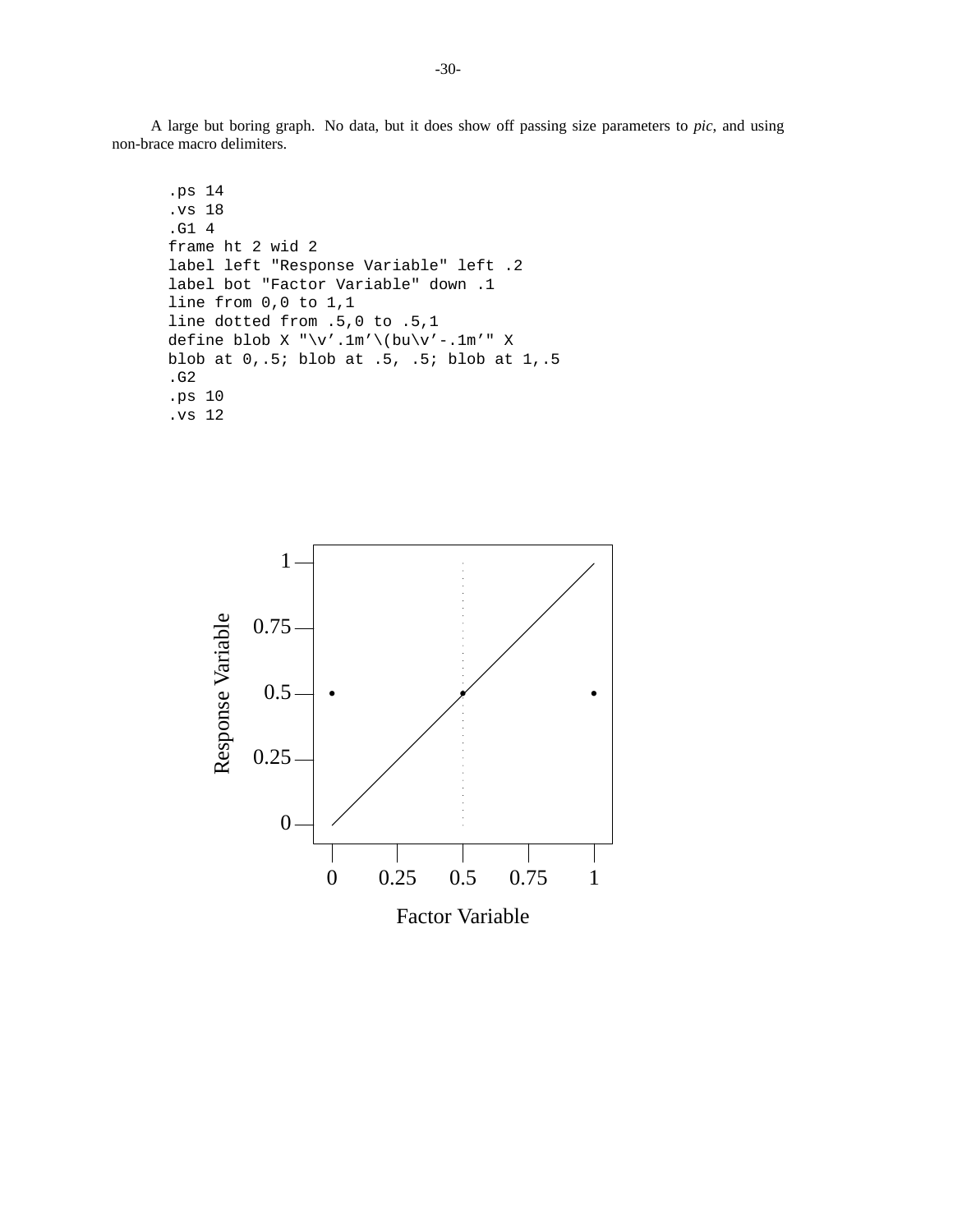A large but boring graph. No data, but it does show off passing size parameters to *pic*, and using non-brace macro delimiters.

```
.ps 14
.vs 18
.G1 4
frame ht 2 wid 2
label left "Response Variable" left .2
label bot "Factor Variable" down .1
line from 0,0 to 1,1
line dotted from .5,0 to .5,1
define blob X "\v'.1m'\(bu\v'-.1m'" X
blob at 0,.5; blob at .5, .5; blob at 1,.5
.G2
.ps 10
.vs 12
```
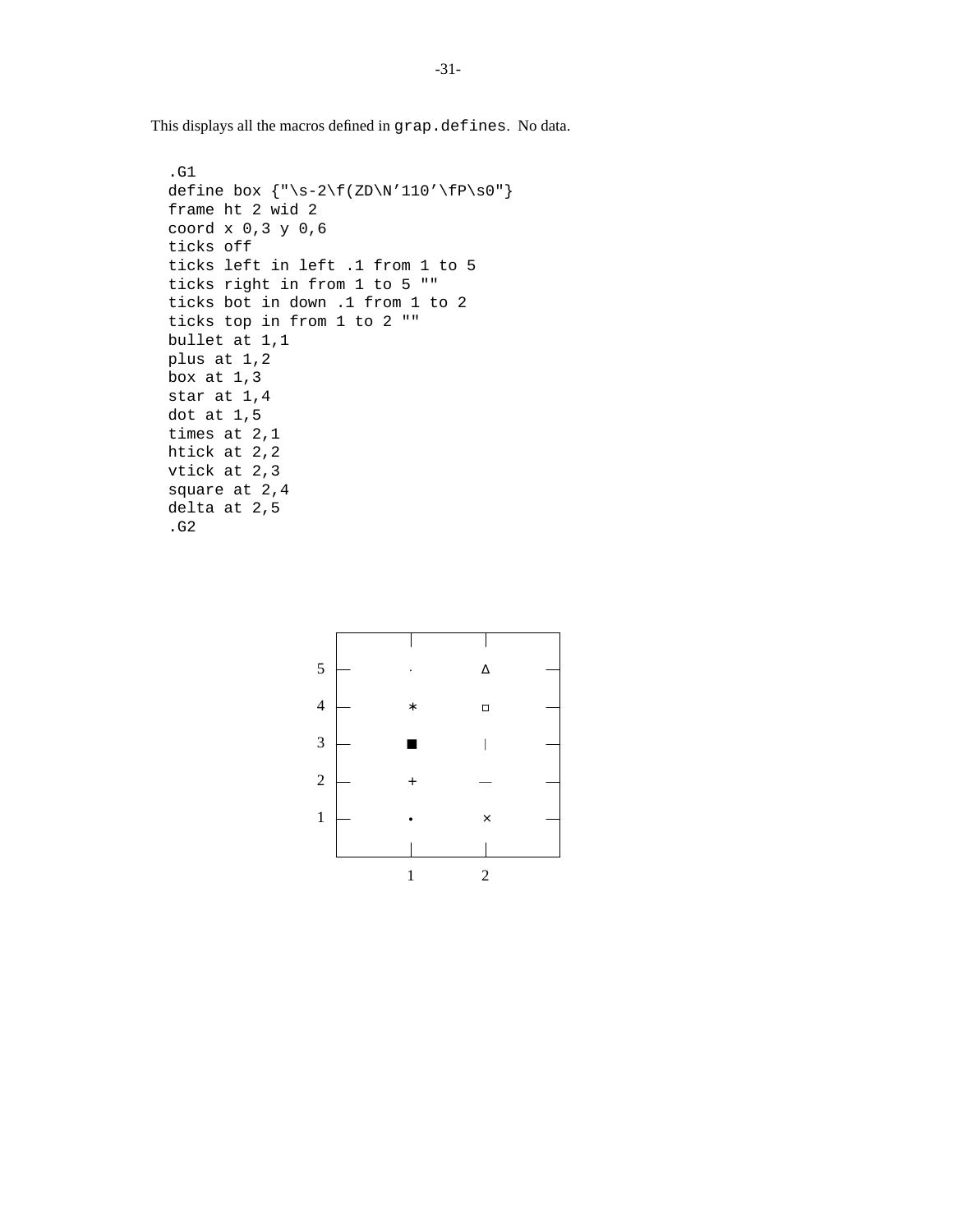This displays all the macros defined in grap.defines. No data.

```
.G1
define box {\n \times \} {\n \times \} {\n \times \}frame ht 2 wid 2
coord x 0,3 y 0,6
ticks off
ticks left in left .1 from 1 to 5
ticks right in from 1 to 5 ""
ticks bot in down .1 from 1 to 2
ticks top in from 1 to 2 ""
bullet at 1,1
plus at 1,2
box at 1,3
star at 1,4
dot at 1,5
times at 2,1
htick at 2,2
vtick at 2,3
square at 2,4
delta at 2,5
.G2
```
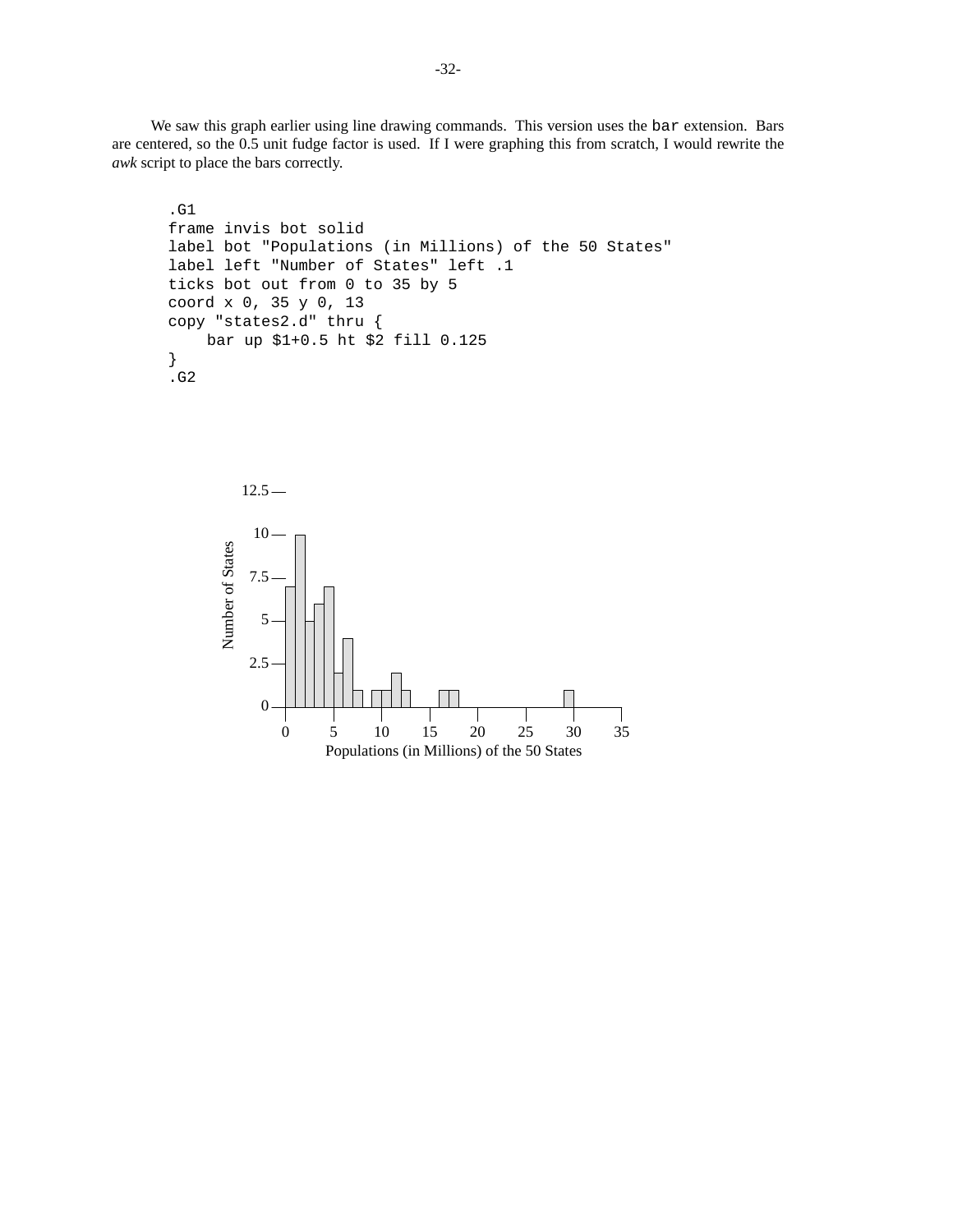We saw this graph earlier using line drawing commands. This version uses the bar extension. Bars are centered, so the 0.5 unit fudge factor is used. If I were graphing this from scratch, I would rewrite the *awk* script to place the bars correctly.

```
.G1
frame invis bot solid
label bot "Populations (in Millions) of the 50 States"
label left "Number of States" left .1
ticks bot out from 0 to 35 by 5
coord x 0, 35 y 0, 13
copy "states2.d" thru {
    bar up $1+0.5 ht $2 fill 0.125
}
.G2
```
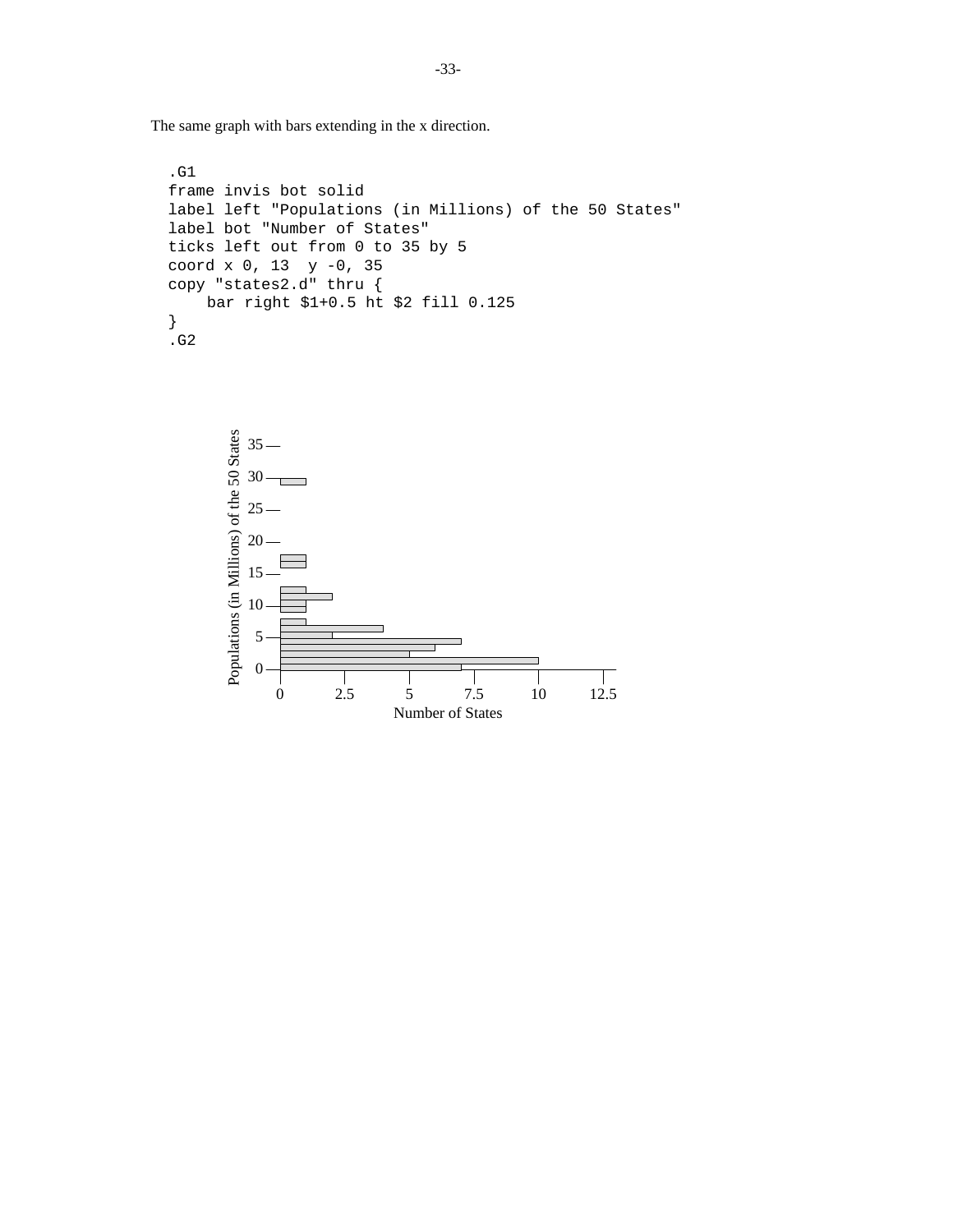The same graph with bars extending in the x direction.

```
.G1
frame invis bot solid
label left "Populations (in Millions) of the 50 States"
label bot "Number of States"
ticks left out from 0 to 35 by 5
coord x 0, 13 y -0, 35
copy "states2.d" thru {
    bar right $1+0.5 ht $2 fill 0.125
}
.G2
```
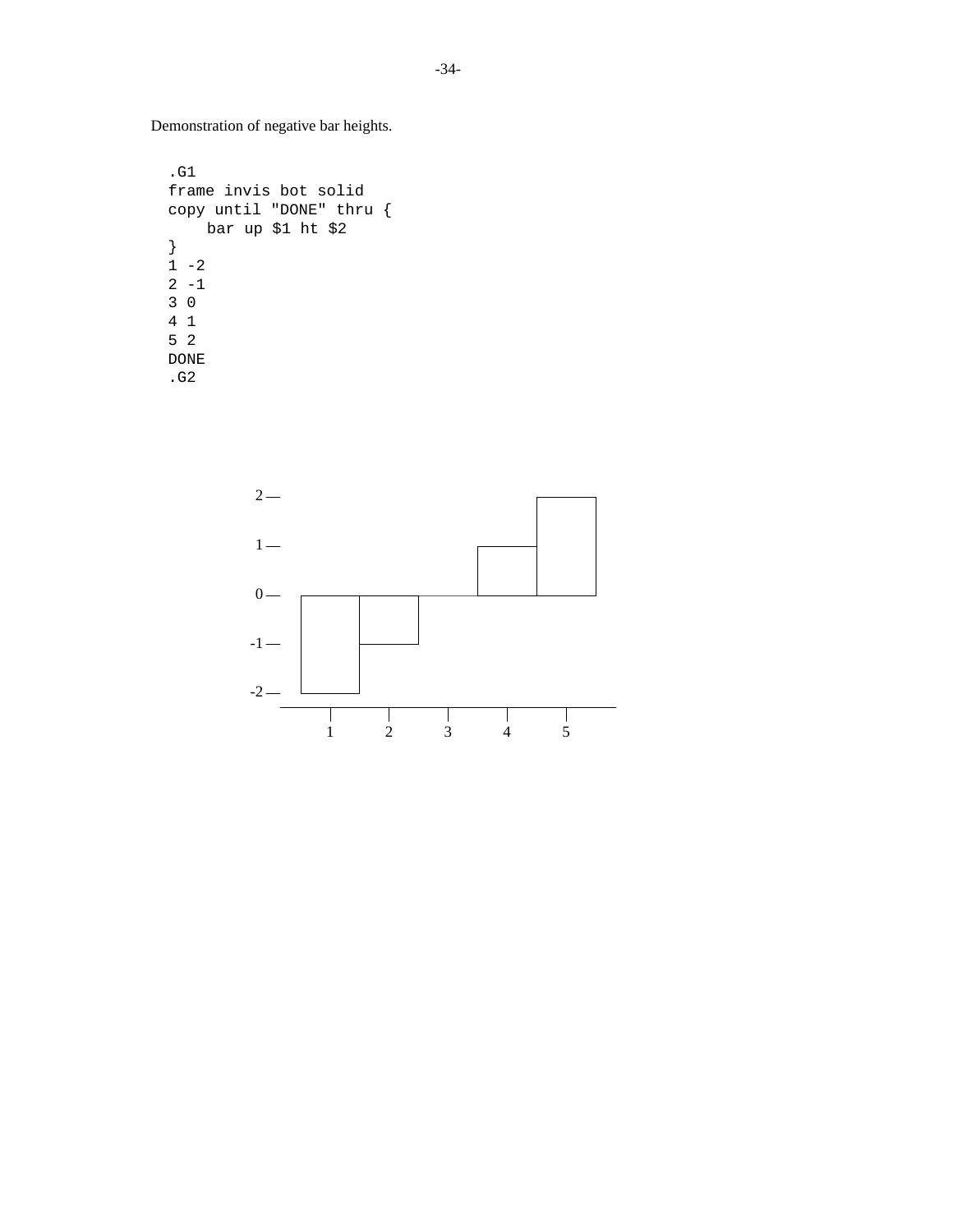Demonstration of negative bar heights.

```
.G1
frame invis bot solid
copy until "DONE" thru {
    bar up $1 ht $2
}
1 - 22 - 13 0
4 1
5 2
DONE
.G2
```
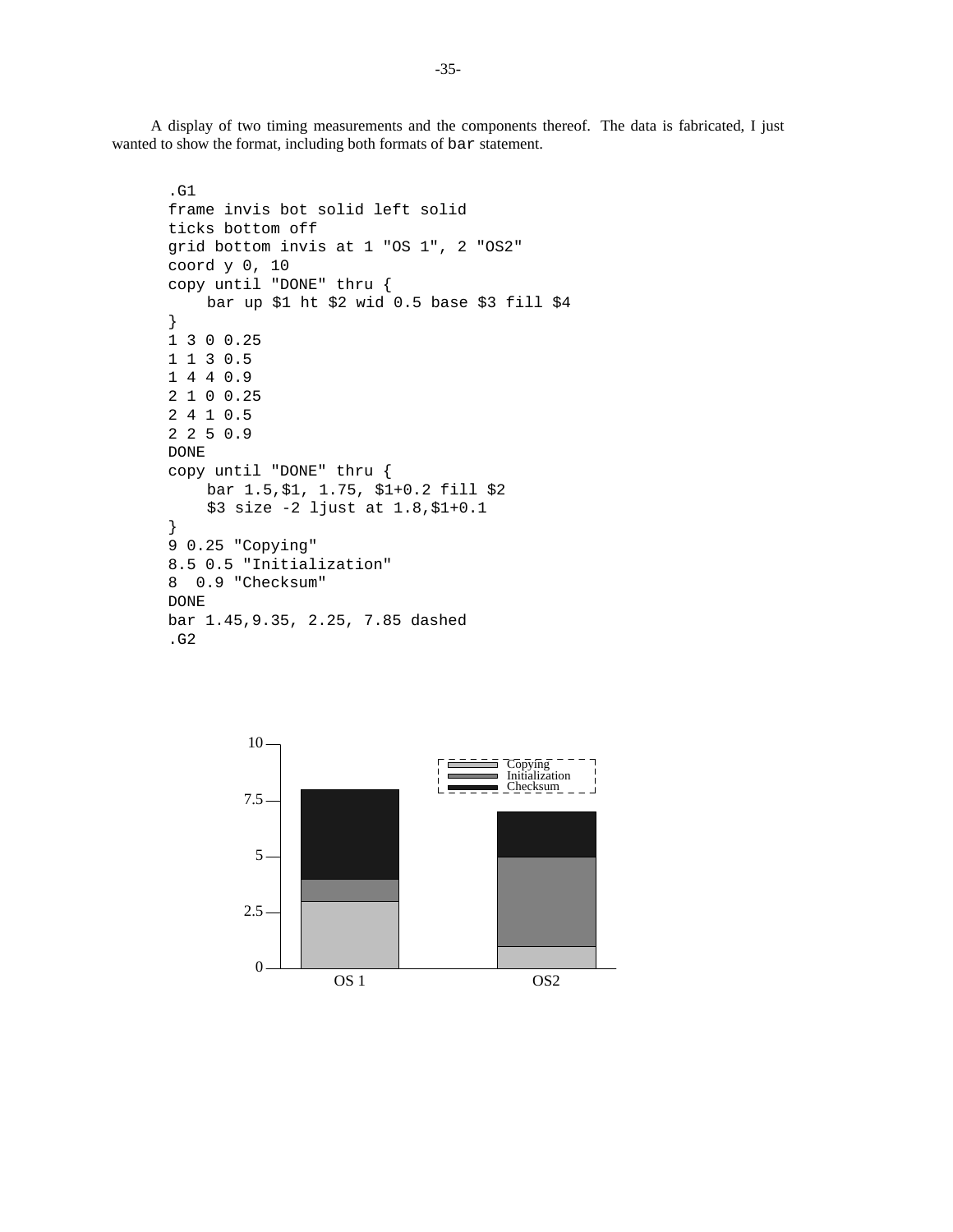A display of two timing measurements and the components thereof. The data is fabricated, I just wanted to show the format, including both formats of bar statement.

```
.G1
frame invis bot solid left solid
ticks bottom off
grid bottom invis at 1 "OS 1", 2 "OS2"
coord y 0, 10
copy until "DONE" thru {
    bar up $1 ht $2 wid 0.5 base $3 fill $4
}
1300.25
1130.5
1440.9
2100.25
2410.5
2250.9
DONE
copy until "DONE" thru {
    bar 1.5,$1, 1.75, $1+0.2 fill $2
    $3 size -2 ljust at 1.8,$1+0.1
}
9 0.25 "Copying"
8.5 0.5 "Initialization"
8 0.9 "Checksum"
DONE
bar 1.45,9.35, 2.25, 7.85 dashed
.G2
```
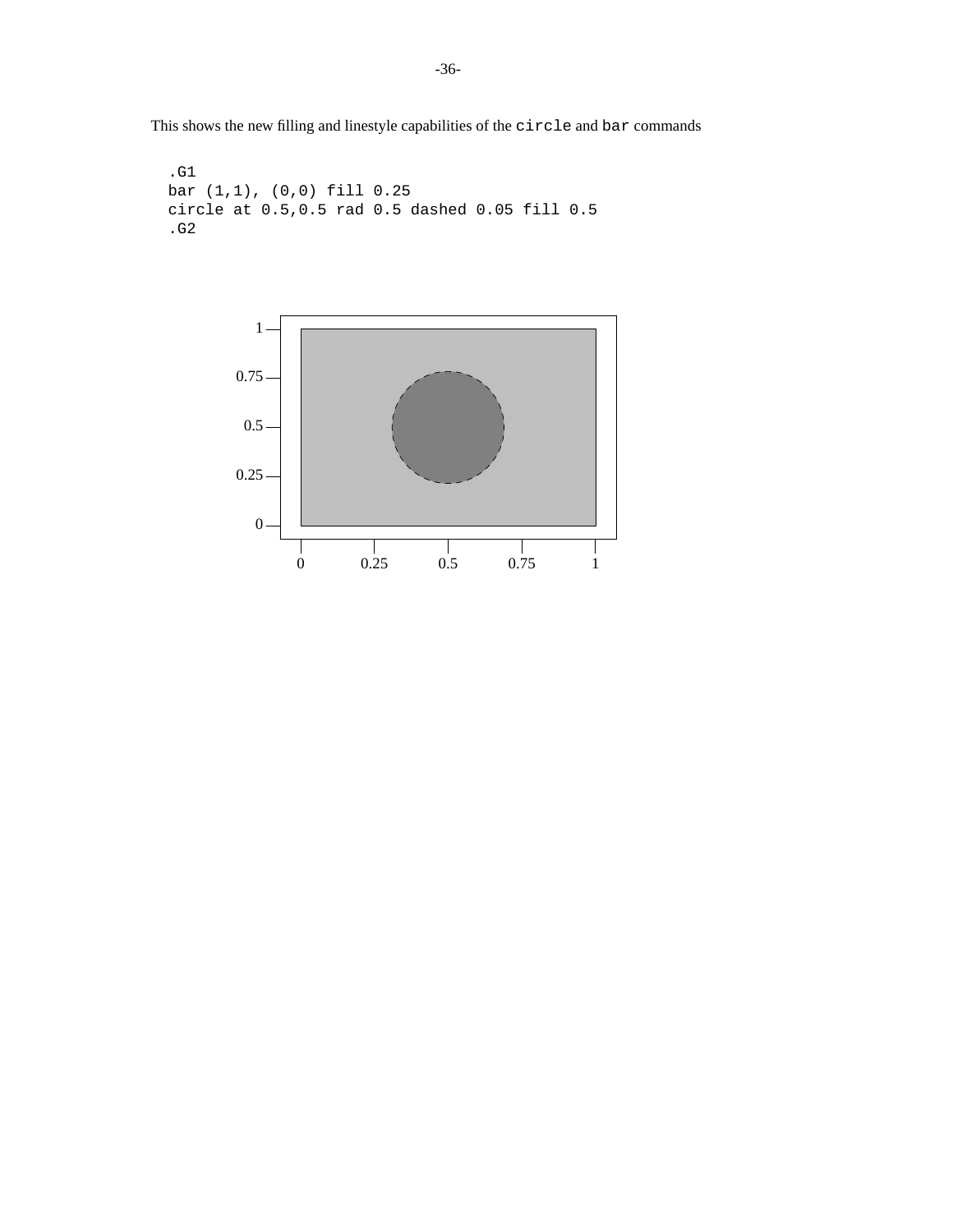This shows the new filling and linestyle capabilities of the circle and bar commands

```
.G1
bar (1,1), (0,0) fill 0.25
circle at 0.5,0.5 rad 0.5 dashed 0.05 fill 0.5
.G2
```
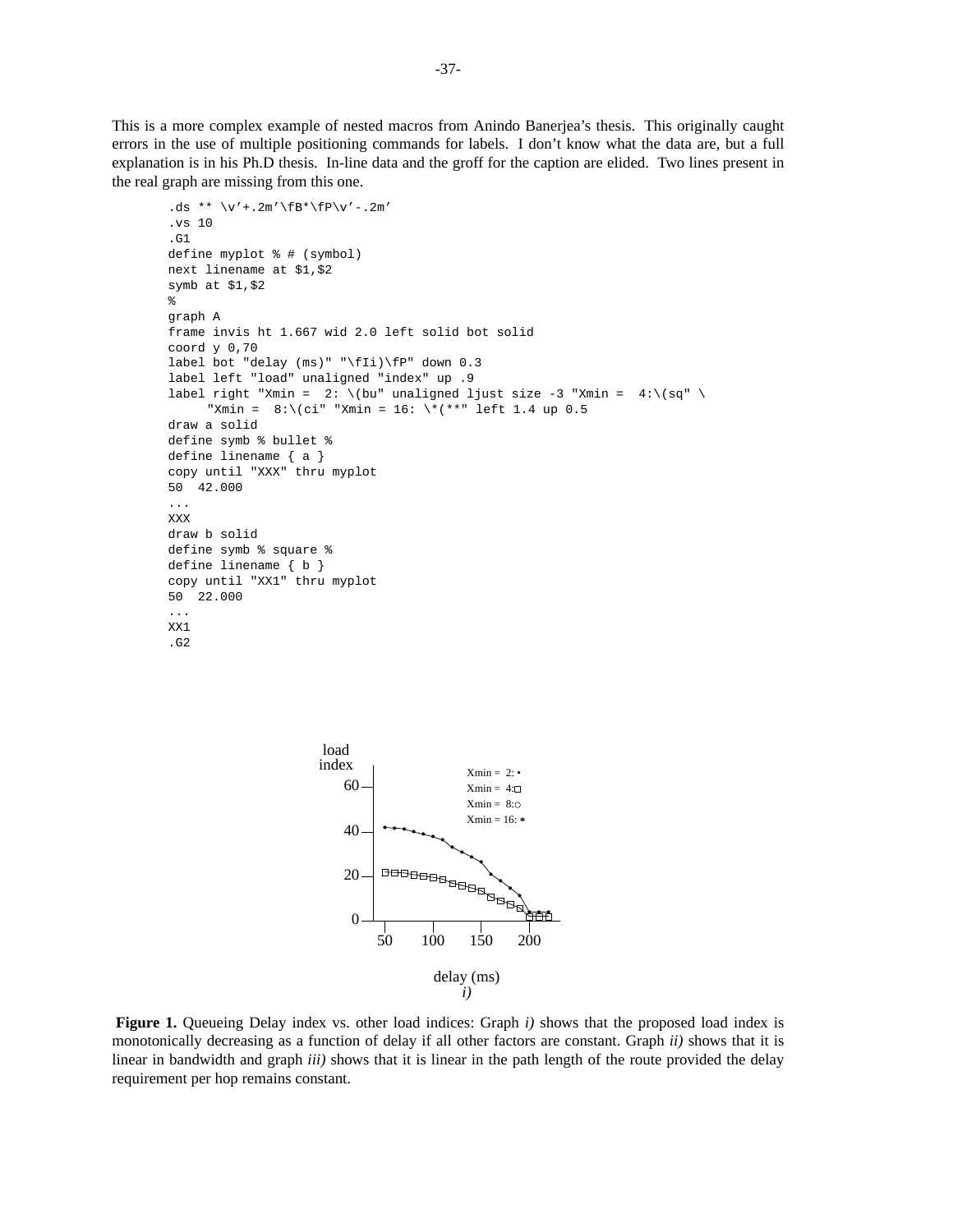This is a more complex example of nested macros from Anindo Banerjea's thesis. This originally caught errors in the use of multiple positioning commands for labels. I don't know what the data are, but a full explanation is in his Ph.D thesis. In-line data and the groff for the caption are elided. Two lines present in the real graph are missing from this one.

```
.ds ** \forall v' + .2m' \fB* \fP\vee v' - .2m'.vs 10
.G1
define myplot % # (symbol)
next linename at $1,$2
symb at $1,$2
%
graph A
frame invis ht 1.667 wid 2.0 left solid bot solid
coord y 0,70
label bot "delay (ms)" "\fIi)\fP" down 0.3
label left "load" unaligned "index" up .9
label right "Xmin = 2: \(bu" unaligned ljust size -3 "Xmin = 4:\,(sq""Xmin = 8:\((ci" "Xmin = 16: \\\*(**" left 1.4 up 0.5))draw a solid
define symb % bullet %
define linename { a }
copy until "XXX" thru myplot
50 42.000
...
XXX
draw b solid
define symb % square %
define linename { b }
copy until "XX1" thru myplot
50 22.000
...
XX1
.G2
```


**Figure 1.** Queueing Delay index vs. other load indices: Graph *i)* shows that the proposed load index is monotonically decreasing as a function of delay if all other factors are constant. Graph *ii)* shows that it is linear in bandwidth and graph *iii)* shows that it is linear in the path length of the route provided the delay requirement per hop remains constant.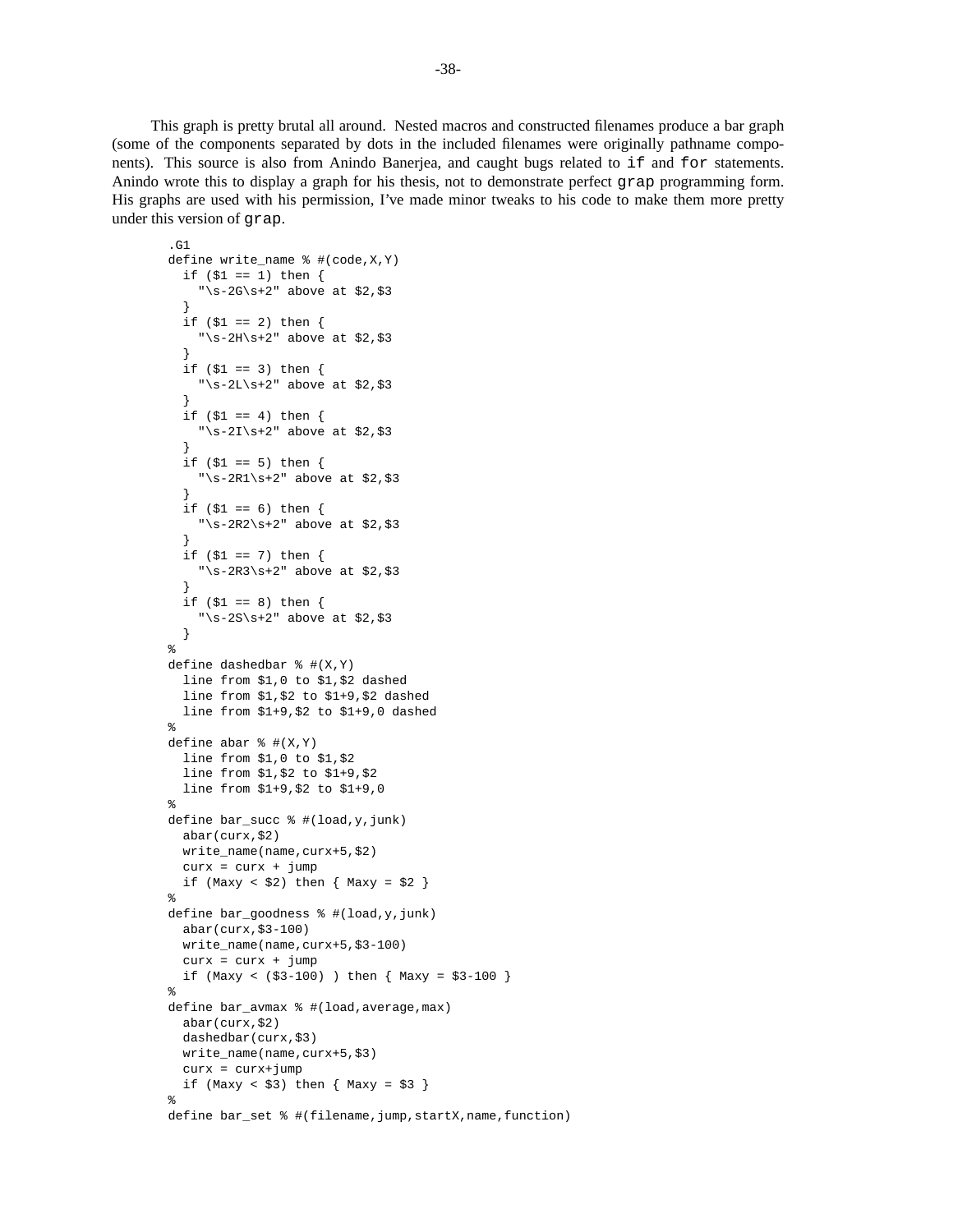This graph is pretty brutal all around. Nested macros and constructed filenames produce a bar graph (some of the components separated by dots in the included filenames were originally pathname components). This source is also from Anindo Banerjea, and caught bugs related to if and for statements. Anindo wrote this to display a graph for his thesis, not to demonstrate perfect grap programming form. His graphs are used with his permission, I've made minor tweaks to his code to make them more pretty under this version of grap.

```
.G1
define write_name % #(code,X,Y)
  if (51 == 1) then {
    "\simeq -2G\sqrt{s}+2" above at $2,$3
  }
  if ( $1 = 2) then { }"\s-2H\s+2" above at $2,$3
  }
  if ( $1 = 3) then { }"\s-2L\s+2" above at $2,$3
  }
  if (51 == 4) then {
    "\s-2I\s+2" above at $2, $3}
  if (51 == 5) then {
    "\s-2R1\s+2" above at $2,$3
  }
  if (51 == 6) then {
    "\s-2R2\s+2" above at $2, $3}
  if (\$1 == 7) then {
    "\s-2R3\s+2" above at $2,$3
  }
  if (51 == 8) then {
    "\s-2S\s+2" above at $2,$3
  }
%
define dashedbar % f(X,Y)line from $1,0 to $1,$2 dashed
  line from $1,$2 to $1+9,$2 dashed
 line from $1+9,$2 to $1+9,0 dashed
%
define abar % f(X,Y)line from $1,0 to $1,$2
  line from $1,$2 to $1+9,$2
  line from $1+9,$2 to $1+9,0
%
define bar_succ % #(load,y,junk)
 abar(curx,$2)
 write_name(name,curx+5,$2)
 curx = curx + jumpif (Maxy < $2) then { Maxy = $2 }
%
define bar_goodness % #(load,y,junk)
 abar(curx,$3-100)
  write_name(name,curx+5,$3-100)
  curx = curx + jumpif (Maxy < (\$3-100) ) then { Maxy = \$3-100 }
%
define bar_avmax % #(load,average,max)
 abar(curx,$2)
 dashedbar(curx,$3)
 write_name(name,curx+5,$3)
  curx = curx+jump
  if (Maxy < $3) then { Maxy = $3 }
%
define bar_set % #(filename, jump, startX, name, function)
```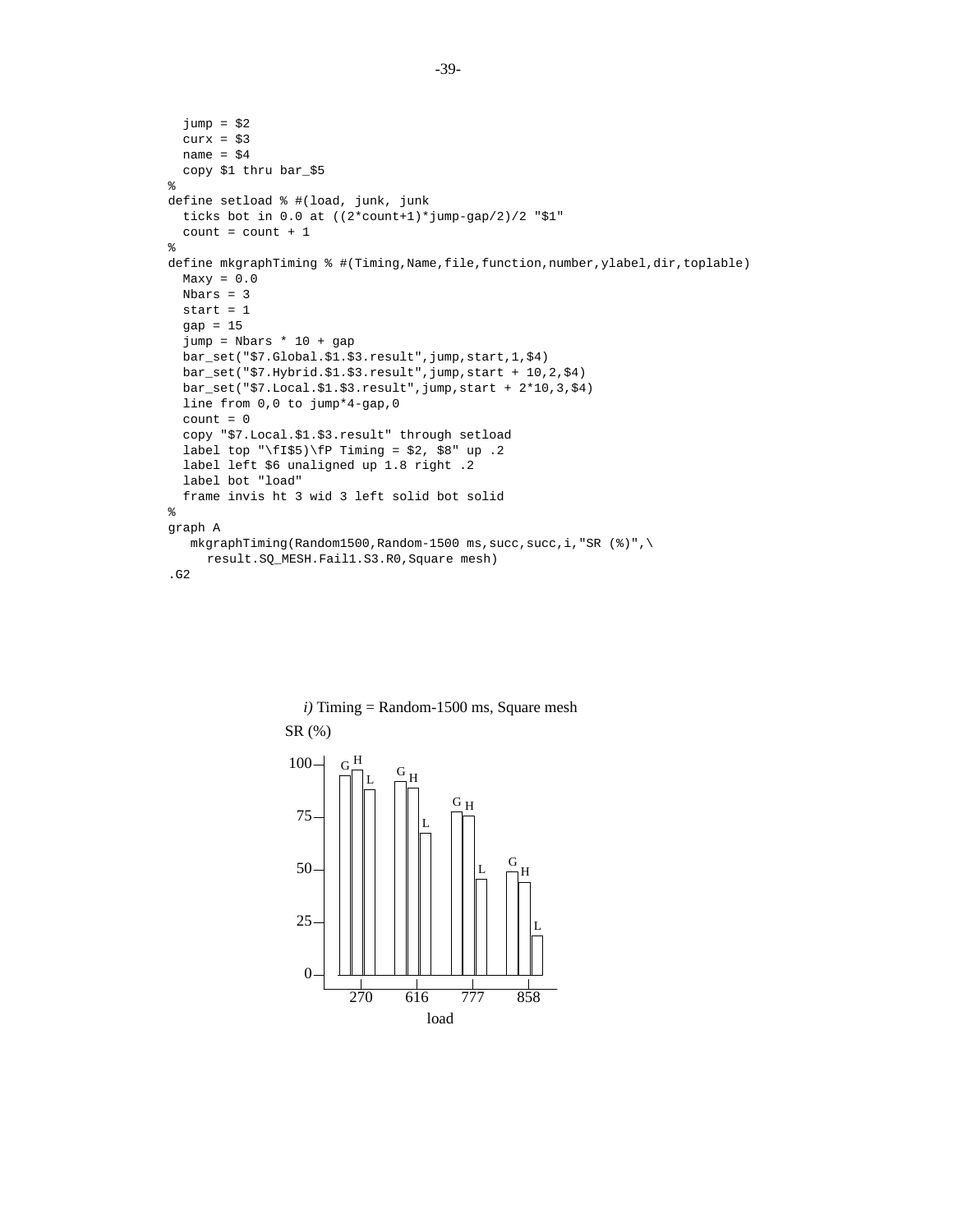```
jump = $2curx = $3name = $4copy $1 thru bar_$5
\epsilondefine setload % #(load, junk, junk
  ticks bot in 0.0 at ((2*count+1)*jump-gap/2)/2 "$1"
  count = count + 1%
define mkgraphTiming % #(Timing,Name,file,function,number,ylabel,dir,toplable)
  Maxy = 0.0Nbars = 3
 start = 1gap = 15
  jump = Nbars * 10 + gapbar_set("$7.Global.$1.$3.result",jump,start,1,$4)
 bar_set("$7.Hybrid.$1.$3.result",jump,start + 10,2,$4)
 bar_set("$7.Local.$1.$3.result",jump,start + 2*10,3,$4)
 line from 0,0 to jump*4-gap,0
  count = 0copy "$7.Local.$1.$3.result" through setload
 label top "\fI$5)\fP Timing = $2, $8" up .2
 label left $6 unaligned up 1.8 right .2
 label bot "load"
  frame invis ht 3 wid 3 left solid bot solid
%
graph A
  mkgraphTime(Random1500,Random-1500 ms, succ, succ,i, "SR (<math>8</math>)",\result.SQ_MESH.Fail1.S3.R0,Square mesh)
.G2
```


*i)* Timing = Random-1500 ms, Square mesh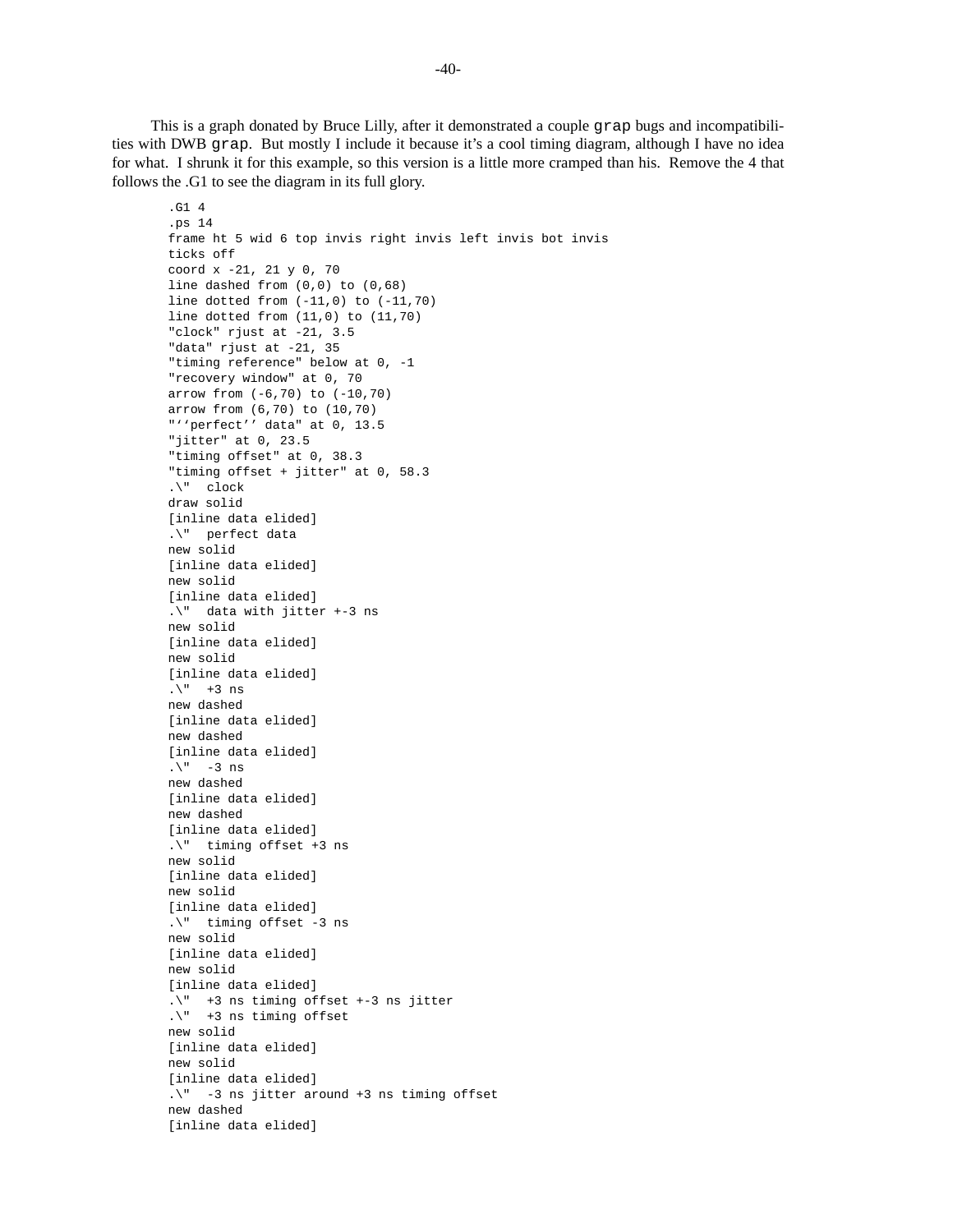This is a graph donated by Bruce Lilly, after it demonstrated a couple grap bugs and incompatibilities with DWB grap. But mostly I include it because it's a cool timing diagram, although I have no idea for what. I shrunk it for this example, so this version is a little more cramped than his. Remove the 4 that follows the .G1 to see the diagram in its full glory.

```
.G1 4
.ps 14
frame ht 5 wid 6 top invis right invis left invis bot invis
ticks off
coord x -21, 21 y 0, 70
line dashed from (0,0) to (0,68)
line dotted from (-11,0) to (-11,70)
line dotted from (11,0) to (11,70)
"clock" rjust at -21, 3.5
"data" rjust at -21, 35
"timing reference" below at 0, -1
"recovery window" at 0, 70
arrow from (-6,70) to (-10,70)
arrow from (6,70) to (10,70)
"''perfect'' data" at 0, 13.5
"jitter" at 0, 23.5
"timing offset" at 0, 38.3
"timing offset + jitter" at 0, 58.3
.\" clock
draw solid
[inline data elided]
.\" perfect data
new solid
[inline data elided]
new solid
[inline data elided]
.\" data with jitter +-3 ns
new solid
[inline data elided]
new solid
[inline data elided]
.\n\backslash" +3 ns
new dashed
[inline data elided]
new dashed
[inline data elided]
\cdot \" -3 ns
new dashed
[inline data elided]
new dashed
[inline data elided]
.\" timing offset +3 ns
new solid
[inline data elided]
new solid
[inline data elided]
.\" timing offset -3 ns
new solid
[inline data elided]
new solid
[inline data elided]
.\" +3 ns timing offset +-3 ns jitter
.\" +3 ns timing offset
new solid
[inline data elided]
new solid
[inline data elided]
.\" -3 ns jitter around +3 ns timing offset
new dashed
[inline data elided]
```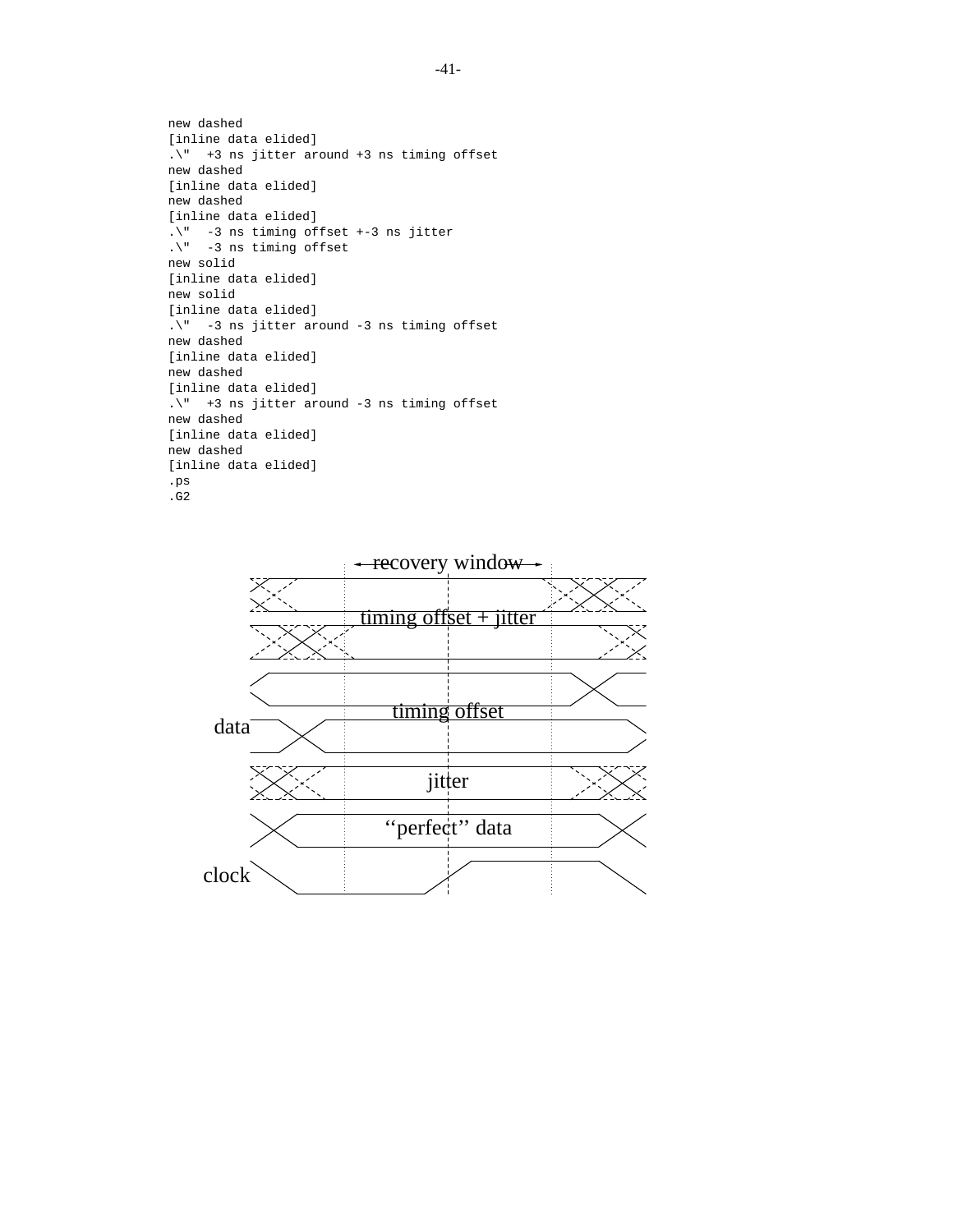```
new dashed
[inline data elided]
.\" +3 ns jitter around +3 ns timing offset
new dashed
[inline data elided]
new dashed
[inline data elided]
.\" -3 ns timing offset +-3 ns jitter
.\" -3 ns timing offset
new solid
[inline data elided]
new solid
[inline data elided]
.\" -3 ns jitter around -3 ns timing offset
new dashed
[inline data elided]
new dashed
[inline data elided]
.\" +3 ns jitter around -3 ns timing offset
new dashed
[inline data elided]
new dashed
[inline data elided]
.ps
.G2
```
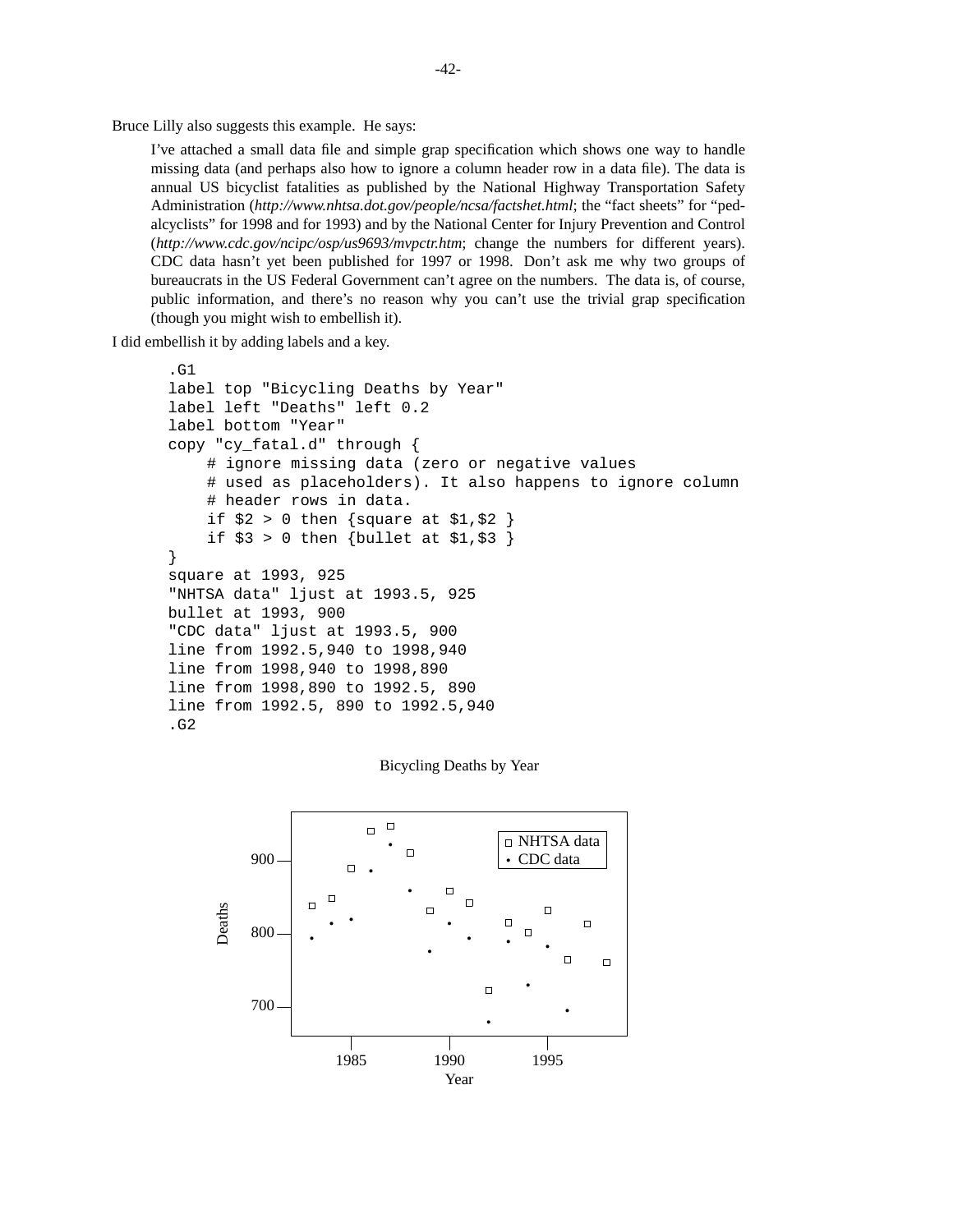Bruce Lilly also suggests this example. He says:

I've attached a small data file and simple grap specification which shows one way to handle missing data (and perhaps also how to ignore a column header row in a data file). The data is annual US bicyclist fatalities as published by the National Highway Transportation Safety Administration (*http://www.nhtsa.dot.gov/people/ncsa/factshet.html*; the "fact sheets" for "pedalcyclists" for 1998 and for 1993) and by the National Center for Injury Prevention and Control (*http://www.cdc.gov/ncipc/osp/us9693/mvpctr.htm*; change the numbers for different years). CDC data hasn't yet been published for 1997 or 1998. Don't ask me why two groups of bureaucrats in the US Federal Government can't agree on the numbers. The data is, of course, public information, and there's no reason why you can't use the trivial grap specification (though you might wish to embellish it).

I did embellish it by adding labels and a key.

```
.G1
label top "Bicycling Deaths by Year"
label left "Deaths" left 0.2
label bottom "Year"
copy "cy_fatal.d" through {
    # ignore missing data (zero or negative values
    # used as placeholders). It also happens to ignore column
    # header rows in data.
    if $2 > 0 then {square at $1, $2 }
    if $3 > 0 then {bullet at $1, $3 }
}
square at 1993, 925
"NHTSA data" ljust at 1993.5, 925
bullet at 1993, 900
"CDC data" ljust at 1993.5, 900
line from 1992.5,940 to 1998,940
line from 1998,940 to 1998,890
line from 1998,890 to 1992.5, 890
line from 1992.5, 890 to 1992.5,940
.G2
```
Bicycling Deaths by Year

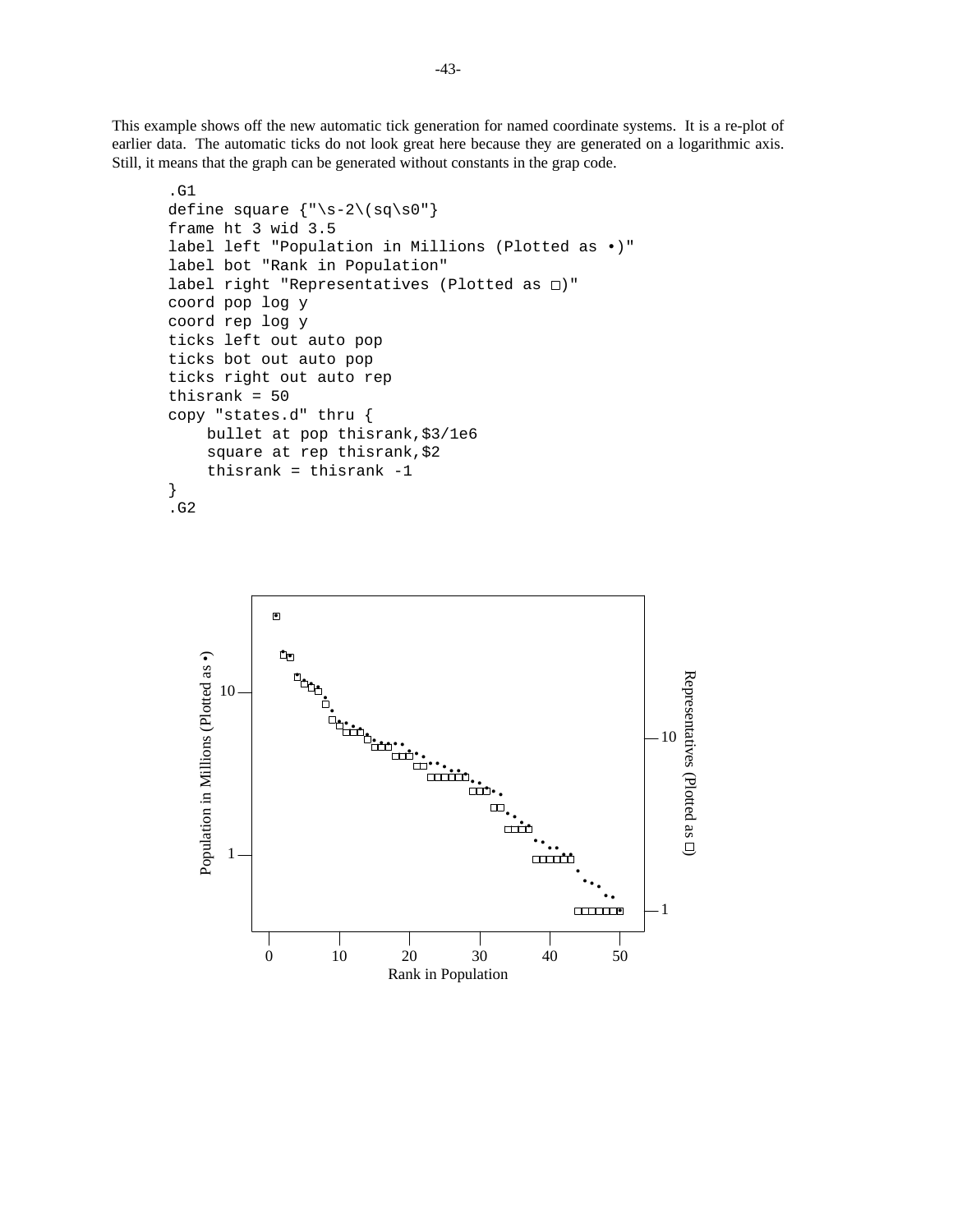This example shows off the new automatic tick generation for named coordinate systems. It is a re-plot of earlier data. The automatic ticks do not look great here because they are generated on a logarithmic axis. Still, it means that the graph can be generated without constants in the grap code.

```
.G1
define square {"\s-2\(sq\s0"}
frame ht 3 wid 3.5
label left "Population in Millions (Plotted as •)"
label bot "Rank in Population"
label right "Representatives (Plotted as \square)"
coord pop log y
coord rep log y
ticks left out auto pop
ticks bot out auto pop
ticks right out auto rep
thisrank = 50
copy "states.d" thru {
    bullet at pop thisrank,$3/1e6
    square at rep thisrank,$2
    thisrank = thisrank -1
}
.G2
```
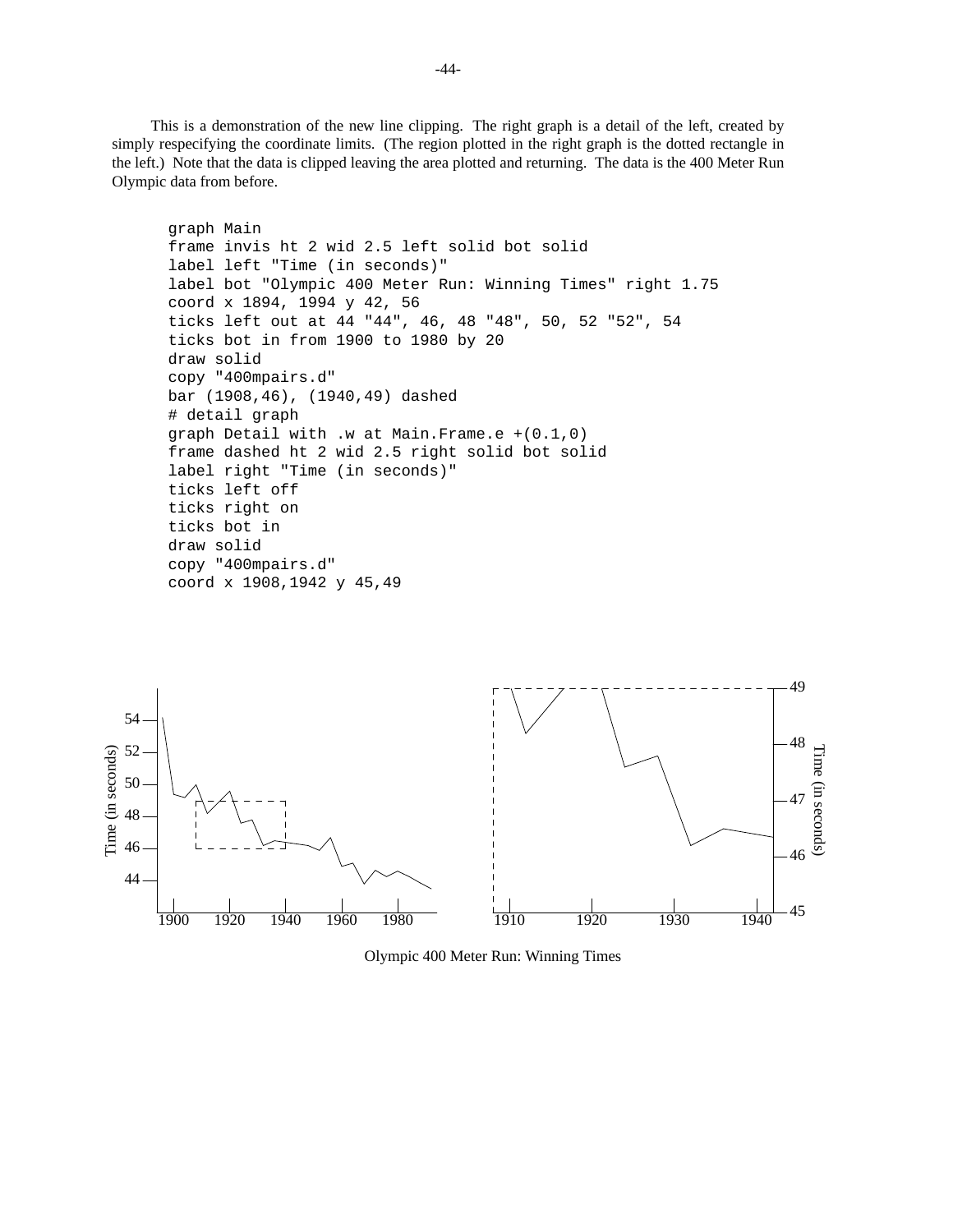This is a demonstration of the new line clipping. The right graph is a detail of the left, created by simply respecifying the coordinate limits. (The region plotted in the right graph is the dotted rectangle in the left.) Note that the data is clipped leaving the area plotted and returning. The data is the 400 Meter Run Olympic data from before.

```
graph Main
frame invis ht 2 wid 2.5 left solid bot solid
label left "Time (in seconds)"
label bot "Olympic 400 Meter Run: Winning Times" right 1.75
coord x 1894, 1994 y 42, 56
ticks left out at 44 "44", 46, 48 "48", 50, 52 "52", 54
ticks bot in from 1900 to 1980 by 20
draw solid
copy "400mpairs.d"
bar (1908,46), (1940,49) dashed
# detail graph
graph Detail with .w at Main.Frame.e +(0.1,0)
frame dashed ht 2 wid 2.5 right solid bot solid
label right "Time (in seconds)"
ticks left off
ticks right on
ticks bot in
draw solid
copy "400mpairs.d"
coord x 1908,1942 y 45,49
```


Olympic 400 Meter Run: Winning Times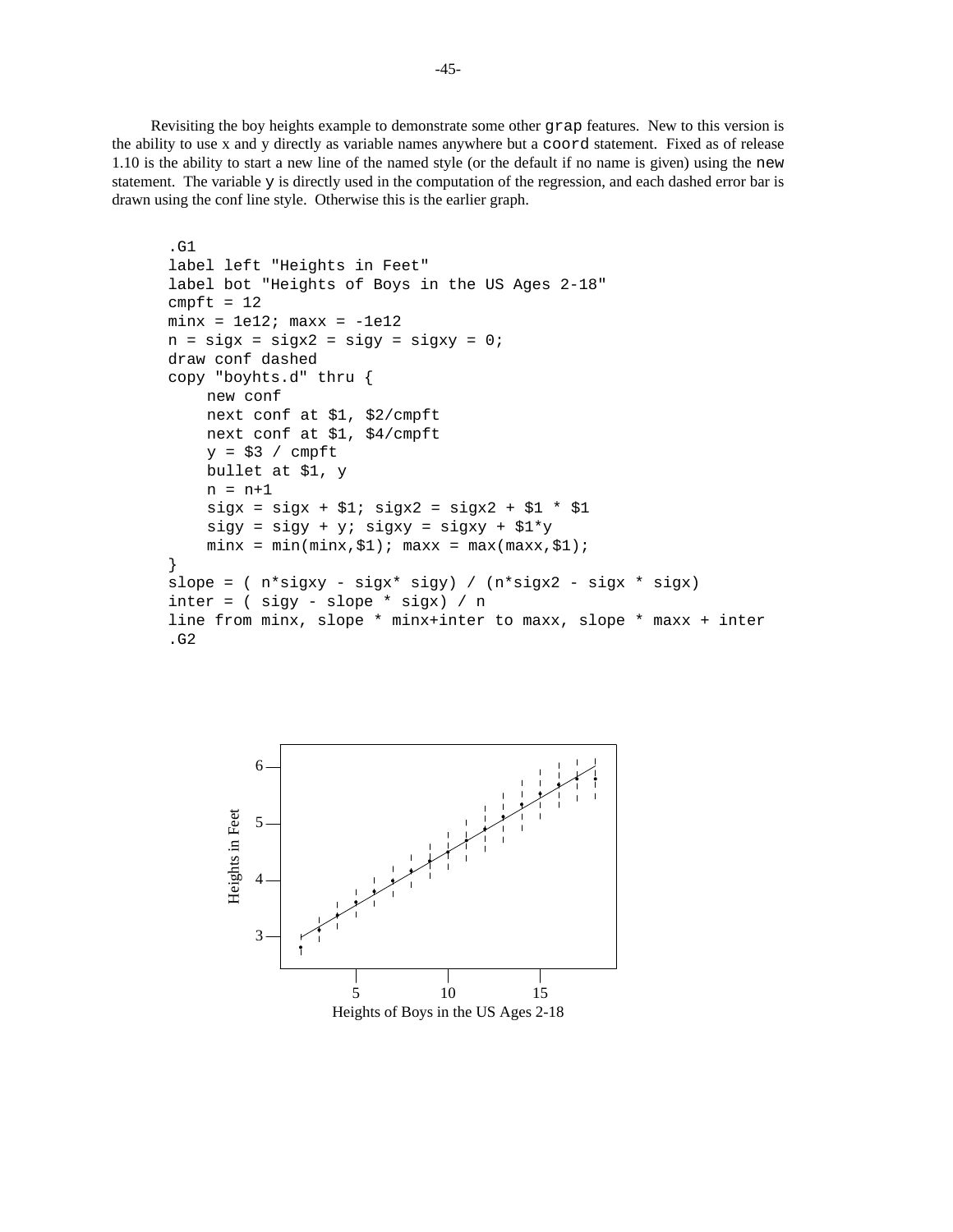Revisiting the boy heights example to demonstrate some other grap features. New to this version is the ability to use x and y directly as variable names anywhere but a coord statement. Fixed as of release 1.10 is the ability to start a new line of the named style (or the default if no name is given) using the new statement. The variable y is directly used in the computation of the regression, and each dashed error bar is drawn using the conf line style. Otherwise this is the earlier graph.

```
.G1
label left "Heights in Feet"
label bot "Heights of Boys in the US Ages 2-18"
cmpft = 12minx = 1e12; maxx = -1e12n = sigx = sigx2 = sigy = sigxy = 0;draw conf dashed
copy "boyhts.d" thru {
    new conf
    next conf at $1, $2/cmpft
    next conf at $1, $4/cmpft
    y = $3 / cmpft
    bullet at $1, y
    n = n+1sigx = sigx + $1; sigx2 = sigx2 + $1 * $1sigy = sigy + yi sigxy = sigxy + $1*yminx = min(minx, $1); maxx = max(maxx, $1);}
slope = (n * sigxy - sigx * sigy) / (n * sigx2 - sigx * sigx)inter = ( sigy - slope * sigx) / nline from minx, slope * minx+inter to maxx, slope * maxx + inter
.G2
```
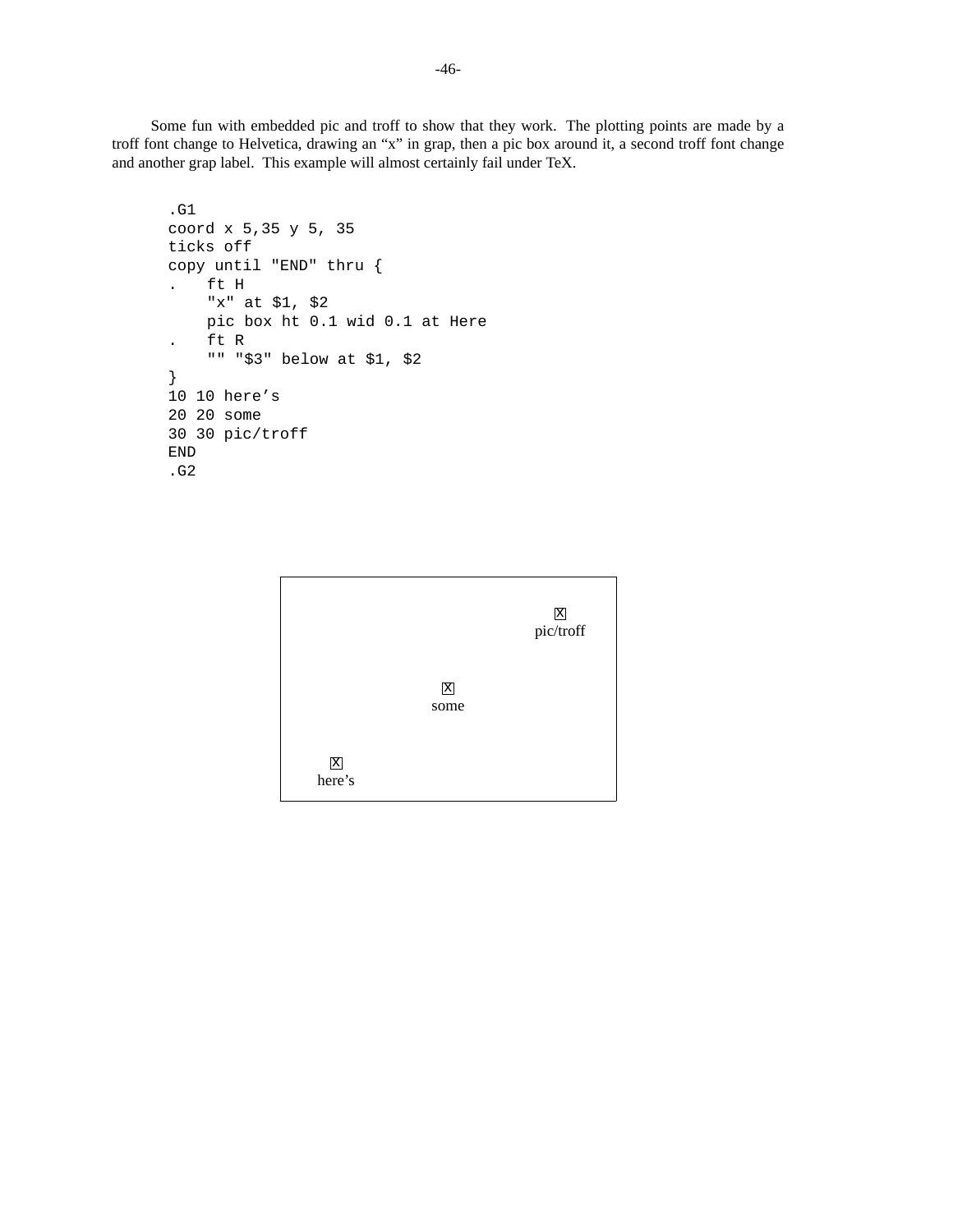Some fun with embedded pic and troff to show that they work. The plotting points are made by a troff font change to Helvetica, drawing an "x" in grap, then a pic box around it, a second troff font change and another grap label. This example will almost certainly fail under TeX.

```
.G1
coord x 5,35 y 5, 35
ticks off
copy until "END" thru {
. ft H
    "x" at $1, $2
    pic box ht 0.1 wid 0.1 at Here
    . ft R
    "" "$3" below at $1, $2
}
10 10 here's
20 20 some
30 30 pic/troff
END
.G2
```
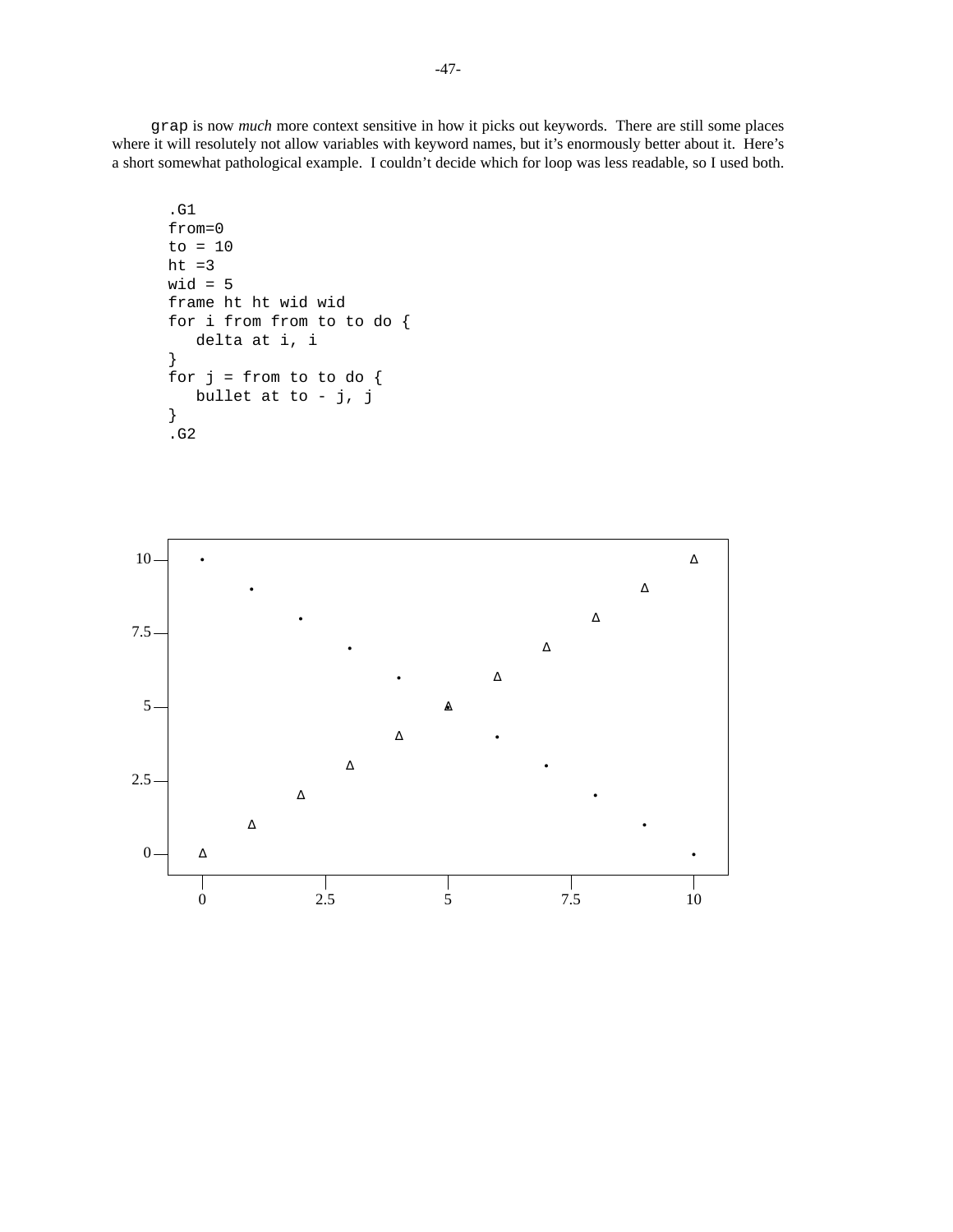grap is now *much* more context sensitive in how it picks out keywords. There are still some places where it will resolutely not allow variables with keyword names, but it's enormously better about it. Here's a short somewhat pathological example. I couldn't decide which for loop was less readable, so I used both.

```
.G1
from=0
to = 10
ht =3wid = 5
frame ht ht wid wid
for i from from to to do {
   delta at i, i
}
for j = from to to do {
   bullet at to - j, j
}
.G2
```
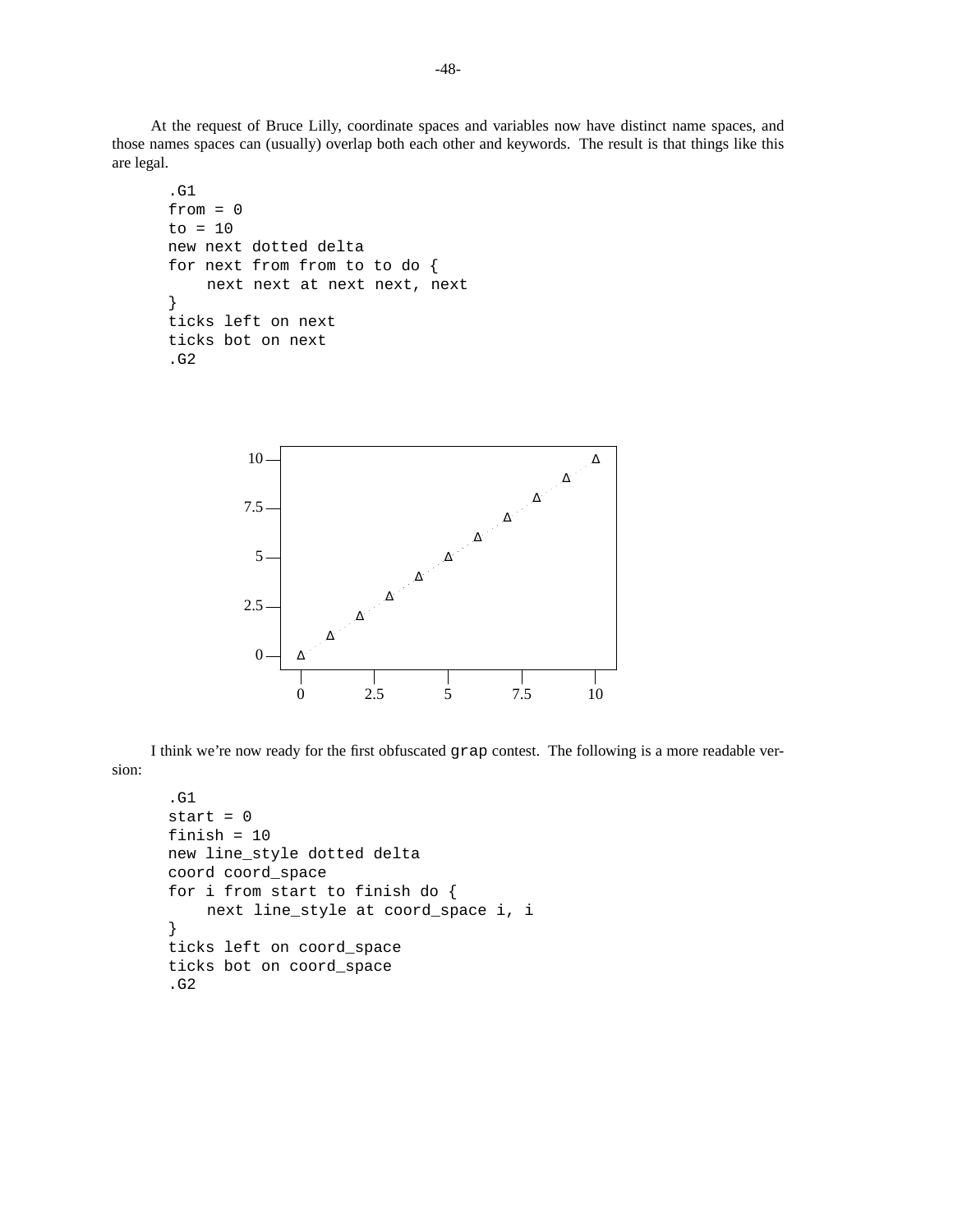At the request of Bruce Lilly, coordinate spaces and variables now have distinct name spaces, and those names spaces can (usually) overlap both each other and keywords. The result is that things like this are legal.

```
.G1
from = 0to = 10new next dotted delta
for next from from to to do {
    next next at next next, next
}
ticks left on next
ticks bot on next
.G2
```


I think we're now ready for the first obfuscated grap contest. The following is a more readable version:

```
.G1
start = 0finish = 10
new line_style dotted delta
coord coord_space
for i from start to finish do {
    next line_style at coord_space i, i
}
ticks left on coord_space
ticks bot on coord_space
.G2
```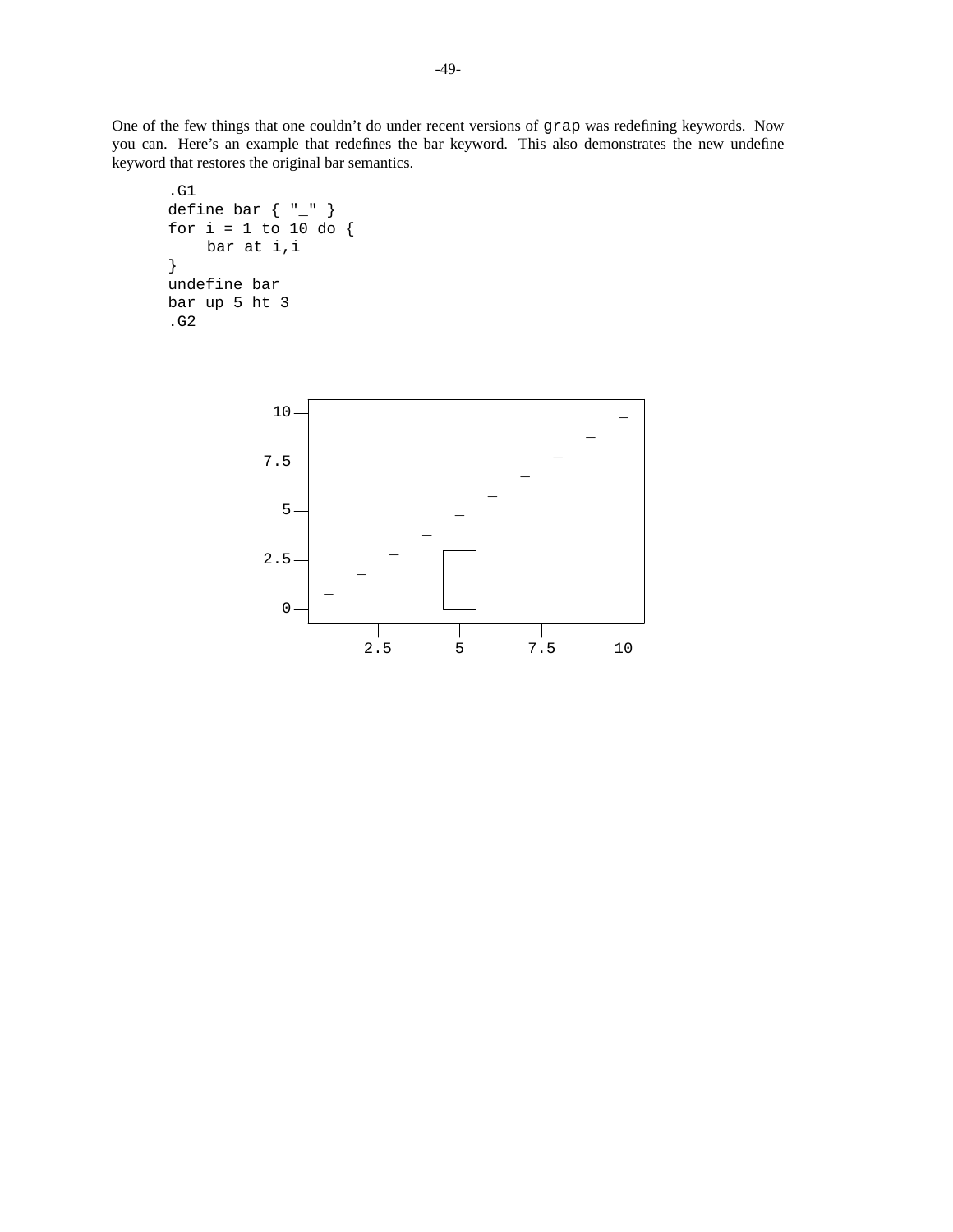One of the few things that one couldn't do under recent versions of grap was redefining keywords. Now you can. Here's an example that redefines the bar keyword. This also demonstrates the new undefine keyword that restores the original bar semantics.

```
.G1
define bar { "_" }
for i = 1 to 10 do {
    bar at i,i
}
undefine bar
bar up 5 ht 3
.G2
```
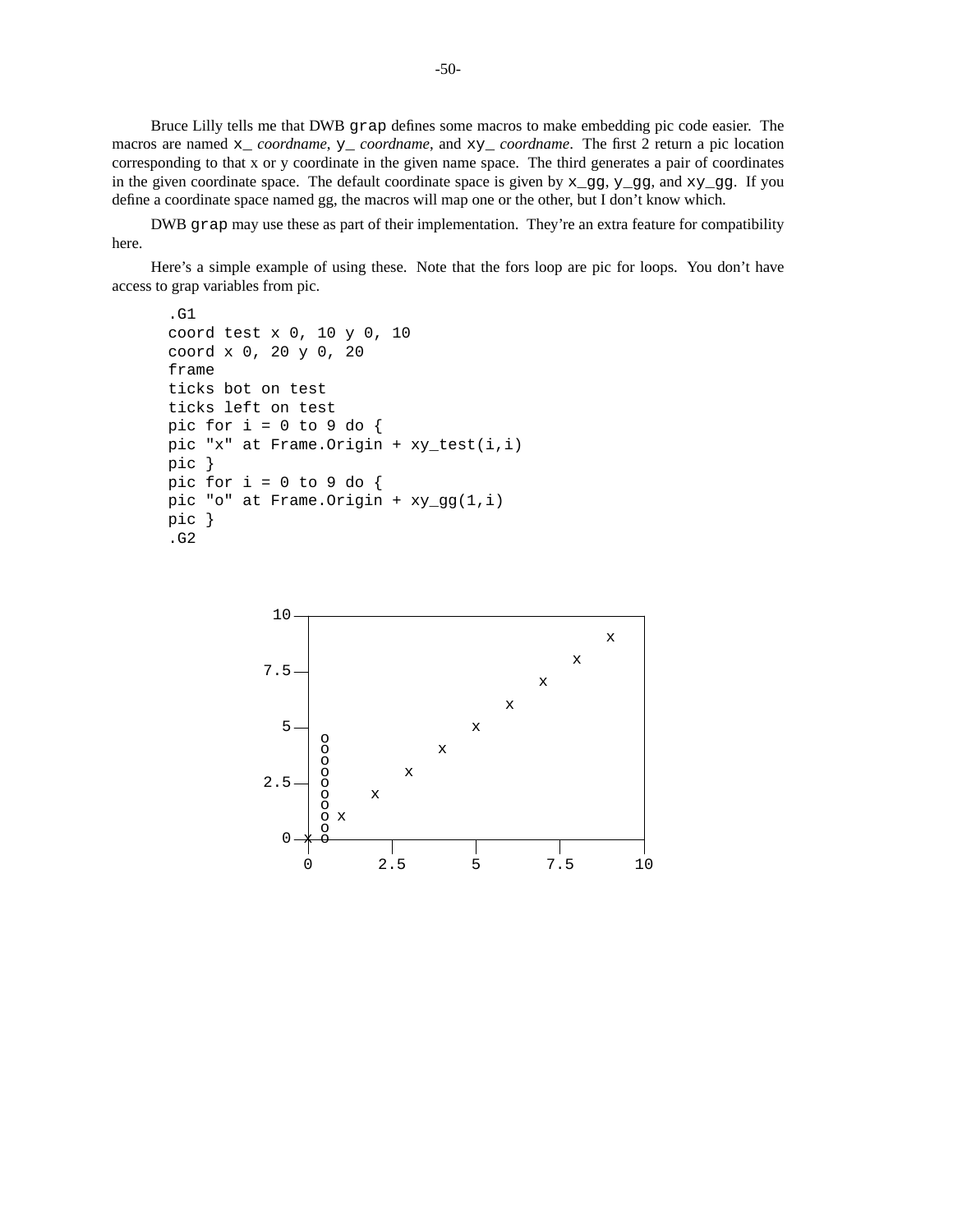Bruce Lilly tells me that DWB grap defines some macros to make embedding pic code easier. The macros are named x\_ *coordname*, y\_ *coordname*, and xy\_ *coordname*. The first 2 return a pic location corresponding to that x or y coordinate in the given name space. The third generates a pair of coordinates in the given coordinate space. The default coordinate space is given by  $x_gg$ ,  $y_gg$ , and  $xy_gg$ . If you define a coordinate space named gg, the macros will map one or the other, but I don't know which.

DWB grap may use these as part of their implementation. They're an extra feature for compatibility here.

Here's a simple example of using these. Note that the fors loop are pic for loops. You don't have access to grap variables from pic.

```
.G1
coord test x 0, 10 y 0, 10
coord x 0, 20 y 0, 20
frame
ticks bot on test
ticks left on test
pic for i = 0 to 9 do {
pic "x" at Frame.Origin + xy_test(i,i)
pic }
pic for i = 0 to 9 do {
pic "o" at Frame.Origin + xy_gg(1,i)
pic }
.G2
```
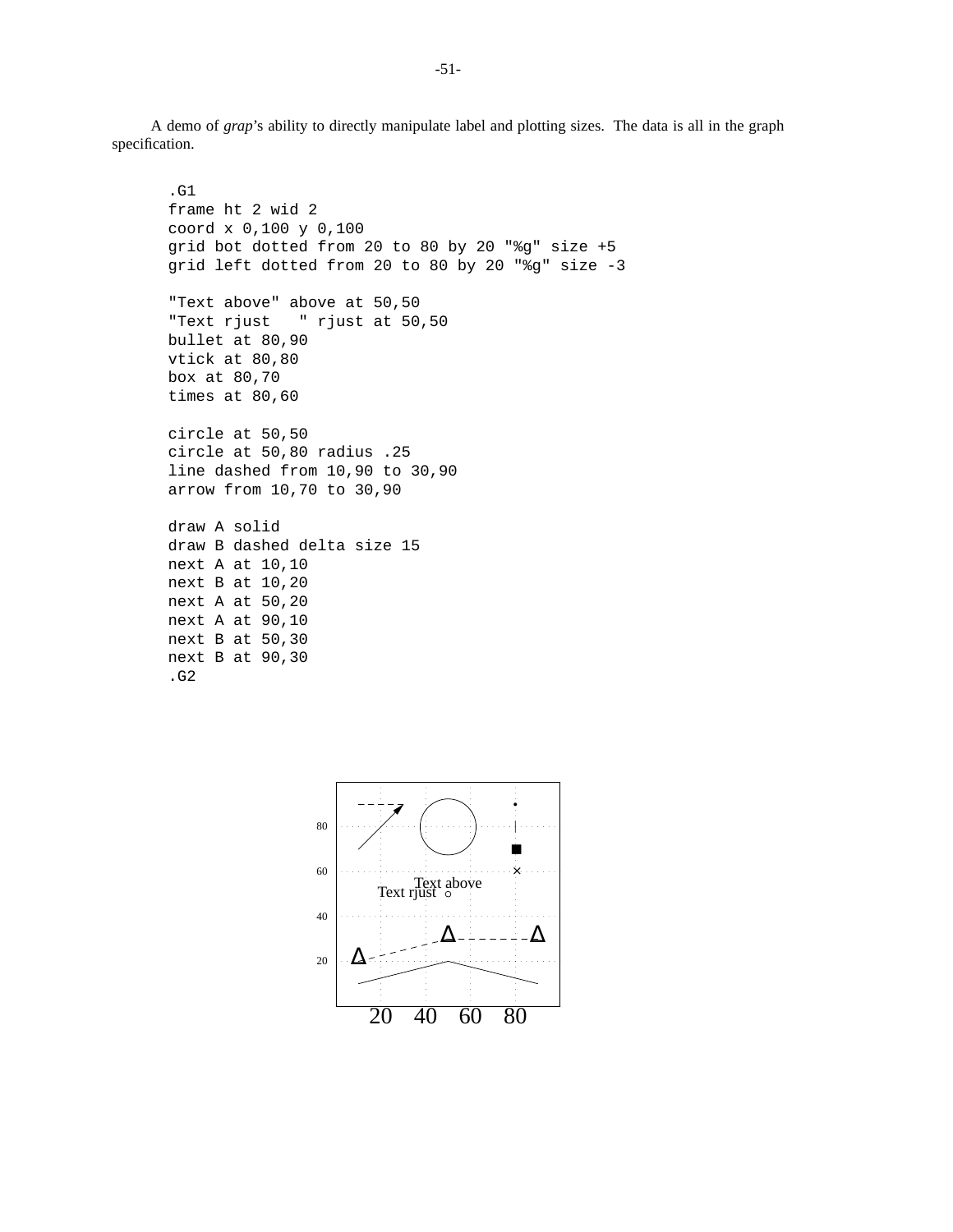A demo of *grap*'s ability to directly manipulate label and plotting sizes. The data is all in the graph specification.

```
.G1
frame ht 2 wid 2
coord x 0,100 y 0,100
grid bot dotted from 20 to 80 by 20 "%g" size +5
grid left dotted from 20 to 80 by 20 "%g" size -3
"Text above" above at 50,50
"Text rjust " rjust at 50,50
bullet at 80,90
vtick at 80,80
box at 80,70
times at 80,60
circle at 50,50
circle at 50,80 radius .25
line dashed from 10,90 to 30,90
arrow from 10,70 to 30,90
draw A solid
draw B dashed delta size 15
next A at 10,10
next B at 10,20
next A at 50,20
next A at 90,10
next B at 50,30
next B at 90,30
.G2
```
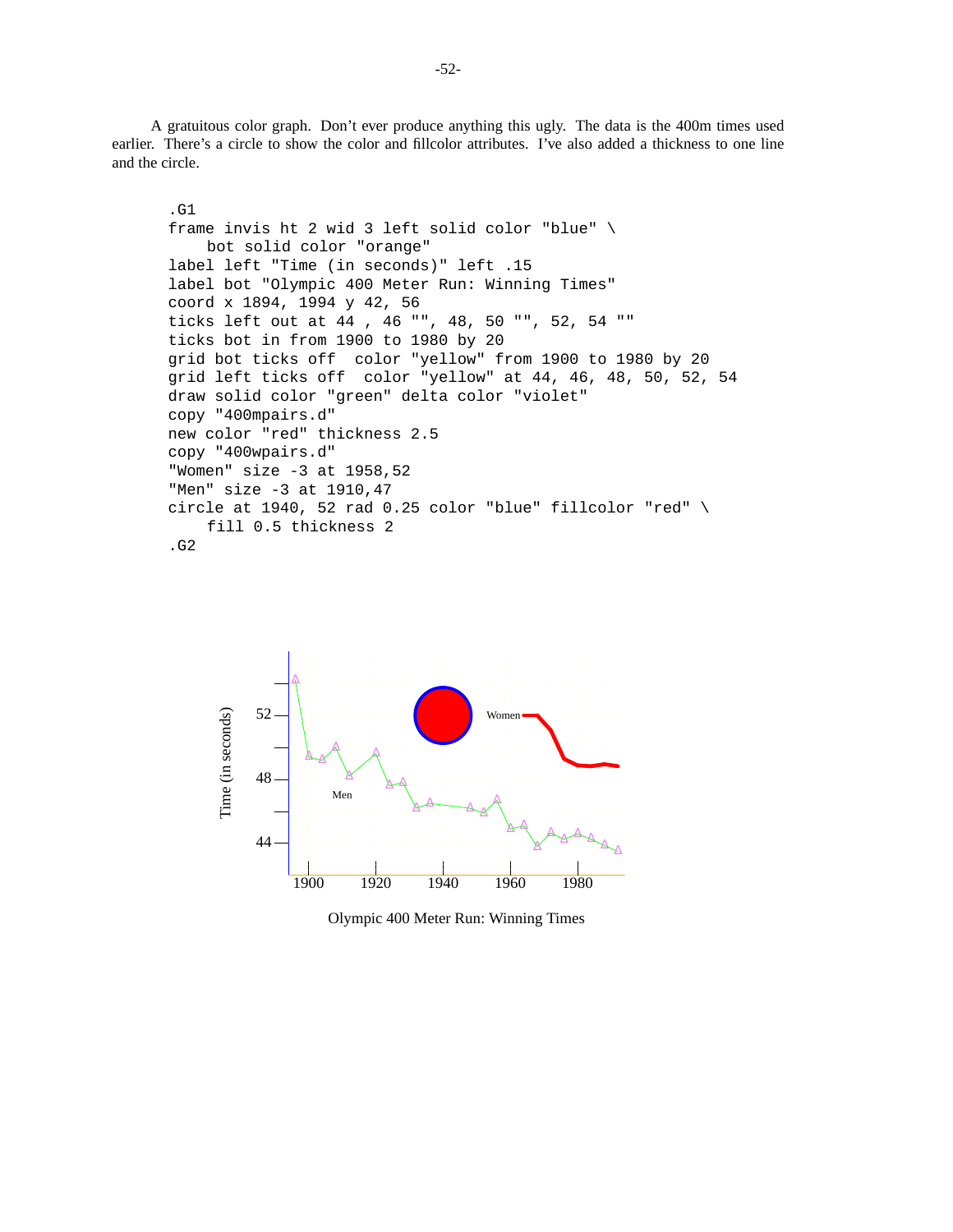A gratuitous color graph. Don't ever produce anything this ugly. The data is the 400m times used earlier. There's a circle to show the color and fillcolor attributes. I've also added a thickness to one line and the circle.

```
.G1
frame invis ht 2 wid 3 left solid color "blue" \
    bot solid color "orange"
label left "Time (in seconds)" left .15
label bot "Olympic 400 Meter Run: Winning Times"
coord x 1894, 1994 y 42, 56
ticks left out at 44 , 46 "", 48, 50 "", 52, 54 ""
ticks bot in from 1900 to 1980 by 20
grid bot ticks off color "yellow" from 1900 to 1980 by 20
grid left ticks off color "yellow" at 44, 46, 48, 50, 52, 54
draw solid color "green" delta color "violet"
copy "400mpairs.d"
new color "red" thickness 2.5
copy "400wpairs.d"
"Women" size -3 at 1958,52
"Men" size -3 at 1910,47
circle at 1940, 52 rad 0.25 color "blue" fillcolor "red" \setminusfill 0.5 thickness 2
.G2
```


Olympic 400 Meter Run: Winning Times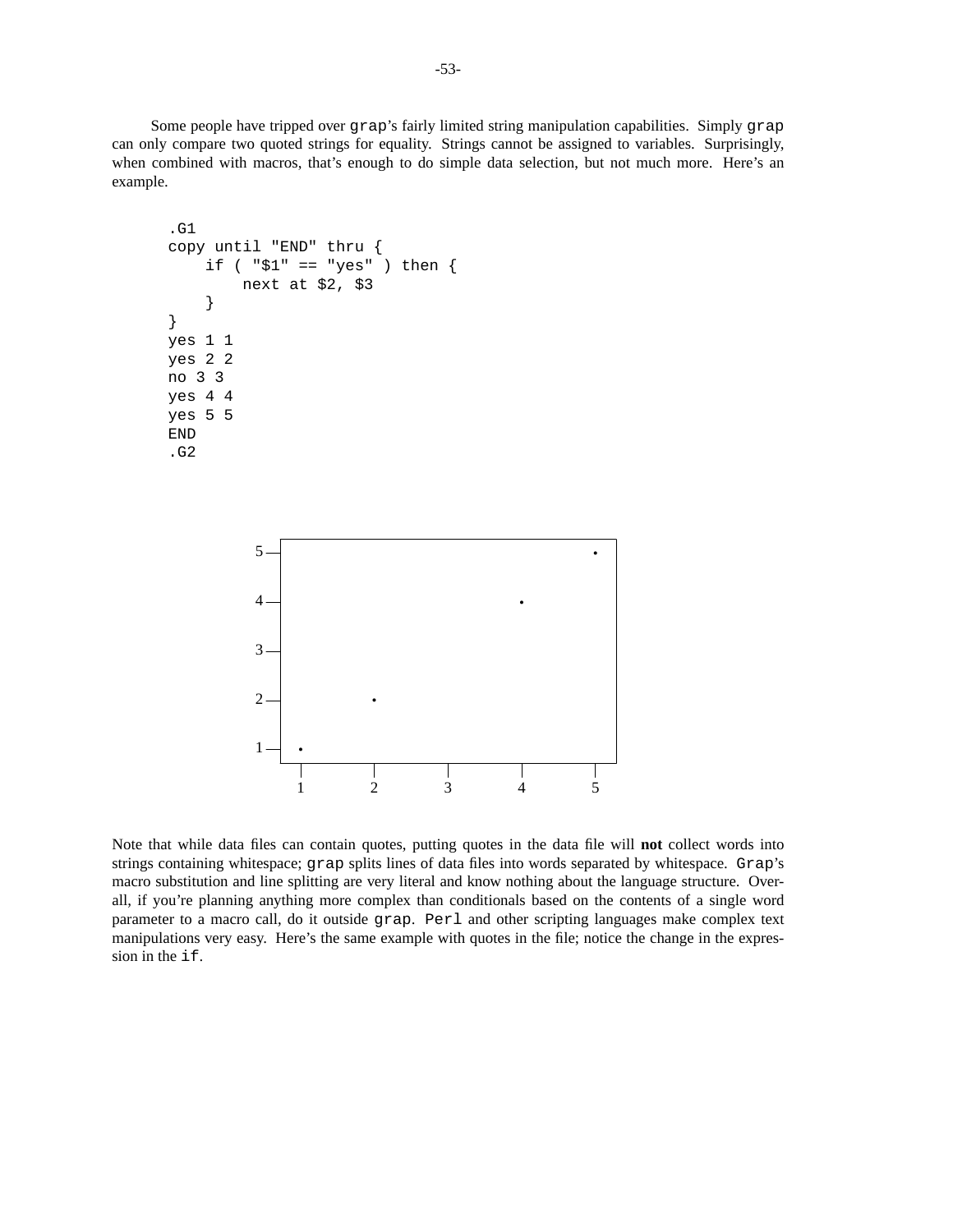Some people have tripped over grap's fairly limited string manipulation capabilities. Simply grap can only compare two quoted strings for equality. Strings cannot be assigned to variables. Surprisingly, when combined with macros, that's enough to do simple data selection, but not much more. Here's an example.

```
.G1
copy until "END" thru {
    if ( "\$1" == "yes" ) then {
        next at $2, $3
    }
}
yes 1 1
yes 2 2
no 3 3
yes 4 4
yes 5 5
END
.G2
```


Note that while data files can contain quotes, putting quotes in the data file will **not** collect words into strings containing whitespace; grap splits lines of data files into words separated by whitespace. Grap's macro substitution and line splitting are very literal and know nothing about the language structure. Overall, if you're planning anything more complex than conditionals based on the contents of a single word parameter to a macro call, do it outside grap. Perl and other scripting languages make complex text manipulations very easy. Here's the same example with quotes in the file; notice the change in the expression in the if.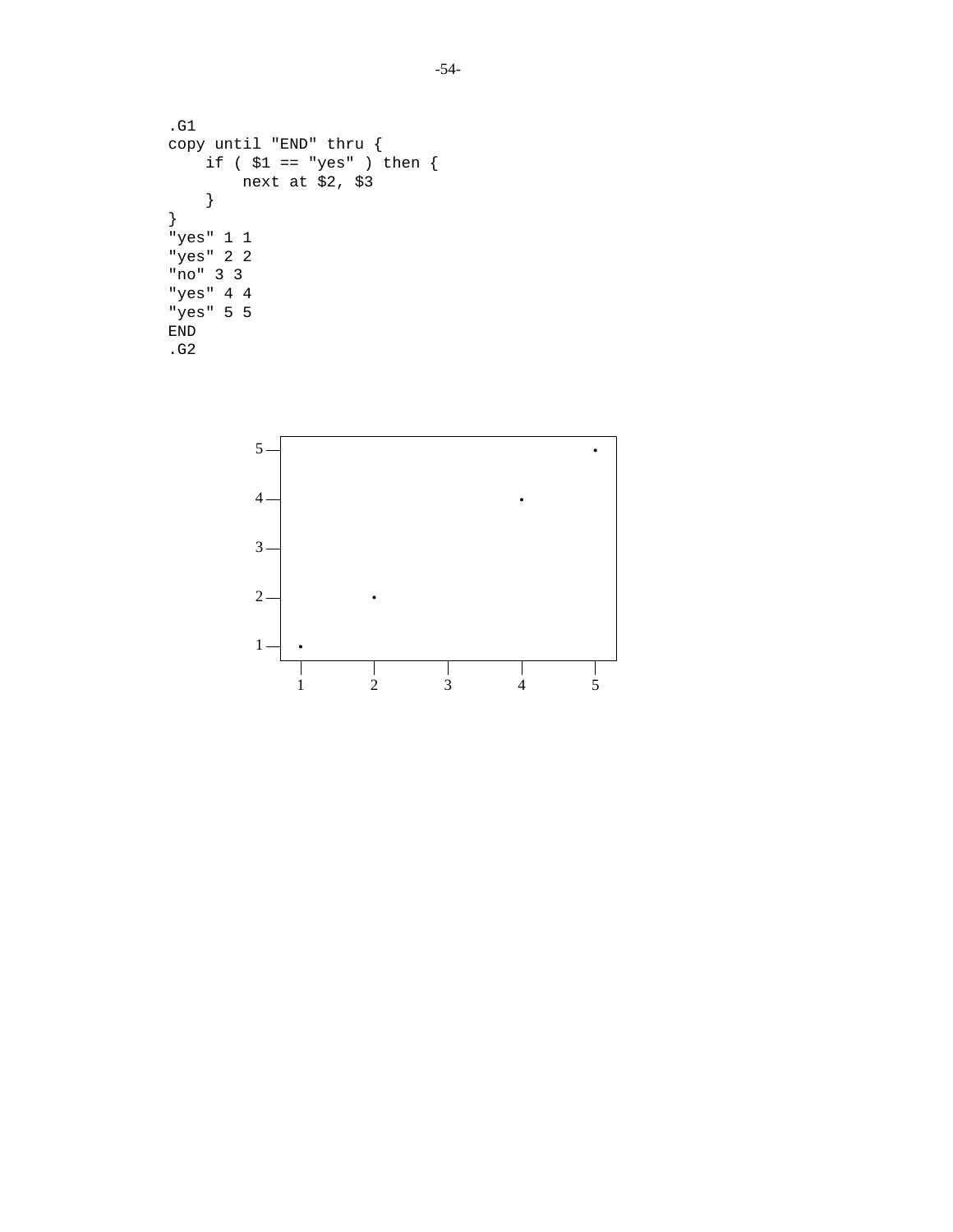```
.G1
copy until "END" thru {
    if ( $1 == "yes" ) then {
        next at $2, $3
    }
}
"yes" 1 1
"yes" 2 2
"no" 3 3
"yes" 4 4
"yes" 5 5
END
.G2
```